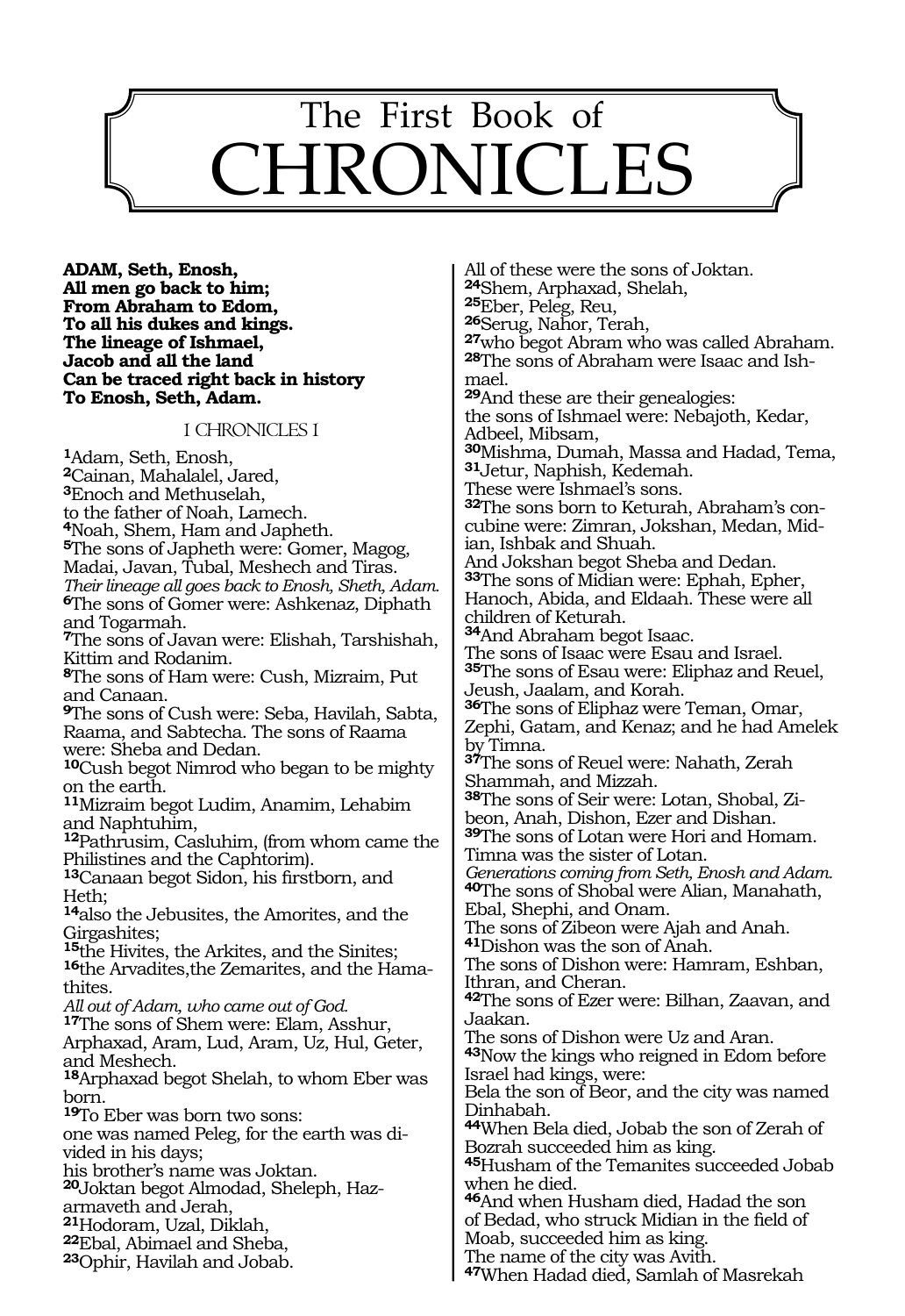# 510 The First Book of CHRONICLES

**Adam, Seth, Enosh, All men go back to him; From Abraham to Edom, To all his dukes and kings. The lineage of Ishmael, Jacob and all the land Can be traced right back in history To Enosh, Seth, Adam.**

#### 1 CHRONICLES 1

**<sup>1</sup>**Adam, Seth, Enosh, **<sup>2</sup>**Cainan, Mahalalel, Jared, **<sup>3</sup>**Enoch and Methuselah, to the father of Noah, Lamech. **<sup>4</sup>**Noah, Shem, Ham and Japheth. **<sup>5</sup>**The sons of Japheth were: Gomer, Magog, Madai, Javan, Tubal, Meshech and Tiras. *Their lineage all goes back to Enosh, Sheth, Adam.* **<sup>6</sup>**The sons of Gomer were: Ashkenaz, Diphath and Togarmah. **<sup>7</sup>**The sons of Javan were: Elishah, Tarshishah, Kittim and Rodanim. **<sup>8</sup>**The sons of Ham were: Cush, Mizraim, Put and Canaan. **<sup>9</sup>**The sons of Cush were: Seba, Havilah, Sabta, Raama, and Sabtecha. The sons of Raama were: Sheba and Dedan. **<sup>10</sup>**Cush begot Nimrod who began to be mighty on the earth. **<sup>11</sup>**Mizraim begot Ludim, Anamim, Lehabim and Naphtuhim, **<sup>12</sup>**Pathrusim, Casluhim, (from whom came the Philistines and the Caphtorim). **<sup>13</sup>**Canaan begot Sidon, his firstborn, and Heth; **<sup>14</sup>**also the Jebusites, the Amorites, and the Girgashites; **<sup>15</sup>**the Hivites, the Arkites, and the Sinites; **16**the Arvadites,the Zemarites, and the Hamathites. *All out of Adam, who came out of God.* **<sup>17</sup>**The sons of Shem were: Elam, Asshur, Arphaxad, Aram, Lud, Aram, Uz, Hul, Geter, and Meshech. **<sup>18</sup>**Arphaxad begot Shelah, to whom Eber was born. **<sup>19</sup>**To Eber was born two sons: one was named Peleg, for the earth was divided in his days; his brother's name was Joktan. **20**Joktan begot Almodad, Sheleph, Hazarmaveth and Jerah, **<sup>21</sup>**Hodoram, Uzal, Diklah, **<sup>22</sup>**Ebal, Abimael and Sheba, **<sup>23</sup>**Ophir, Havilah and Jobab.

All of these were the sons of Joktan.<br><sup>24</sup>Shem, Arphaxad, Shelah, **<sup>24</sup>**Shem, Arphaxad, Shelah, **<sup>25</sup>**Eber, Peleg, Reu, **<sup>26</sup>**Serug, Nahor, Terah, **<sup>27</sup>**who begot Abram who was called Abraham. **28**The sons of Abraham were Isaac and Ishmael. **<sup>29</sup>**And these are their genealogies: the sons of Ishmael were: Nebajoth, Kedar, Adbeel, Mibsam, **<sup>30</sup>**Mishma, Dumah, Massa and Hadad, Tema, **<sup>31</sup>**Jetur, Naphish, Kedemah. These were Ishmael's sons. **32**The sons born to Keturah, Abraham's concubine were: Zimran, Jokshan, Medan, Midian, Ishbak and Shuah. And Jokshan begot Sheba and Dedan. **<sup>33</sup>**The sons of Midian were: Ephah, Epher, Hanoch, Abida, and Eldaah. These were all children of Keturah. **<sup>34</sup>**And Abraham begot Isaac. The sons of Isaac were Esau and Israel. **<sup>35</sup>**The sons of Esau were: Eliphaz and Reuel, Jeush, Jaalam, and Korah. **<sup>36</sup>**The sons of Eliphaz were Teman, Omar, Zephi, Gatam, and Kenaz; and he had Amelek by Timna. **<sup>37</sup>**The sons of Reuel were: Nahath, Zerah Shammah, and Mizzah. **<sup>38</sup>**The sons of Seir were: Lotan, Shobal, Zi- beon, Anah, Dishon, Ezer and Dishan. **<sup>39</sup>**The sons of Lotan were Hori and Homam. Timna was the sister of Lotan. *Generations coming from Seth, Enosh and Adam.* **<sup>40</sup>**The sons of Shobal were Alian, Manahath, Ebal, Shephi, and Onam. The sons of Zibeon were Ajah and Anah. **<sup>41</sup>**Dishon was the son of Anah. The sons of Dishon were: Hamram, Eshban, Ithran, and Cheran. **<sup>42</sup>**The sons of Ezer were: Bilhan, Zaavan, and Jaakan. The sons of Dishon were Uz and Aran. **<sup>43</sup>**Now the kings who reigned in Edom before Israel had kings, were: Bela the son of Beor, and the city was named Dinhabah. **<sup>44</sup>**When Bela died, Jobab the son of Zerah of Bozrah succeeded him as king. **<sup>45</sup>**Husham of the Temanites succeeded Jobab when he died. **<sup>46</sup>**And when Husham died, Hadad the son of Bedad, who struck Midian in the field of Moab, succeeded him as king. The name of the city was Avith.

**<sup>47</sup>**When Hadad died, Samlah of Masrekah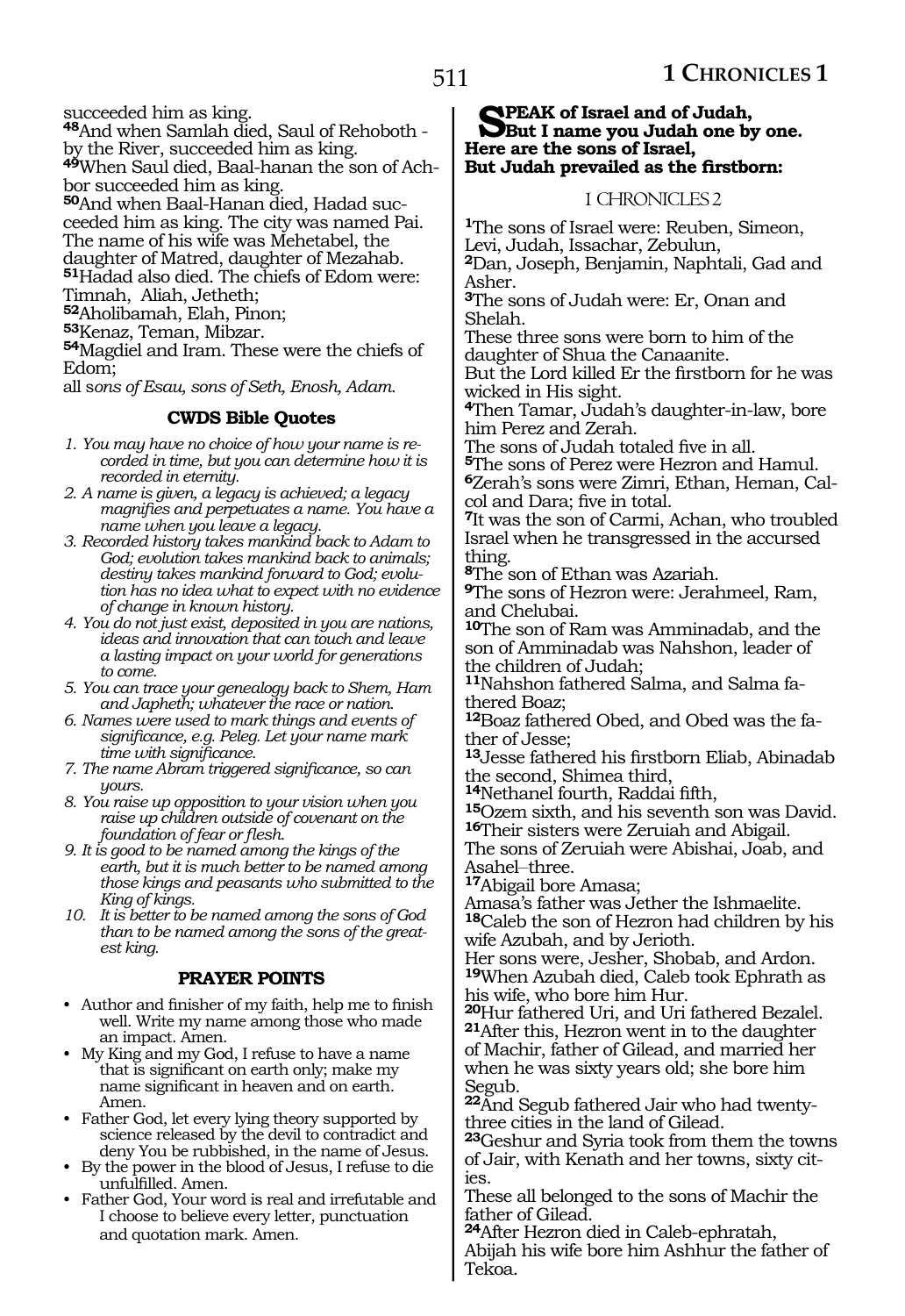succeeded him as king.

**<sup>48</sup>**And when Samlah died, Saul of Rehoboth by the River, succeeded him as king.

**49**When Saul died, Baal-hanan the son of Achbor succeeded him as king.

**50**And when Baal-Hanan died, Hadad succeeded him as king. The city was named Pai. The name of his wife was Mehetabel, the daughter of Matred, daughter of Mezahab. **<sup>51</sup>**Hadad also died. The chiefs of Edom were:

Timnah, Aliah, Jetheth;

**<sup>52</sup>**Aholibamah, Elah, Pinon;

**<sup>53</sup>**Kenaz, Teman, Mibzar.

**<sup>54</sup>**Magdiel and Iram. These were the chiefs of Edom;

all s*ons of Esau, sons of Seth, Enosh, Adam.*

### **CWDS Bible Quotes**

- *1. You may have no choice of how your name is recorded in time, but you can determine how it is recorded in eternity.*
- *2. A name is given, a legacy is achieved; a legacy magnifies and perpetuates a name. You have a name when you leave a legacy.*
- *3. Recorded history takes mankind back to Adam to God; evolution takes mankind back to animals; destiny takes mankind forward to God; evolution has no idea what to expect with no evidence of change in known history.*
- *4. You do not just exist, deposited in you are nations, ideas and innovation that can touch and leave a lasting impact on your world for generations to come.*
- *5. You can trace your genealogy back to Shem, Ham and Japheth; whatever the race or nation.*
- *6. Names were used to mark things and events of significance, e.g. Peleg. Let your name mark time with significance.*
- *7. The name Abram triggered significance, so can yours.*
- *8. You raise up opposition to your vision when you raise up children outside of covenant on the foundation of fear or flesh.*
- *9. It is good to be named among the kings of the earth, but it is much better to be named among those kings and peasants who submitted to the King of kings.*
- *10. It is better to be named among the sons of God than to be named among the sons of the greatest king.*

#### **PRAYER POINTS**

- Author and finisher of my faith, help me to finish well. Write my name among those who made an impact. Amen.
- My King and my God, I refuse to have a name that is significant on earth only; make my name significant in heaven and on earth. Amen.
- Father God, let every lying theory supported by science released by the devil to contradict and deny You be rubbished, in the name of Jesus.
- By the power in the blood of Jesus, I refuse to die unfulfilled. Amen.
- Father God, Your word is real and irrefutable and I choose to believe every letter, punctuation and quotation mark. Amen.

# **SPEAK of Israel and of Judah,<br>Sput I name you Judah one by one. Here are the sons of Israel, But Judah prevailed as the firstborn:**

## 1 CHRONICLES 2

**<sup>1</sup>**The sons of Israel were: Reuben, Simeon, Levi, Judah, Issachar, Zebulun, **<sup>2</sup>**Dan, Joseph, Benjamin, Naphtali, Gad and Asher.

**<sup>3</sup>**The sons of Judah were: Er, Onan and Shelah.

These three sons were born to him of the daughter of Shua the Canaanite.

But the Lord killed Er the firstborn for he was wicked in His sight.

**<sup>4</sup>**Then Tamar, Judah's daughter-in-law, bore him Perez and Zerah.

The sons of Judah totaled five in all. **<sup>5</sup>**The sons of Perez were Hezron and Hamul.

**6**Zerah's sons were Zimri, Ethan, Heman, Calcol and Dara; five in total.

**<sup>7</sup>**It was the son of Carmi, Achan, who troubled Israel when he transgressed in the accursed thing.

**<sup>8</sup>**The son of Ethan was Azariah.

**<sup>9</sup>**The sons of Hezron were: Jerahmeel, Ram, and Chelubai.

**<sup>10</sup>**The son of Ram was Amminadab, and the son of Amminadab was Nahshon, leader of the children of Judah;

**11**Nahshon fathered Salma, and Salma fathered Boaz;

**12**Boaz fathered Obed, and Obed was the father of Jesse;

**<sup>13</sup>**Jesse fathered his firstborn Eliab, Abinadab the second, Shimea third,

**<sup>14</sup>**Nethanel fourth, Raddai fifth,

**<sup>15</sup>**Ozem sixth, and his seventh son was David. **<sup>16</sup>**Their sisters were Zeruiah and Abigail.

The sons of Zeruiah were Abishai, Joab, and Asahel-three.

**<sup>17</sup>**Abigail bore Amasa;

Amasa's father was Jether the Ishmaelite. **<sup>18</sup>**Caleb the son of Hezron had children by his wife Azubah, and by Jerioth.

Her sons were, Jesher, Shobab, and Ardon. **<sup>19</sup>**When Azubah died, Caleb took Ephrath as his wife, who bore him Hur.

**<sup>20</sup>**Hur fathered Uri, and Uri fathered Bezalel. **<sup>21</sup>**After this, Hezron went in to the daughter of Machir, father of Gilead, and married her when he was sixty years old; she bore him Segub.

**22**And Segub fathered Jair who had twentythree cities in the land of Gilead.

**<sup>23</sup>**Geshur and Syria took from them the towns of Jair, with Kenath and her towns, sixty cities.

These all belonged to the sons of Machir the father of Gilead.

**<sup>24</sup>**After Hezron died in Caleb-ephratah, Abijah his wife bore him Ashhur the father of Tekoa.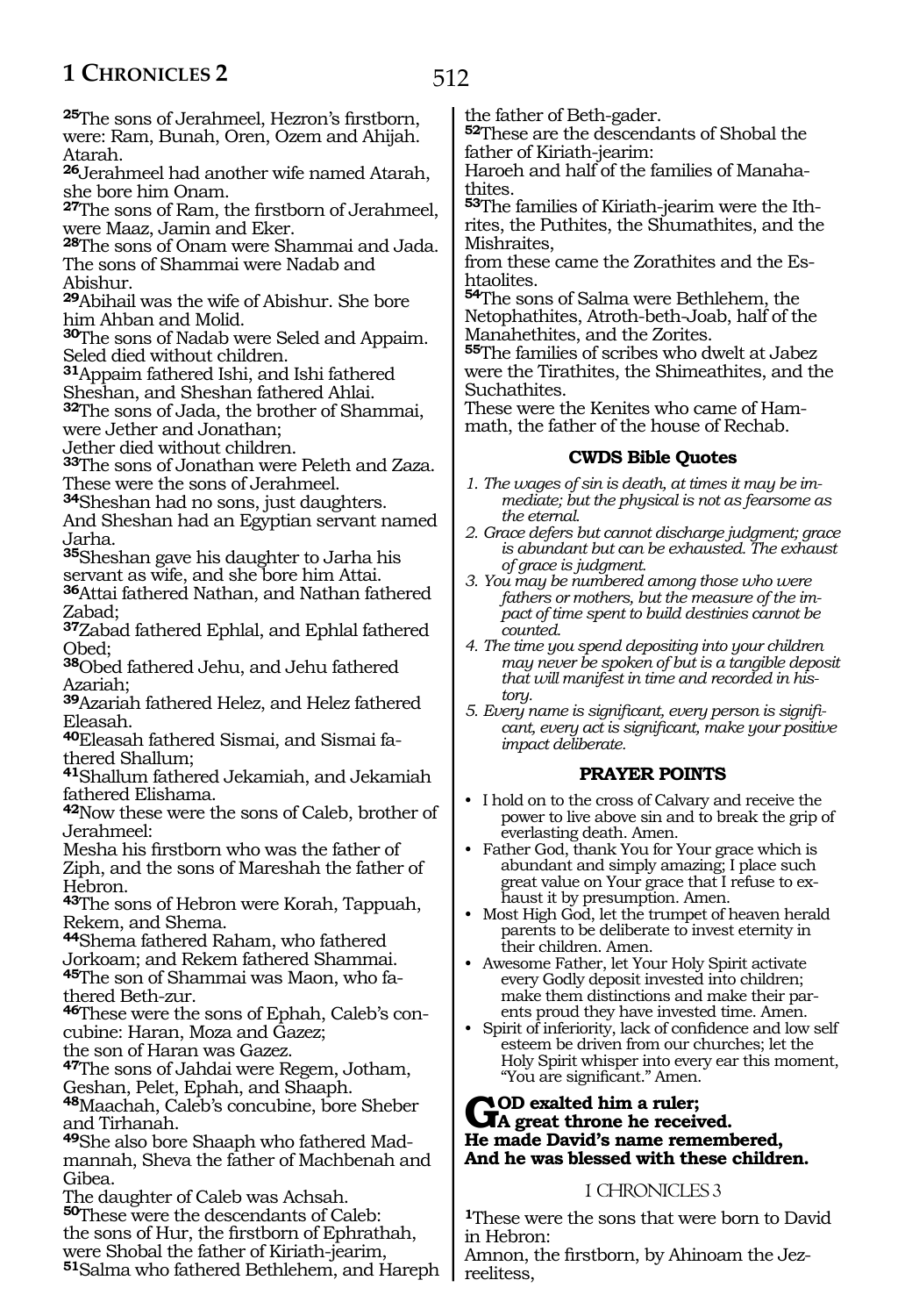**<sup>25</sup>**The sons of Jerahmeel, Hezron's firstborn, were: Ram, Bunah, Oren, Ozem and Ahijah. Atarah.

**<sup>26</sup>**Jerahmeel had another wife named Atarah, she bore him Onam.

**<sup>27</sup>**The sons of Ram, the firstborn of Jerahmeel, were Maaz, Jamin and Eker.

**<sup>28</sup>**The sons of Onam were Shammai and Jada. The sons of Shammai were Nadab and Abishur.

**<sup>29</sup>**Abihail was the wife of Abishur. She bore him Ahban and Molid.

**<sup>30</sup>**The sons of Nadab were Seled and Appaim. Seled died without children.

**<sup>31</sup>**Appaim fathered Ishi, and Ishi fathered

Sheshan, and Sheshan fathered Ahlai.

**<sup>32</sup>**The sons of Jada, the brother of Shammai, were Jether and Jonathan;

Jether died without children.

**<sup>33</sup>**The sons of Jonathan were Peleth and Zaza. These were the sons of Jerahmeel.

**<sup>34</sup>**Sheshan had no sons, just daughters.

And Sheshan had an Egyptian servant named Jarha.

**<sup>35</sup>**Sheshan gave his daughter to Jarha his servant as wife, and she bore him Attai.

**<sup>36</sup>**Attai fathered Nathan, and Nathan fathered Zabad;

**<sup>37</sup>**Zabad fathered Ephlal, and Ephlal fathered Obed;

**<sup>38</sup>**Obed fathered Jehu, and Jehu fathered Azariah;

**<sup>39</sup>**Azariah fathered Helez, and Helez fathered Eleasah.

**40**Eleasah fathered Sismai, and Sismai fathered Shallum;

**<sup>41</sup>**Shallum fathered Jekamiah, and Jekamiah fathered Elishama.

**<sup>42</sup>**Now these were the sons of Caleb, brother of Jerahmeel:

Mesha his firstborn who was the father of Ziph, and the sons of Mareshah the father of Hebron.

**<sup>43</sup>**The sons of Hebron were Korah, Tappuah, Rekem, and Shema.

**<sup>44</sup>**Shema fathered Raham, who fathered Jorkoam; and Rekem fathered Shammai. **45**The son of Shammai was Maon, who fa-

thered Beth-zur.

**46**These were the sons of Ephah, Caleb's concubine: Haran, Moza and Gazez;

the son of Haran was Gazez.

**<sup>47</sup>**The sons of Jahdai were Regem, Jotham, Geshan, Pelet, Ephah, and Shaaph.

**<sup>48</sup>**Maachah, Caleb's concubine, bore Sheber and Tirhanah.

**49**She also bore Shaaph who fathered Madmannah, Sheva the father of Machbenah and Gibea.

The daughter of Caleb was Achsah.

**<sup>50</sup>**These were the descendants of Caleb: the sons of Hur, the firstborn of Ephrathah, were Shobal the father of Kiriath-jearim, **<sup>51</sup>**Salma who fathered Bethlehem, and Hareph the father of Beth-gader.

**<sup>52</sup>**These are the descendants of Shobal the father of Kiriath-jearim:

Haroeh and half of the families of Manahathites.

**53**The families of Kiriath-jearim were the Ithrites, the Puthites, the Shumathites, and the Mishraites,

from these came the Zorathites and the Eshtaolites.

**<sup>54</sup>**The sons of Salma were Bethlehem, the Netophathites, Atroth-beth-Joab, half of the Manahethites, and the Zorites.

**<sup>55</sup>**The families of scribes who dwelt at Jabez were the Tirathites, the Shimeathites, and the Suchathites.

These were the Kenites who came of Hammath, the father of the house of Rechab.

# **CWDS Bible Quotes**

- *1. The wages of sin is death, at times it may be immediate; but the physical is not as fearsome as the eternal.*
- *2. Grace defers but cannot discharge judgment; grace is abundant but can be exhausted. The exhaust of grace is judgment.*
- *3. You may be numbered among those who were fathers or mothers, but the measure of the impact of time spent to build destinies cannot be counted.*
- *4. The time you spend depositing into your children may never be spoken of but is a tangible deposit that will manifest in time and recorded in history.*
- *5. Every name is significant, every person is significant, every act is significant, make your positive impact deliberate.*

# **PRAYER POINTS**

- I hold on to the cross of Calvary and receive the power to live above sin and to break the grip of everlasting death. Amen.
- Father God, thank You for Your grace which is abundant and simply amazing; I place such great value on Your grace that I refuse to exhaust it by presumption. Amen.
- Most High God, let the trumpet of heaven herald parents to be deliberate to invest eternity in their children. Amen.
- Awesome Father, let Your Holy Spirit activate every Godly deposit invested into children; make them distinctions and make their parents proud they have invested time. Amen.
- Spirit of inferiority, lack of confidence and low self esteem be driven from our churches; let the Holy Spirit whisper into every ear this moment, "You are significant." Amen.

# GOD exalted him a ruler;<br>He mode Devid's name namewh **He made David's name remembered, And he was blessed with these children.**

# 1 CHRONICLES 3

**<sup>1</sup>**These were the sons that were born to David in Hebron:

Amnon, the firstborn, by Ahinoam the Jezreelitess,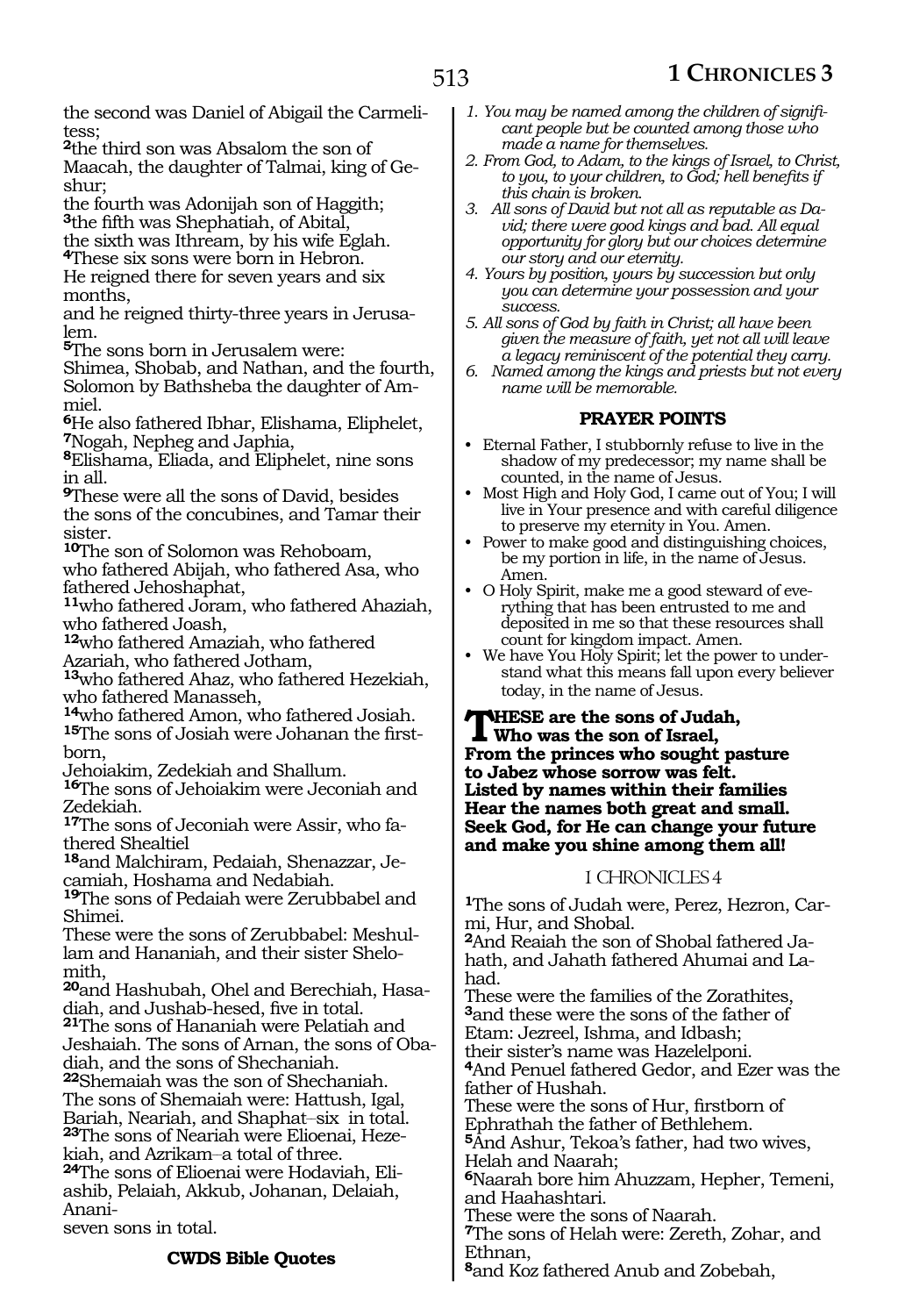the second was Daniel of Abigail the Carmelitess;

**<sup>2</sup>**the third son was Absalom the son of Maacah, the daughter of Talmai, king of Geshur;

the fourth was Adonijah son of Haggith; **<sup>3</sup>**the fifth was Shephatiah, of Abital,

the sixth was Ithream, by his wife Eglah.

**<sup>4</sup>**These six sons were born in Hebron.

He reigned there for seven years and six months,

and he reigned thirty-three years in Jerusa- lem.

**<sup>5</sup>**The sons born in Jerusalem were:

Shimea, Shobab, and Nathan, and the fourth, Solomon by Bathsheba the daughter of Am- miel.

**<sup>6</sup>**He also fathered Ibhar, Elishama, Eliphelet, **<sup>7</sup>**Nogah, Nepheg and Japhia,

**<sup>8</sup>**Elishama, Eliada, and Eliphelet, nine sons in all.

**<sup>9</sup>**These were all the sons of David, besides the sons of the concubines, and Tamar their sister.

**<sup>10</sup>**The son of Solomon was Rehoboam, who fathered Abijah, who fathered Asa, who fathered Jehoshaphat,

**<sup>11</sup>**who fathered Joram, who fathered Ahaziah, who fathered Joash,

**<sup>12</sup>**who fathered Amaziah, who fathered Azariah, who fathered Jotham,

**<sup>13</sup>**who fathered Ahaz, who fathered Hezekiah, who fathered Manasseh,

**<sup>14</sup>**who fathered Amon, who fathered Josiah. **15**The sons of Josiah were Johanan the firstborn,

Jehoiakim, Zedekiah and Shallum.

**<sup>16</sup>**The sons of Jehoiakim were Jeconiah and Zedekiah.

**17**The sons of Jeconiah were Assir, who fathered Shealtiel

**18**and Malchiram, Pedaiah, Shenazzar, Jecamiah, Hoshama and Nedabiah.

**<sup>19</sup>**The sons of Pedaiah were Zerubbabel and Shimei.

These were the sons of Zerubbabel: Meshullam and Hananiah, and their sister Shelomith,

**20**and Hashubah, Ohel and Berechiah, Hasadiah, and Jushab-hesed, five in total.

**<sup>21</sup>**The sons of Hananiah were Pelatiah and Jeshaiah. The sons of Arnan, the sons of Obadiah, and the sons of Shechaniah.

**<sup>22</sup>**Shemaiah was the son of Shechaniah. The sons of Shemaiah were: Hattush, Igal, Bariah, Neariah, and Shaphat\_\_six in total. **23**The sons of Neariah were Elioenai, Heze-

kiah, and Azrikam-a total of three.

**24**The sons of Elioenai were Hodaviah, Eliashib, Pelaiah, Akkub, Johanan, Delaiah, Anani-

seven sons in total.

# **CWDS Bible Quotes**

- *1. You may be named among the children of significant people but be counted among those who made a name for themselves.*
- *2. From God, to Adam, to the kings of Israel, to Christ, to you, to your children, to God; hell benefits if this chain is broken.*
- *3. All sons of David but not all as reputable as David; there were good kings and bad. All equal opportunity for glory but our choices determine our story and our eternity.*
- *4. Yours by position, yours by succession but only you can determine your possession and your success.*
- *5. All sons of God by faith in Christ; all have been given the measure of faith, yet not all will leave a legacy reminiscent of the potential they carry.*
- *6. Named among the kings and priests but not every name will be memorable.*

# **PRAYER POINTS**

- Eternal Father, I stubbornly refuse to live in the shadow of my predecessor; my name shall be counted, in the name of Jesus.
- Most High and Holy God, I came out of You; I will live in Your presence and with careful diligence to preserve my eternity in You. Amen.
- Power to make good and distinguishing choices, be my portion in life, in the name of Jesus. Amen.
- O Holy Spirit, make me a good steward of everything that has been entrusted to me and deposited in me so that these resources shall count for kingdom impact. Amen.
	- We have You Holy Spirit; let the power to understand what this means fall upon every believer today, in the name of Jesus.

**These are the sons of Judah, Who was the son of Israel, From the princes who sought pasture to Jabez whose sorrow was felt. Listed by names within their families Hear the names both great and small. Seek God, for He can change your future and make you shine among them all!**

# 1 CHRONICLES 4

**1**The sons of Judah were, Perez, Hezron, Carmi, Hur, and Shobal.

**2**And Reaiah the son of Shobal fathered Jahath, and Jahath fathered Ahumai and Lahad.

These were the families of the Zorathites, **<sup>3</sup>**and these were the sons of the father of Etam: Jezreel, Ishma, and Idbash; their sister's name was Hazelelponi. **<sup>4</sup>**And Penuel fathered Gedor, and Ezer was the

father of Hushah. These were the sons of Hur, firstborn of Ephrathah the father of Bethlehem.

**<sup>5</sup>**And Ashur, Tekoa's father, had two wives, Helah and Naarah;

**<sup>6</sup>**Naarah bore him Ahuzzam, Hepher, Temeni, and Haahashtari.

These were the sons of Naarah.

**<sup>7</sup>**The sons of Helah were: Zereth, Zohar, and Ethnan,

**<sup>8</sup>**and Koz fathered Anub and Zobebah,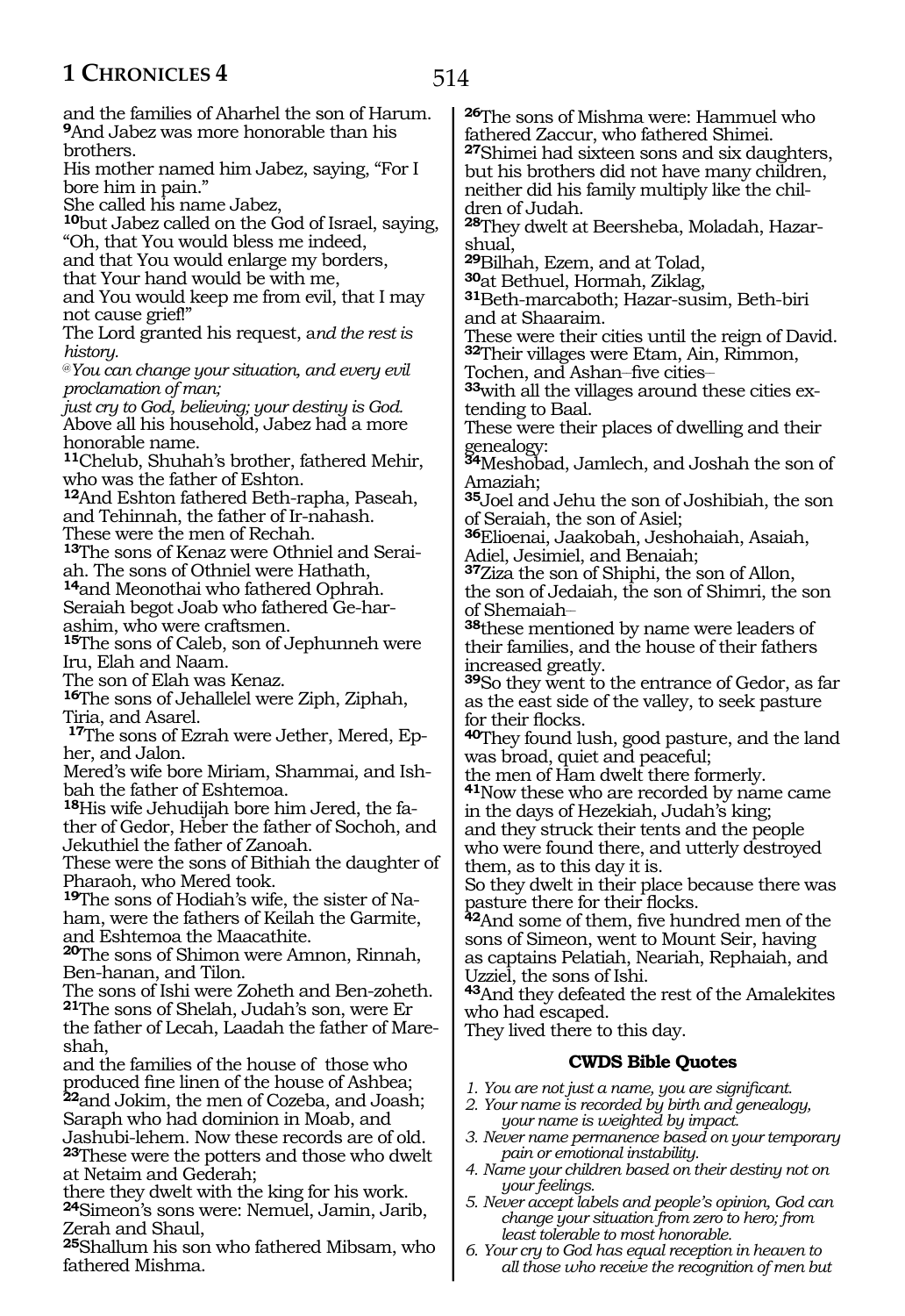514

and the families of Aharhel the son of Harum. **<sup>9</sup>**And Jabez was more honorable than his brothers.

His mother named him Jabez, saying, "For I bore him in pain."

She called his name Jabez,

**<sup>10</sup>**but Jabez called on the God of Israel, saying, "Oh, that You would bless me indeed,

and that You would enlarge my borders,

that Your hand would be with me,

and You would keep me from evil, that I may not cause grief!"

The Lord granted his request, a*nd the rest is history.*

@*You can change your situation, and every evil proclamation of man;*

*just cry to God, believing; your destiny is God.* Above all his household, Jabez had a more honorable name.

**<sup>11</sup>**Chelub, Shuhah's brother, fathered Mehir, who was the father of Eshton.

**<sup>12</sup>**And Eshton fathered Beth-rapha, Paseah, and Tehinnah, the father of Ir-nahash. These were the men of Rechah.

**13**The sons of Kenaz were Othniel and Seraiah. The sons of Othniel were Hathath,

**<sup>14</sup>**and Meonothai who fathered Ophrah. Seraiah begot Joab who fathered Ge-harashim, who were craftsmen.

15<sub>The</sub> sons of Caleb, son of Jephunneh were Iru, Elah and Naam.

The son of Elah was Kenaz.

**<sup>16</sup>**The sons of Jehallelel were Ziph, Ziphah, Tiria, and Asarel.

**17**The sons of Ezrah were Jether, Mered, Epher, and Jalon.

Mered's wife bore Miriam, Shammai, and Ishbah the father of Eshtemoa.

**18**His wife Jehudijah bore him Jered, the father of Gedor, Heber the father of Sochoh, and Jekuthiel the father of Zanoah.

These were the sons of Bithiah the daughter of Pharaoh, who Mered took.

**19**The sons of Hodiah's wife, the sister of Naham, were the fathers of Keilah the Garmite, and Eshtemoa the Maacathite.

**<sup>20</sup>**The sons of Shimon were Amnon, Rinnah, Ben-hanan, and Tilon.

The sons of Ishi were Zoheth and Ben-zoheth. **<sup>21</sup>**The sons of Shelah, Judah's son, were Er the father of Lecah, Laadah the father of Mareshah,

and the families of the house of those who produced fine linen of the house of Ashbea; **<sup>22</sup>**and Jokim, the men of Cozeba, and Joash; Saraph who had dominion in Moab, and Jashubi-lehem. Now these records are of old.

**<sup>23</sup>**These were the potters and those who dwelt at Netaim and Gederah;

there they dwelt with the king for his work. **<sup>24</sup>**Simeon's sons were: Nemuel, Jamin, Jarib, Zerah and Shaul,

**<sup>25</sup>**Shallum his son who fathered Mibsam, who fathered Mishma.

**<sup>26</sup>**The sons of Mishma were: Hammuel who fathered Zaccur, who fathered Shimei. **<sup>27</sup>**Shimei had sixteen sons and six daughters, but his brothers did not have many children, neither did his family multiply like the children of Judah.

**28**They dwelt at Beersheba, Moladah, Hazarshual,

**<sup>29</sup>**Bilhah, Ezem, and at Tolad,

 $31$ Beth-marcaboth; Hazar-susim, Beth-biri and at Shaaraim.

These were their cities until the reign of David. **<sup>32</sup>**Their villages were Etam, Ain, Rimmon,

Tochen, and Ashan-five cities-

**33**with all the villages around these cities extending to Baal.

These were their places of dwelling and their genealogy:

**<sup>34</sup>**Meshobad, Jamlech, and Joshah the son of Amaziah;

**<sup>35</sup>**Joel and Jehu the son of Joshibiah, the son of Seraiah, the son of Asiel;

**<sup>36</sup>**Elioenai, Jaakobah, Jeshohaiah, Asaiah, Adiel, Jesimiel, and Benaiah;

**<sup>37</sup>**Ziza the son of Shiphi, the son of Allon,

the son of Jedaiah, the son of Shimri, the son of Shemaiah\_\_

**<sup>38</sup>**these mentioned by name were leaders of their families, and the house of their fathers increased greatly.

**<sup>39</sup>**So they went to the entrance of Gedor, as far as the east side of the valley, to seek pasture for their flocks.

**<sup>40</sup>**They found lush, good pasture, and the land was broad, quiet and peaceful;

the men of Ham dwelt there formerly.

**<sup>41</sup>**Now these who are recorded by name came in the days of Hezekiah, Judah's king; and they struck their tents and the people

who were found there, and utterly destroyed them, as to this day it is.

So they dwelt in their place because there was pasture there for their flocks.

**<sup>42</sup>**And some of them, five hundred men of the sons of Simeon, went to Mount Seir, having as captains Pelatiah, Neariah, Rephaiah, and Uzziel, the sons of Ishi.

**<sup>43</sup>**And they defeated the rest of the Amalekites who had escaped.

They lived there to this day.

#### **CWDS Bible Quotes**

*1. You are not just a name, you are significant.*

- *2. Your name is recorded by birth and genealogy, your name is weighted by impact.*
- *3. Never name permanence based on your temporary pain or emotional instability.*
- *4. Name your children based on their destiny not on your feelings.*
- *5. Never accept labels and people's opinion, God can change your situation from zero to hero; from least tolerable to most honorable.*
- *6. Your cry to God has equal reception in heaven to all those who receive the recognition of men but*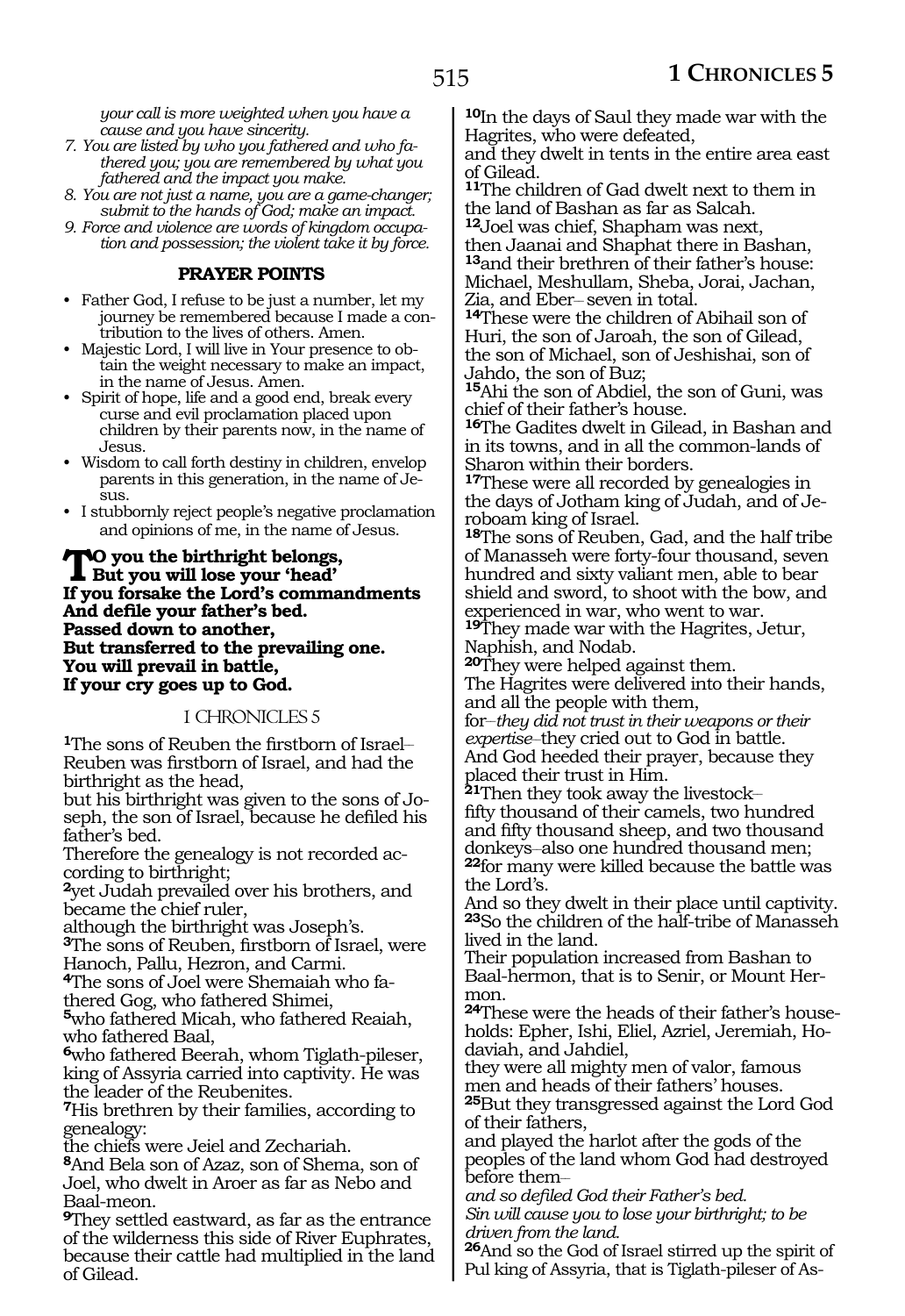*your call is more weighted when you have a cause and you have sincerity.*

- *7. You are listed by who you fathered and who fathered you; you are remembered by what you fathered and the impact you make.*
- *8. You are not just a name, you are a game-changer; submit to the hands of God; make an impact.*
- *9. Force and violence are words of kingdom occupation and possession; the violent take it by force.*

# **PRAYER POINTS**

- Father God, I refuse to be just a number, let my journey be remembered because I made a contribution to the lives of others. Amen.
- Majestic Lord, I will live in Your presence to obtain the weight necessary to make an impact, in the name of Jesus. Amen.
- Spirit of hope, life and a good end, break every curse and evil proclamation placed upon children by their parents now, in the name of Jesus.
- Wisdom to call forth destiny in children, envelop parents in this generation, in the name of Je- $\overline{\text{S}}$ 11.
- I stubbornly reject people's negative proclamation and opinions of me, in the name of Jesus.

#### **TO** you the birthright belongs, **But you will lose your 'head' If you forsake the Lord's commandments And defile your father's bed. Passed down to another, But transferred to the prevailing one. You will prevail in battle, If your cry goes up to God.**

# 1 CHRONICLES 5

**1**The sons of Reuben the firstborn of Israel-Reuben was firstborn of Israel, and had the birthright as the head,

but his birthright was given to the sons of Joseph, the son of Israel, because he defiled his father's bed.

Therefore the genealogy is not recorded according to birthright;

**<sup>2</sup>**yet Judah prevailed over his brothers, and became the chief ruler,

although the birthright was Joseph's.

**<sup>3</sup>**The sons of Reuben, firstborn of Israel, were Hanoch, Pallu, Hezron, and Carmi.

**4**The sons of Joel were Shemaiah who fathered Gog, who fathered Shimei,

**<sup>5</sup>**who fathered Micah, who fathered Reaiah, who fathered Baal,

**<sup>6</sup>**who fathered Beerah, whom Tiglath-pileser, king of Assyria carried into captivity. He was the leader of the Reubenites.

**<sup>7</sup>**His brethren by their families, according to genealogy:

the chiefs were Jeiel and Zechariah.

**<sup>8</sup>**And Bela son of Azaz, son of Shema, son of Joel, who dwelt in Aroer as far as Nebo and Baal-meon.

**<sup>9</sup>**They settled eastward, as far as the entrance of the wilderness this side of River Euphrates, because their cattle had multiplied in the land of Gilead.

**<sup>10</sup>**In the days of Saul they made war with the Hagrites, who were defeated,

and they dwelt in tents in the entire area east of Gilead.

**<sup>11</sup>**The children of Gad dwelt next to them in the land of Bashan as far as Salcah.

**<sup>12</sup>**Joel was chief, Shapham was next,

then Jaanai and Shaphat there in Bashan, **<sup>13</sup>**and their brethren of their father's house: Michael, Meshullam, Sheba, Jorai, Jachan,

14These were the children of Abihail son of Huri, the son of Jaroah, the son of Gilead, the son of Michael, son of Jeshishai, son of Jahdo, the son of Buz;

**<sup>15</sup>**Ahi the son of Abdiel, the son of Guni, was chief of their father's house.

**<sup>16</sup>**The Gadites dwelt in Gilead, in Bashan and in its towns, and in all the common-lands of Sharon within their borders.

**<sup>17</sup>**These were all recorded by genealogies in the days of Jotham king of Judah, and of Jeroboam king of Israel.

**<sup>18</sup>**The sons of Reuben, Gad, and the half tribe of Manasseh were forty-four thousand, seven hundred and sixty valiant men, able to bear shield and sword, to shoot with the bow, and experienced in war, who went to war.

**<sup>19</sup>**They made war with the Hagrites, Jetur, Naphish, and Nodab.

**<sup>20</sup>**They were helped against them. The Hagrites were delivered into their hands, and all the people with them,

for\_\_*they did not trust in their weapons or their expertise\_*\_ they cried out to God in battle. And God heeded their prayer, because they placed their trust in Him.

**<sup>21</sup>**Then they took away the livestock\_\_ fifty thousand of their camels, two hundred and fifty thousand sheep, and two thousand donkeys-also one hundred thousand men; **<sup>22</sup>**for many were killed because the battle was the Lord's.

And so they dwelt in their place until captivity. **<sup>23</sup>**So the children of the half-tribe of Manasseh lived in the land.

Their population increased from Bashan to Baal-hermon, that is to Senir, or Mount Hermon.

**24**These were the heads of their father's households: Epher, Ishi, Eliel, Azriel, Jeremiah, Hodaviah, and Jahdiel,

they were all mighty men of valor, famous men and heads of their fathers' houses. **<sup>25</sup>**But they transgressed against the Lord God of their fathers,

and played the harlot after the gods of the peoples of the land whom God had destroyed before them-

*and so defiled God their Father's bed. Sin will cause you to lose your birthright; to be driven from the land.*

**<sup>26</sup>**And so the God of Israel stirred up the spirit of Pul king of Assyria, that is Tiglath-pileser of As-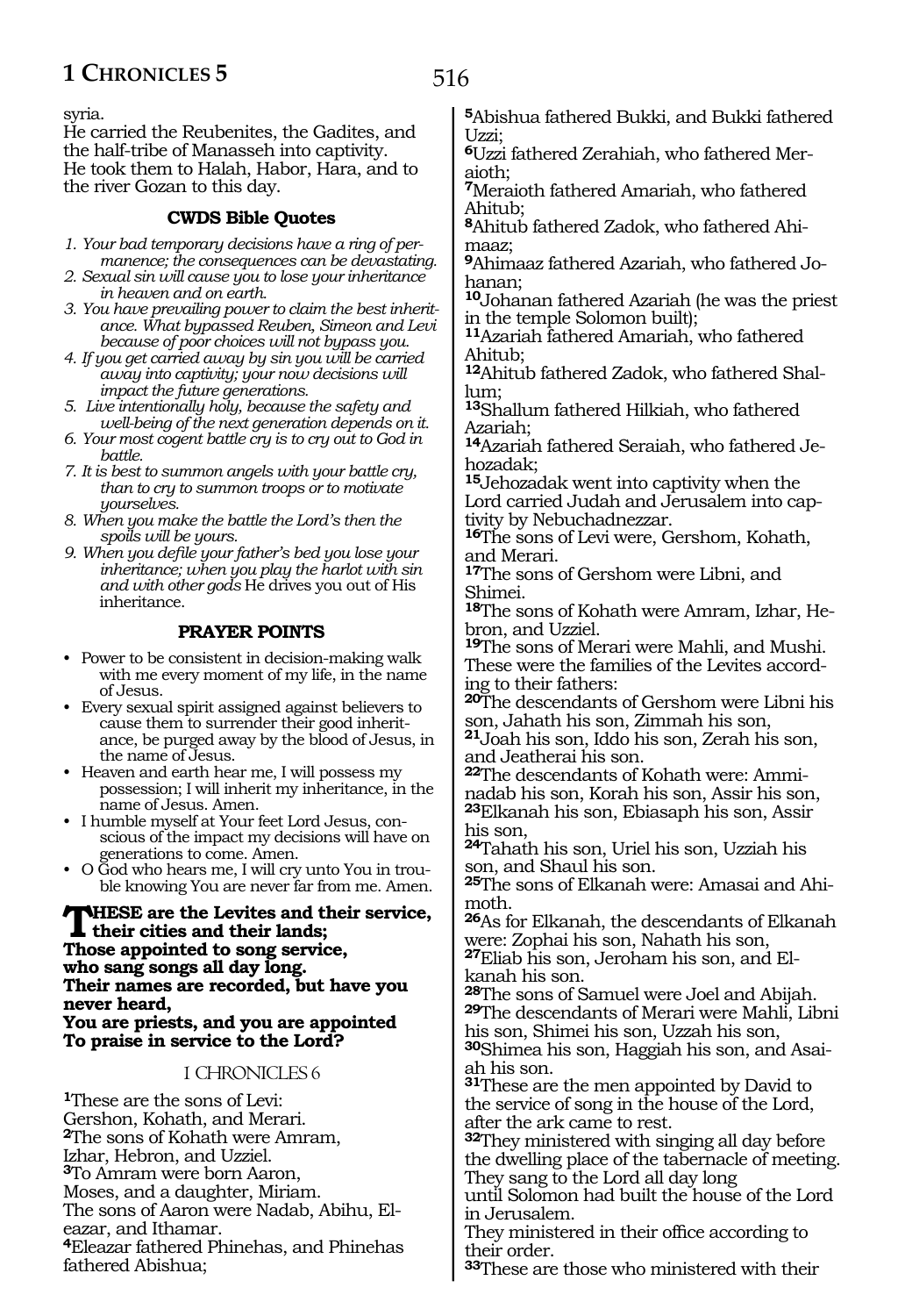syria.

He carried the Reubenites, the Gadites, and the half-tribe of Manasseh into captivity. He took them to Halah, Habor, Hara, and to the river Gozan to this day.

## **CWDS Bible Quotes**

- *1. Your bad temporary decisions have a ring of permanence; the consequences can be devastating.*
- *2. Sexual sin will cause you to lose your inheritance in heaven and on earth.*
- *3. You have prevailing power to claim the best inheritance. What bypassed Reuben, Simeon and Levi because of poor choices will not bypass you.*
- *4. If you get carried away by sin you will be carried away into captivity; your now decisions will impact the future generations.*
- *5. Live intentionally holy, because the safety and well-being of the next generation depends on it.*
- *6. Your most cogent battle cry is to cry out to God in battle.*
- *7. It is best to summon angels with your battle cry, than to cry to summon troops or to motivate yourselves.*
- *8. When you make the battle the Lord's then the spoils will be yours.*
- *9. When you defile your father's bed you lose your inheritance; when you play the harlot with sin and with other gods* He drives you out of His inheritance.

### **PRAYER POINTS**

- Power to be consistent in decision-making walk with me every moment of my life, in the name of Jesus.
- Every sexual spirit assigned against believers to cause them to surrender their good inheritance, be purged away by the blood of Jesus, in the name of Jesus.
- Heaven and earth hear me, I will possess my possession; I will inherit my inheritance, in the name of Jesus. Amen.
- I humble myself at Your feet Lord Jesus, conscious of the impact my decisions will have on generations to come. Amen.
- O God who hears me, I will cry unto You in trouble knowing You are never far from me. Amen.

**These are the Levites and their service, their cities and their lands; Those appointed to song service, who sang songs all day long. Their names are recorded, but have you never heard, You are priests, and you are appointed To praise in service to the Lord?**

#### 1 CHRONICLES 6

**<sup>1</sup>**These are the sons of Levi: Gershon, Kohath, and Merari. **<sup>2</sup>**The sons of Kohath were Amram, Izhar, Hebron, and Uzziel. **<sup>3</sup>**To Amram were born Aaron, Moses, and a daughter, Miriam. The sons of Aaron were Nadab, Abihu, Eleazar, and Ithamar. **<sup>4</sup>**Eleazar fathered Phinehas, and Phinehas fathered Abishua;

**<sup>6</sup>**Uzzi fathered Zerahiah, who fathered Mer- aioth;

**<sup>7</sup>**Meraioth fathered Amariah, who fathered Ahitub;

**<sup>8</sup>**Ahitub fathered Zadok, who fathered Ahi- maaz;

**<sup>9</sup>**Ahimaaz fathered Azariah, who fathered Jo- hanan;

**<sup>10</sup>**Johanan fathered Azariah (he was the priest in the temple Solomon built);

**<sup>11</sup>**Azariah fathered Amariah, who fathered Ahitub;

**12**Ahitub fathered Zadok, who fathered Shallum;

**<sup>13</sup>**Shallum fathered Hilkiah, who fathered Azariah;

**14**Azariah fathered Seraiah, who fathered Jehozadak;

**<sup>15</sup>**Jehozadak went into captivity when the Lord carried Judah and Jerusalem into captivity by Nebuchadnezzar.

**<sup>16</sup>**The sons of Levi were, Gershom, Kohath, and Merari.

**<sup>17</sup>**The sons of Gershom were Libni, and Shimei.

**18**The sons of Kohath were Amram, Izhar, Hebron, and Uzziel.

**<sup>19</sup>**The sons of Merari were Mahli, and Mushi. These were the families of the Levites according to their fathers:

**<sup>20</sup>**The descendants of Gershom were Libni his son, Jahath his son, Zimmah his son,

**<sup>21</sup>**Joah his son, Iddo his son, Zerah his son, and Jeatherai his son.

**22**The descendants of Kohath were: Amminadab his son, Korah his son, Assir his son, **<sup>23</sup>**Elkanah his son, Ebiasaph his son, Assir his son,

**<sup>24</sup>**Tahath his son, Uriel his son, Uzziah his son, and Shaul his son.

**<sup>25</sup>**The sons of Elkanah were: Amasai and Ahi- moth.

**<sup>26</sup>**As for Elkanah, the descendants of Elkanah were: Zophai his son, Nahath his son,

**<sup>27</sup>**Eliab his son, Jeroham his son, and El- kanah his son.

29The descendants of Merari were Mahli, Libni his son, Shimei his son, Uzzah his son,

**<sup>30</sup>**Shimea his son, Haggiah his son, and Asai- ah his son.

**<sup>31</sup>**These are the men appointed by David to the service of song in the house of the Lord, after the ark came to rest.

**<sup>32</sup>**They ministered with singing all day before the dwelling place of the tabernacle of meeting. They sang to the Lord all day long

until Solomon had built the house of the Lord in Jerusalem.

They ministered in their office according to their order.

**<sup>33</sup>**These are those who ministered with their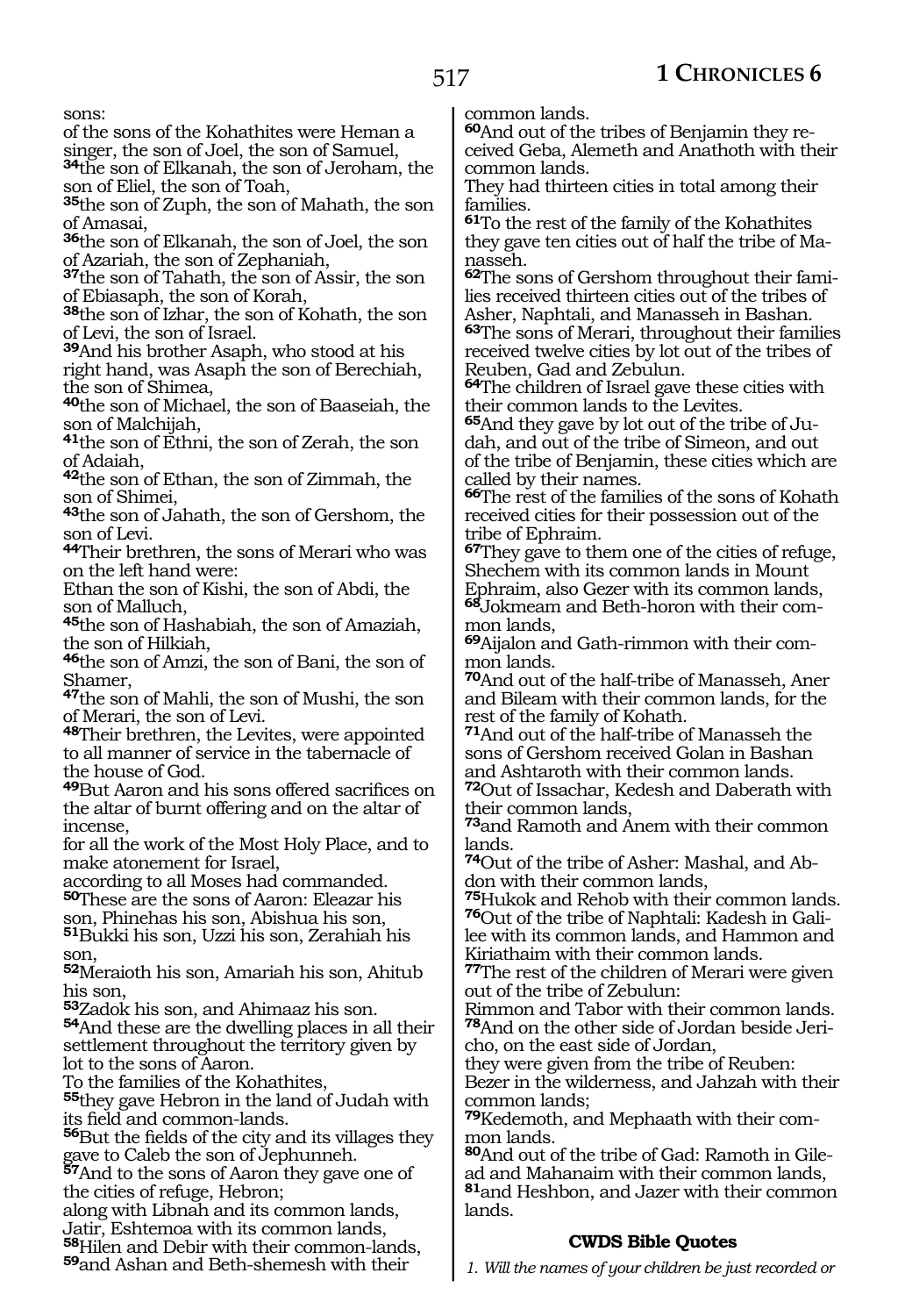sons:

of the sons of the Kohathites were Heman a

singer, the son of Joel, the son of Samuel,

**<sup>34</sup>**the son of Elkanah, the son of Jeroham, the son of Eliel, the son of Toah,

**<sup>35</sup>**the son of Zuph, the son of Mahath, the son of Amasai,

**<sup>36</sup>**the son of Elkanah, the son of Joel, the son of Azariah, the son of Zephaniah,

**<sup>37</sup>**the son of Tahath, the son of Assir, the son of Ebiasaph, the son of Korah,

**<sup>38</sup>**the son of Izhar, the son of Kohath, the son of Levi, the son of Israel.

**<sup>39</sup>**And his brother Asaph, who stood at his right hand, was Asaph the son of Berechiah,

the son of Shimea,

**<sup>40</sup>**the son of Michael, the son of Baaseiah, the son of Malchijah,

**<sup>41</sup>**the son of Ethni, the son of Zerah, the son of Adaiah,

**<sup>42</sup>**the son of Ethan, the son of Zimmah, the son of Shimei,

**<sup>43</sup>**the son of Jahath, the son of Gershom, the son of Levi.

**<sup>44</sup>**Their brethren, the sons of Merari who was on the left hand were:

Ethan the son of Kishi, the son of Abdi, the son of Malluch,

**<sup>45</sup>**the son of Hashabiah, the son of Amaziah, the son of Hilkiah,

**<sup>46</sup>**the son of Amzi, the son of Bani, the son of Shamer,

**<sup>47</sup>**the son of Mahli, the son of Mushi, the son of Merari, the son of Levi.

**<sup>48</sup>**Their brethren, the Levites, were appointed to all manner of service in the tabernacle of the house of God.

**<sup>49</sup>**But Aaron and his sons offered sacrifices on the altar of burnt offering and on the altar of incense,

for all the work of the Most Holy Place, and to make atonement for Israel,

according to all Moses had commanded. **<sup>50</sup>**These are the sons of Aaron: Eleazar his

son, Phinehas his son, Abishua his son,

**<sup>51</sup>**Bukki his son, Uzzi his son, Zerahiah his son,

**<sup>52</sup>**Meraioth his son, Amariah his son, Ahitub his son,

**<sup>53</sup>**Zadok his son, and Ahimaaz his son.

**<sup>54</sup>**And these are the dwelling places in all their settlement throughout the territory given by lot to the sons of Aaron.

To the families of the Kohathites,

**<sup>55</sup>**they gave Hebron in the land of Judah with its field and common-lands.

**<sup>56</sup>**But the fields of the city and its villages they gave to Caleb the son of Jephunneh.

**<sup>57</sup>**And to the sons of Aaron they gave one of the cities of refuge, Hebron;

along with Libnah and its common lands, Jatir, Eshtemoa with its common lands, **<sup>58</sup>**Hilen and Debir with their common-lands,

**<sup>59</sup>**and Ashan and Beth-shemesh with their

common lands.

**60**And out of the tribes of Benjamin they received Geba, Alemeth and Anathoth with their common lands.

They had thirteen cities in total among their families.

**<sup>61</sup>**To the rest of the family of the Kohathites they gave ten cities out of half the tribe of Manasseh.

**62**The sons of Gershom throughout their families received thirteen cities out of the tribes of Asher, Naphtali, and Manasseh in Bashan. **<sup>63</sup>**The sons of Merari, throughout their families received twelve cities by lot out of the tribes of Reuben, Gad and Zebulun.

**<sup>64</sup>**The children of Israel gave these cities with their common lands to the Levites.

**65**And they gave by lot out of the tribe of Judah, and out of the tribe of Simeon, and out of the tribe of Benjamin, these cities which are called by their names.

**<sup>66</sup>**The rest of the families of the sons of Kohath received cities for their possession out of the tribe of Ephraim.

**<sup>67</sup>**They gave to them one of the cities of refuge, Shechem with its common lands in Mount Ephraim, also Gezer with its common lands, **68**Jokmeam and Beth-horon with their common lands,

**69**Aijalon and Gath-rimmon with their common lands.

**<sup>70</sup>**And out of the half-tribe of Manasseh, Aner and Bileam with their common lands, for the rest of the family of Kohath.

**<sup>71</sup>**And out of the half-tribe of Manasseh the sons of Gershom received Golan in Bashan and Ashtaroth with their common lands.

**<sup>72</sup>**Out of Issachar, Kedesh and Daberath with their common lands,

**<sup>73</sup>**and Ramoth and Anem with their common lands.

**74**Out of the tribe of Asher: Mashal, and Abdon with their common lands,

**<sup>75</sup>**Hukok and Rehob with their common lands. **76**Out of the tribe of Naphtali: Kadesh in Galilee with its common lands, and Hammon and Kiriathaim with their common lands.

**<sup>77</sup>**The rest of the children of Merari were given out of the tribe of Zebulun:

Rimmon and Tabor with their common lands. **78**And on the other side of Jordan beside Jericho, on the east side of Jordan,

they were given from the tribe of Reuben: Bezer in the wilderness, and Jahzah with their common lands;

**79**Kedemoth, and Mephaath with their common lands.

**<sup>80</sup>**And out of the tribe of Gad: Ramoth in Gile- ad and Mahanaim with their common lands, **<sup>81</sup>**and Heshbon, and Jazer with their common lands.

#### **CWDS Bible Quotes**

*1. Will the names of your children be just recorded or*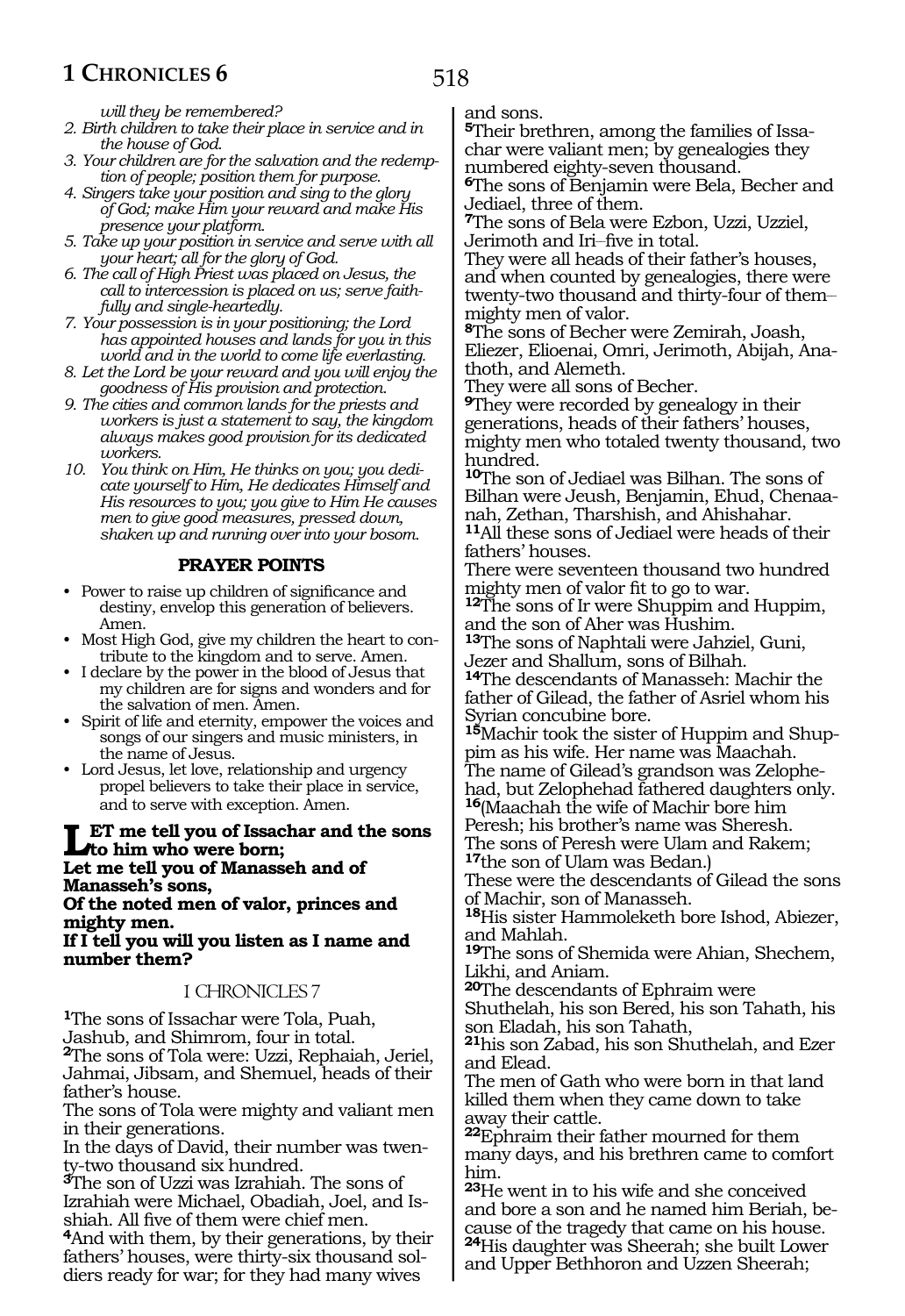*will they be remembered?*

- *2. Birth children to take their place in service and in the house of God.*
- *3. Your children are for the salvation and the redemption of people; position them for purpose.*
- *4. Singers take your position and sing to the glory of God; make Him your reward and make His presence your platform.*
- *5. Take up your position in service and serve with all your heart; all for the glory of God.*
- *6. The call of High Priest was placed on Jesus, the call to intercession is placed on us; serve faithfully and single-heartedly.*
- *7. Your possession is in your positioning; the Lord has appointed houses and lands for you in this world and in the world to come life everlasting.*
- *8. Let the Lord be your reward and you will enjoy the goodness of His provision and protection.*
- *9. The cities and common lands for the priests and workers is just a statement to say, the kingdom always makes good provision for its dedicated workers.*
- *10. You think on Him, He thinks on you; you dedicate yourself to Him, He dedicates Himself and His resources to you; you give to Him He causes men to give good measures, pressed down, shaken up and running over into your bosom.*

#### **PRAYER POINTS**

- Power to raise up children of significance and destiny, envelop this generation of believers. Amen.
- Most High God, give my children the heart to contribute to the kingdom and to serve. Amen.
- I declare by the power in the blood of Jesus that my children are for signs and wonders and for the salvation of men. Amen.
- Spirit of life and eternity, empower the voices and songs of our singers and music ministers, in the name of Jesus.
- Lord Jesus, let love, relationship and urgency propel believers to take their place in service, and to serve with exception. Amen.

# Let me tell you of Issachar and the sons<br> **Let me tell you of Moncocch and of Let me tell you of Manasseh and of Manasseh's sons,**

**Of the noted men of valor, princes and mighty men.**

**If I tell you will you listen as I name and number them?**

#### 1 CHRONICLES 7

**<sup>1</sup>**The sons of Issachar were Tola, Puah, Jashub, and Shimrom, four in total. **<sup>2</sup>**The sons of Tola were: Uzzi, Rephaiah, Jeriel, Jahmai, Jibsam, and Shemuel, heads of their father's house.

The sons of Tola were mighty and valiant men in their generations.

In the days of David, their number was twenty-two thousand six hundred.

**<sup>3</sup>**The son of Uzzi was Izrahiah. The sons of Izrahiah were Michael, Obadiah, Joel, and Isshiah. All five of them were chief men.

**<sup>4</sup>**And with them, by their generations, by their fathers' houses, were thirty-six thousand soldiers ready for war; for they had many wives

and sons.

**5**Their brethren, among the families of Issachar were valiant men; by genealogies they numbered eighty-seven thousand.

**<sup>6</sup>**The sons of Benjamin were Bela, Becher and Jediael, three of them.

**<sup>7</sup>**The sons of Bela were Ezbon, Uzzi, Uzziel, Jerimoth and Iri\_\_five in total.

They were all heads of their father's houses, and when counted by genealogies, there were twenty-two thousand and thirty-four of them\_\_ mighty men of valor.

**<sup>8</sup>**The sons of Becher were Zemirah, Joash, Eliezer, Elioenai, Omri, Jerimoth, Abijah, Anathoth, and Alemeth.

They were all sons of Becher.

**<sup>9</sup>**They were recorded by genealogy in their generations, heads of their fathers' houses, mighty men who totaled twenty thousand, two hundred.

**<sup>10</sup>**The son of Jediael was Bilhan. The sons of Bilhan were Jeush, Benjamin, Ehud, Chenaanah, Zethan, Tharshish, and Ahishahar. **<sup>11</sup>**All these sons of Jediael were heads of their

fathers' houses. There were seventeen thousand two hundred

mighty men of valor fit to go to war.

**<sup>12</sup>**The sons of Ir were Shuppim and Huppim, and the son of Aher was Hushim.

**<sup>13</sup>**The sons of Naphtali were Jahziel, Guni, Jezer and Shallum, sons of Bilhah.

**<sup>14</sup>**The descendants of Manasseh: Machir the father of Gilead, the father of Asriel whom his Syrian concubine bore.

**15**Machir took the sister of Huppim and Shup-<br>pim as his wife. Her name was Maachah.<br>The name of Gilead's grandson was Zelophe-

had, but Zelophehad fathered daughters only. **<sup>16</sup>**(Maachah the wife of Machir bore him

Peresh; his brother's name was Sheresh. The sons of Peresh were Ulam and Rakem;

**<sup>17</sup>**the son of Ulam was Bedan.)

These were the descendants of Gilead the sons of Machir, son of Manasseh.

**<sup>18</sup>**His sister Hammoleketh bore Ishod, Abiezer, and Mahlah.

**<sup>19</sup>**The sons of Shemida were Ahian, Shechem, Likhi, and Aniam.

**<sup>20</sup>**The descendants of Ephraim were

Shuthelah, his son Bered, his son Tahath, his son Eladah, his son Tahath,

**<sup>21</sup>**his son Zabad, his son Shuthelah, and Ezer and Elead.

The men of Gath who were born in that land killed them when they came down to take away their cattle.

**<sup>22</sup>**Ephraim their father mourned for them many days, and his brethren came to comfort him.

**<sup>23</sup>**He went in to his wife and she conceived and bore a son and he named him Beriah, because of the tragedy that came on his house. **<sup>24</sup>**His daughter was Sheerah; she built Lower

and Upper Bethhoron and Uzzen Sheerah;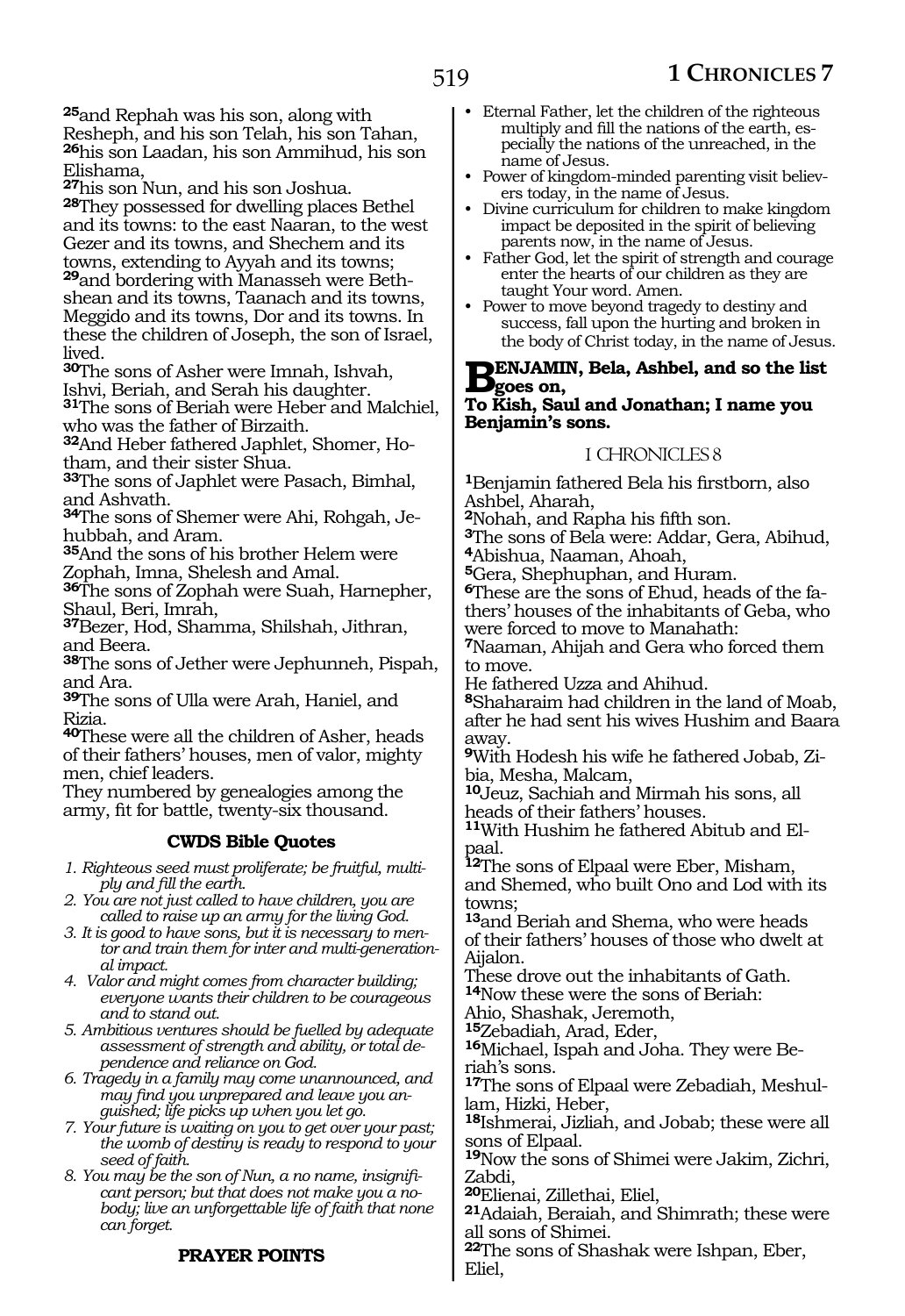**<sup>25</sup>**and Rephah was his son, along with Resheph, and his son Telah, his son Tahan, **<sup>26</sup>**his son Laadan, his son Ammihud, his son Elishama,

**<sup>27</sup>**his son Nun, and his son Joshua. **<sup>28</sup>**They possessed for dwelling places Bethel and its towns: to the east Naaran, to the west Gezer and its towns, and Shechem and its towns, extending to Ayyah and its towns;

**29**and bordering with Manasseh were Bethshean and its towns, Taanach and its towns, Meggido and its towns, Dor and its towns. In these the children of Joseph, the son of Israel, lived.

**<sup>30</sup>**The sons of Asher were Imnah, Ishvah, Ishvi, Beriah, and Serah his daughter.

**<sup>31</sup>**The sons of Beriah were Heber and Malchiel, who was the father of Birzaith.

**32**And Heber fathered Japhlet, Shomer, Hotham, and their sister Shua.

**<sup>33</sup>**The sons of Japhlet were Pasach, Bimhal, and Ashvath.

**34**The sons of Shemer were Ahi, Rohgah, Jehubbah, and Aram.

**<sup>35</sup>**And the sons of his brother Helem were Zophah, Imna, Shelesh and Amal.

**<sup>36</sup>**The sons of Zophah were Suah, Harnepher, Shaul, Beri, Imrah,

**<sup>37</sup>**Bezer, Hod, Shamma, Shilshah, Jithran, and Beera.

**<sup>38</sup>**The sons of Jether were Jephunneh, Pispah, and Ara.

**<sup>39</sup>**The sons of Ulla were Arah, Haniel, and Rizia.

**<sup>40</sup>**These were all the children of Asher, heads of their fathers' houses, men of valor, mighty men, chief leaders.

They numbered by genealogies among the army, fit for battle, twenty-six thousand.

#### **CWDS Bible Quotes**

*1. Righteous seed must proliferate; be fruitful, multiply and fill the earth.*

*2. You are not just called to have children, you are called to raise up an army for the living God.*

- *3. It is good to have sons, but it is necessary to mentor and train them for inter and multi-generational impact.*
- *4. Valor and might comes from character building; everyone wants their children to be courageous and to stand out.*
- *5. Ambitious ventures should be fuelled by adequate assessment of strength and ability, or total dependence and reliance on God.*
- *6. Tragedy in a family may come unannounced, and may find you unprepared and leave you anguished; life picks up when you let go.*

*7. Your future is waiting on you to get over your past; the womb of destiny is ready to respond to your seed of faith.*

*8. You may be the son of Nun, a no name, insignificant person; but that does not make you a nobody; live an unforgettable life of faith that none can forget.*

# **PRAYER POINTS**

- Eternal Father, let the children of the righteous multiply and fill the nations of the earth, especially the nations of the unreached, in the name of Jesus.
- Power of kingdom-minded parenting visit believers today, in the name of Jesus.
- Divine curriculum for children to make kingdom impact be deposited in the spirit of believing parents now, in the name of Jesus.
- Father God, let the spirit of strength and courage enter the hearts of our children as they are taught Your word. Amen.
- Power to move beyond tragedy to destiny and success, fall upon the hurting and broken in the body of Christ today, in the name of Jesus.

# **BENJAMIN, Bela, Ashbel, and so the list**<br> **B**goes on,<br> **To Kick, Soul and Janethan, Lagre row**

#### **To Kish, Saul and Jonathan; I name you Benjamin's sons.**

#### 1 CHRONICLES 8

**<sup>1</sup>**Benjamin fathered Bela his firstborn, also Ashbel, Aharah,

**<sup>2</sup>**Nohah, and Rapha his fifth son.

**<sup>3</sup>**The sons of Bela were: Addar, Gera, Abihud, **<sup>4</sup>**Abishua, Naaman, Ahoah,

**<sup>5</sup>**Gera, Shephuphan, and Huram.

**6**These are the sons of Ehud, heads of the fathers' houses of the inhabitants of Geba, who were forced to move to Manahath:

**<sup>7</sup>**Naaman, Ahijah and Gera who forced them to move.

He fathered Uzza and Ahihud.

**<sup>8</sup>**Shaharaim had children in the land of Moab, after he had sent his wives Hushim and Baara away.

**9**With Hodesh his wife he fathered Jobab, Zibia, Mesha, Malcam,

**<sup>10</sup>**Jeuz, Sachiah and Mirmah his sons, all heads of their fathers' houses.

**11**With Hushim he fathered Abitub and Elpaal.

**<sup>12</sup>**The sons of Elpaal were Eber, Misham, and Shemed, who built Ono and Lod with its towns;

**<sup>13</sup>**and Beriah and Shema, who were heads of their fathers' houses of those who dwelt at Aijalon.

These drove out the inhabitants of Gath. **<sup>14</sup>**Now these were the sons of Beriah:

Ahio, Shashak, Jeremoth,

**<sup>15</sup>**Zebadiah, Arad, Eder,

**16**Michael, Ispah and Joha. They were Beriah's sons.

**17**The sons of Elpaal were Zebadiah, Meshullam, Hizki, Heber,

**<sup>18</sup>**Ishmerai, Jizliah, and Jobab; these were all sons of Elpaal.

**<sup>19</sup>**Now the sons of Shimei were Jakim, Zichri, Zabdi,

**<sup>20</sup>**Elienai, Zillethai, Eliel,

**<sup>21</sup>**Adaiah, Beraiah, and Shimrath; these were all sons of Shimei.

**<sup>22</sup>**The sons of Shashak were Ishpan, Eber, Eliel,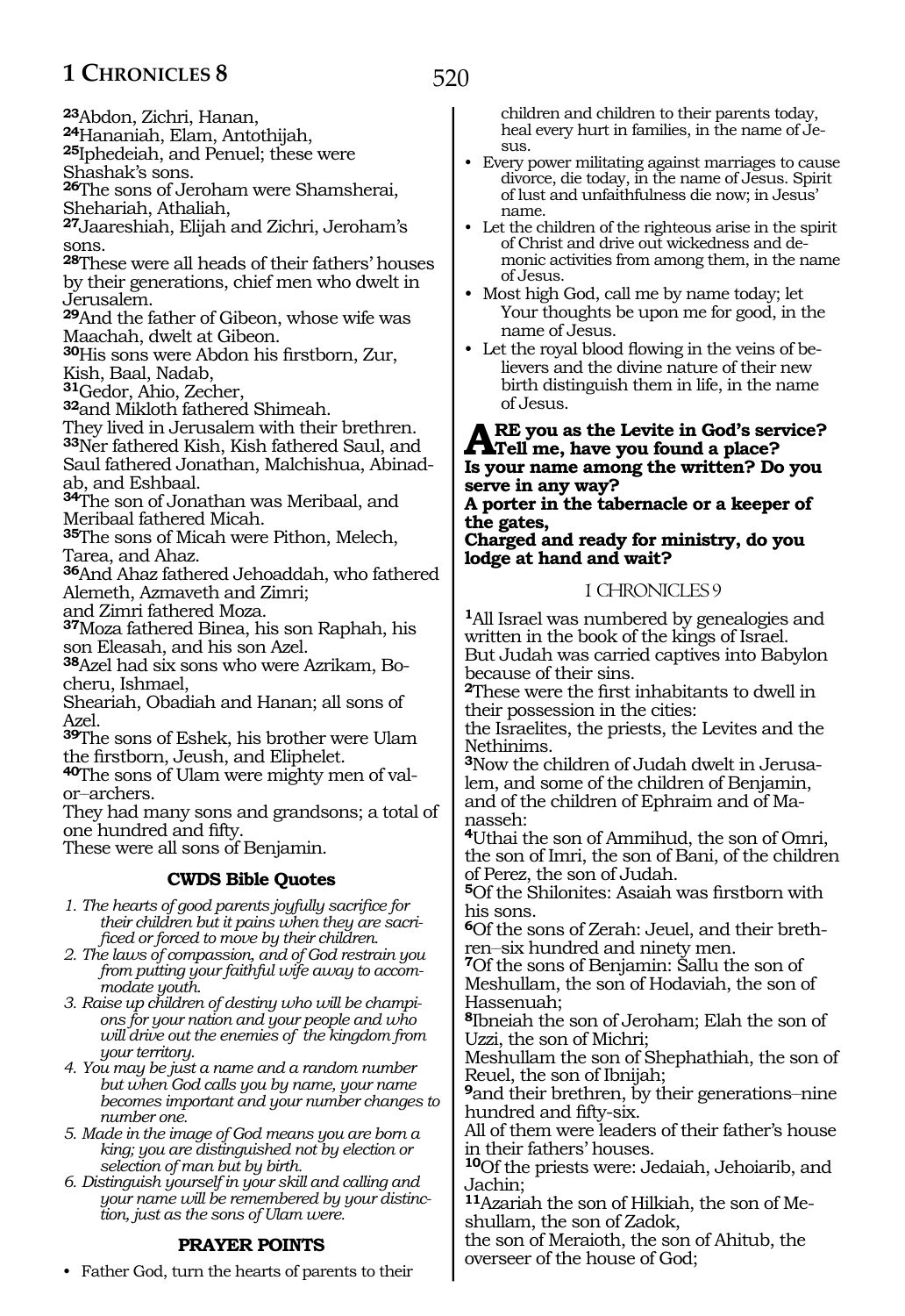**<sup>23</sup>**Abdon, Zichri, Hanan,

**25**Iphedeiah, and Penuel; these were

Shashak's sons.

**<sup>26</sup>**The sons of Jeroham were Shamsherai, Shehariah, Athaliah,

**<sup>27</sup>**Jaareshiah, Elijah and Zichri, Jeroham's sons.

**<sup>28</sup>**These were all heads of their fathers' houses by their generations, chief men who dwelt in Jerusalem.

**<sup>29</sup>**And the father of Gibeon, whose wife was Maachah, dwelt at Gibeon.

**<sup>30</sup>**His sons were Abdon his firstborn, Zur, Kish, Baal, Nadab,

**<sup>31</sup>**Gedor, Ahio, Zecher,

**<sup>32</sup>**and Mikloth fathered Shimeah.

They lived in Jerusalem with their brethren.

**<sup>33</sup>**Ner fathered Kish, Kish fathered Saul, and Saul fathered Jonathan, Malchishua, Abinadab, and Eshbaal.

**<sup>34</sup>**The son of Jonathan was Meribaal, and Meribaal fathered Micah.

**<sup>35</sup>**The sons of Micah were Pithon, Melech, Tarea, and Ahaz.

**<sup>36</sup>**And Ahaz fathered Jehoaddah, who fathered Alemeth, Azmaveth and Zimri;

and Zimri fathered Moza.

**<sup>37</sup>**Moza fathered Binea, his son Raphah, his son Eleasah, and his son Azel.

**38**Azel had six sons who were Azrikam, Bocheru, Ishmael,

Sheariah, Obadiah and Hanan; all sons of Azel.

**<sup>39</sup>**The sons of Eshek, his brother were Ulam the firstborn, Jeush, and Eliphelet.

**40**The sons of Ulam were mighty men of valor-archers.

They had many sons and grandsons; a total of one hundred and fifty.

These were all sons of Benjamin.

# **CWDS Bible Quotes**

*1. The hearts of good parents joyfully sacrifice for their children but it pains when they are sacrificed or forced to move by their children.*

*2. The laws of compassion, and of God restrain you from putting your faithful wife away to accommodate youth.*

*3. Raise up children of destiny who will be champions for your nation and your people and who will drive out the enemies of the kingdom from your territory.*

*4. You may be just a name and a random number but when God calls you by name, your name becomes important and your number changes to number one.*

*5. Made in the image of God means you are born a king; you are distinguished not by election or selection of man but by birth.*

*6. Distinguish yourself in your skill and calling and your name will be remembered by your distinction, just as the sons of Ulam were.*

# **PRAYER POINTS**

• Father God, turn the hearts of parents to their

children and children to their parents today, heal every hurt in families, in the name of Je- $S11S$ .

- Every power militating against marriages to cause divorce, die today, in the name of Jesus. Spirit of lust and unfaithfulness die now; in Jesus' name.
- Let the children of the righteous arise in the spirit of Christ and drive out wickedness and demonic activities from among them, in the name of Jesus.
- Most high God, call me by name today; let Your thoughts be upon me for good, in the name of Jesus.
- Let the royal blood flowing in the veins of believers and the divine nature of their new birth distinguish them in life, in the name of Jesus.

# **Are you as the Levite in God's service? Tell me, have you found a place? Is your name among the written? Do you serve in any way?**

**A porter in the tabernacle or a keeper of the gates,**

**Charged and ready for ministry, do you lodge at hand and wait?**

# 1 CHRONICLES 9

**<sup>1</sup>**All Israel was numbered by genealogies and written in the book of the kings of Israel. But Judah was carried captives into Babylon because of their sins.

**<sup>2</sup>**These were the first inhabitants to dwell in their possession in the cities:

the Israelites, the priests, the Levites and the Nethinims.

**3**Now the children of Judah dwelt in Jerusalem, and some of the children of Benjamin, and of the children of Ephraim and of Manasseh:

**<sup>4</sup>**Uthai the son of Ammihud, the son of Omri, the son of Imri, the son of Bani, of the children of Perez, the son of Judah.

**<sup>5</sup>**Of the Shilonites: Asaiah was firstborn with his sons.

**6**Of the sons of Zerah: Jeuel, and their breth-

**7**Of the sons of Benjamin: Sallu the son of Meshullam, the son of Hodaviah, the son of Hassenuah;

**<sup>8</sup>**Ibneiah the son of Jeroham; Elah the son of Uzzi, the son of Michri;

Meshullam the son of Shephathiah, the son of Reuel, the son of Ibnijah;

**9** and their brethren, by their generations—nine hundred and fifty-six.

All of them were leaders of their father's house in their fathers' houses.

**<sup>10</sup>**Of the priests were: Jedaiah, Jehoiarib, and Jachin;

**11**Azariah the son of Hilkiah, the son of Meshullam, the son of Zadok,

the son of Meraioth, the son of Ahitub, the overseer of the house of God;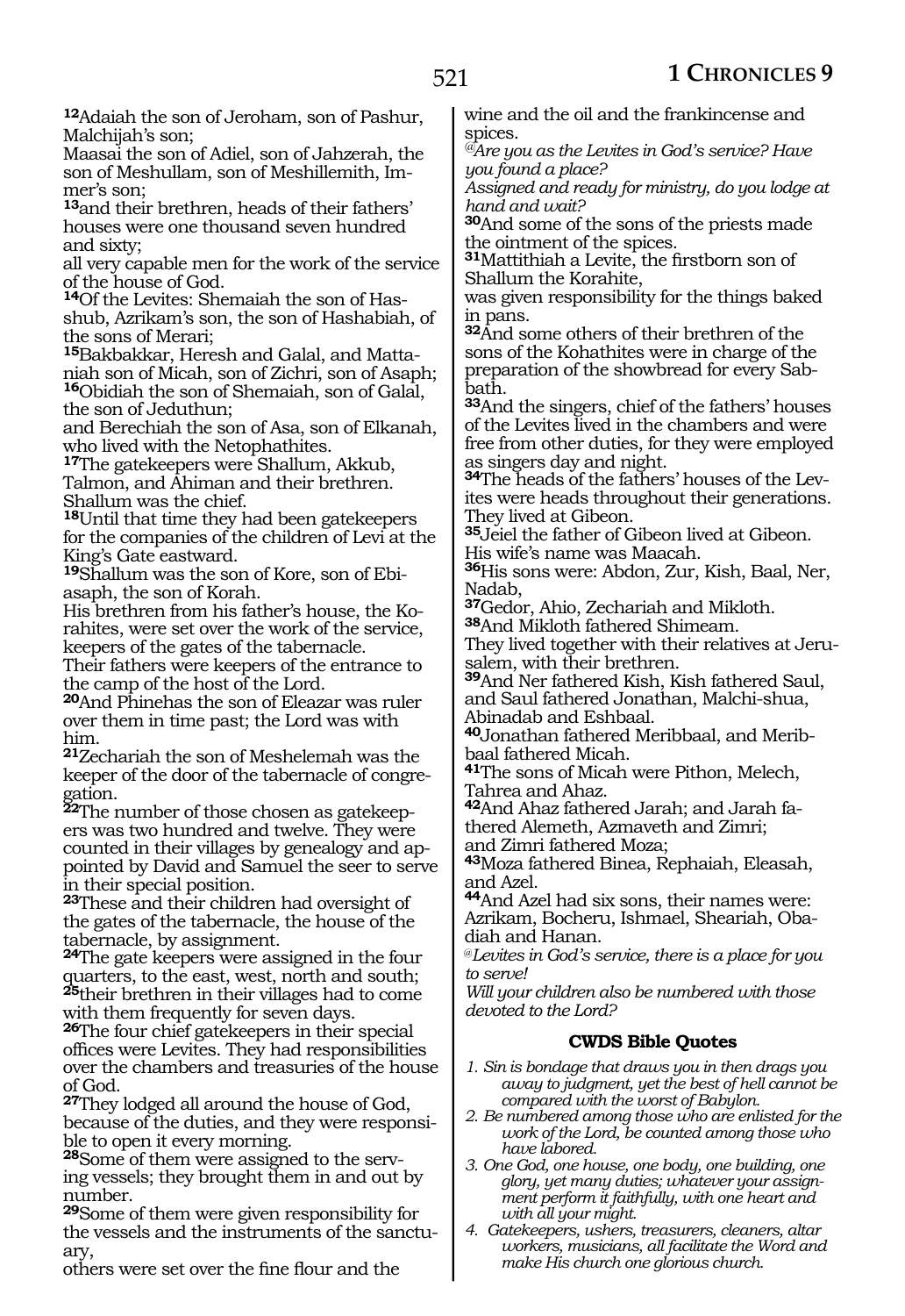**<sup>12</sup>**Adaiah the son of Jeroham, son of Pashur, Malchijah's son;

Maasai the son of Adiel, son of Jahzerah, the son of Meshullam, son of Meshillemith, Immer's son;

**<sup>13</sup>**and their brethren, heads of their fathers' houses were one thousand seven hundred and sixty;

all very capable men for the work of the service of the house of God.

**14**Of the Levites: Shemaiah the son of Hasshub, Azrikam's son, the son of Hashabiah, of the sons of Merari;

**15**Bakbakkar, Heresh and Galal, and Mattaniah son of Micah, son of Zichri, son of Asaph; **<sup>16</sup>**Obidiah the son of Shemaiah, son of Galal, the son of Jeduthun;

and Berechiah the son of Asa, son of Elkanah, who lived with the Netophathites.

**<sup>17</sup>**The gatekeepers were Shallum, Akkub, Talmon, and Ahiman and their brethren. Shallum was the chief.

**<sup>18</sup>**Until that time they had been gatekeepers for the companies of the children of Levi at the King's Gate eastward.

**19**Shallum was the son of Kore, son of Ebiasaph, the son of Korah.

His brethren from his father's house, the Korahites, were set over the work of the service, keepers of the gates of the tabernacle.

Their fathers were keepers of the entrance to the camp of the host of the Lord.

**<sup>20</sup>**And Phinehas the son of Eleazar was ruler over them in time past; the Lord was with him.

**<sup>21</sup>**Zechariah the son of Meshelemah was the keeper of the door of the tabernacle of congregation.

**<sup>22</sup>**The number of those chosen as gatekeep- ers was two hundred and twelve. They were counted in their villages by genealogy and appointed by David and Samuel the seer to serve in their special position.

**<sup>23</sup>**These and their children had oversight of the gates of the tabernacle, the house of the tabernacle, by assignment.

**<sup>24</sup>**The gate keepers were assigned in the four quarters, to the east, west, north and south; **<sup>25</sup>**their brethren in their villages had to come with them frequently for seven days.

**<sup>26</sup>**The four chief gatekeepers in their special offices were Levites. They had responsibilities over the chambers and treasuries of the house of God.

**<sup>27</sup>**They lodged all around the house of God, because of the duties, and they were responsi- ble to open it every morning.

**<sup>28</sup>**Some of them were assigned to the serv- ing vessels; they brought them in and out by number.

**<sup>29</sup>**Some of them were given responsibility for the vessels and the instruments of the sanctuary,

others were set over the fine flour and the

wine and the oil and the frankincense and spices.

*@Are you as the Levites in God's service? Have you found a place?*

*Assigned and ready for ministry, do you lodge at hand and wait?*

**<sup>30</sup>**And some of the sons of the priests made the ointment of the spices.

**<sup>31</sup>**Mattithiah a Levite, the firstborn son of Shallum the Korahite,

was given responsibility for the things baked in pans.

**<sup>32</sup>**And some others of their brethren of the sons of the Kohathites were in charge of the preparation of the showbread for every Sabbath.

**<sup>33</sup>**And the singers, chief of the fathers' houses of the Levites lived in the chambers and were free from other duties, for they were employed as singers day and night.

**34**The heads of the fathers' houses of the Levites were heads throughout their generations. They lived at Gibeon.

**<sup>35</sup>**Jeiel the father of Gibeon lived at Gibeon. His wife's name was Maacah.

**<sup>36</sup>**His sons were: Abdon, Zur, Kish, Baal, Ner, Nadab,

**<sup>37</sup>**Gedor, Ahio, Zechariah and Mikloth.

**<sup>38</sup>**And Mikloth fathered Shimeam. They lived together with their relatives at Jerusalem, with their brethren.

**<sup>39</sup>**And Ner fathered Kish, Kish fathered Saul, and Saul fathered Jonathan, Malchi-shua, Abinadab and Eshbaal.

**40**Jonathan fathered Meribbaal, and Meribbaal fathered Micah.

**<sup>41</sup>**The sons of Micah were Pithon, Melech, Tahrea and Ahaz.

**<sup>42</sup>**And Ahaz fathered Jarah; and Jarah fa- thered Alemeth, Azmaveth and Zimri; and Zimri fathered Moza;

**<sup>43</sup>**Moza fathered Binea, Rephaiah, Eleasah, and Azel.

**<sup>44</sup>**And Azel had six sons, their names were: Azrikam, Bocheru, Ishmael, Sheariah, Obadiah and Hanan.

@*Levites in God's service, there is a place for you to serve!*

*Will your children also be numbered with those devoted to the Lord?*

# **CWDS Bible Quotes**

- *1. Sin is bondage that draws you in then drags you away to judgment, yet the best of hell cannot be compared with the worst of Babylon.*
- *2. Be numbered among those who are enlisted for the work of the Lord, be counted among those who have labored.*
- *3. One God, one house, one body, one building, one glory, yet many duties; whatever your assignment perform it faithfully, with one heart and with all your might.*
- *4. Gatekeepers, ushers, treasurers, cleaners, altar workers, musicians, all facilitate the Word and make His church one glorious church.*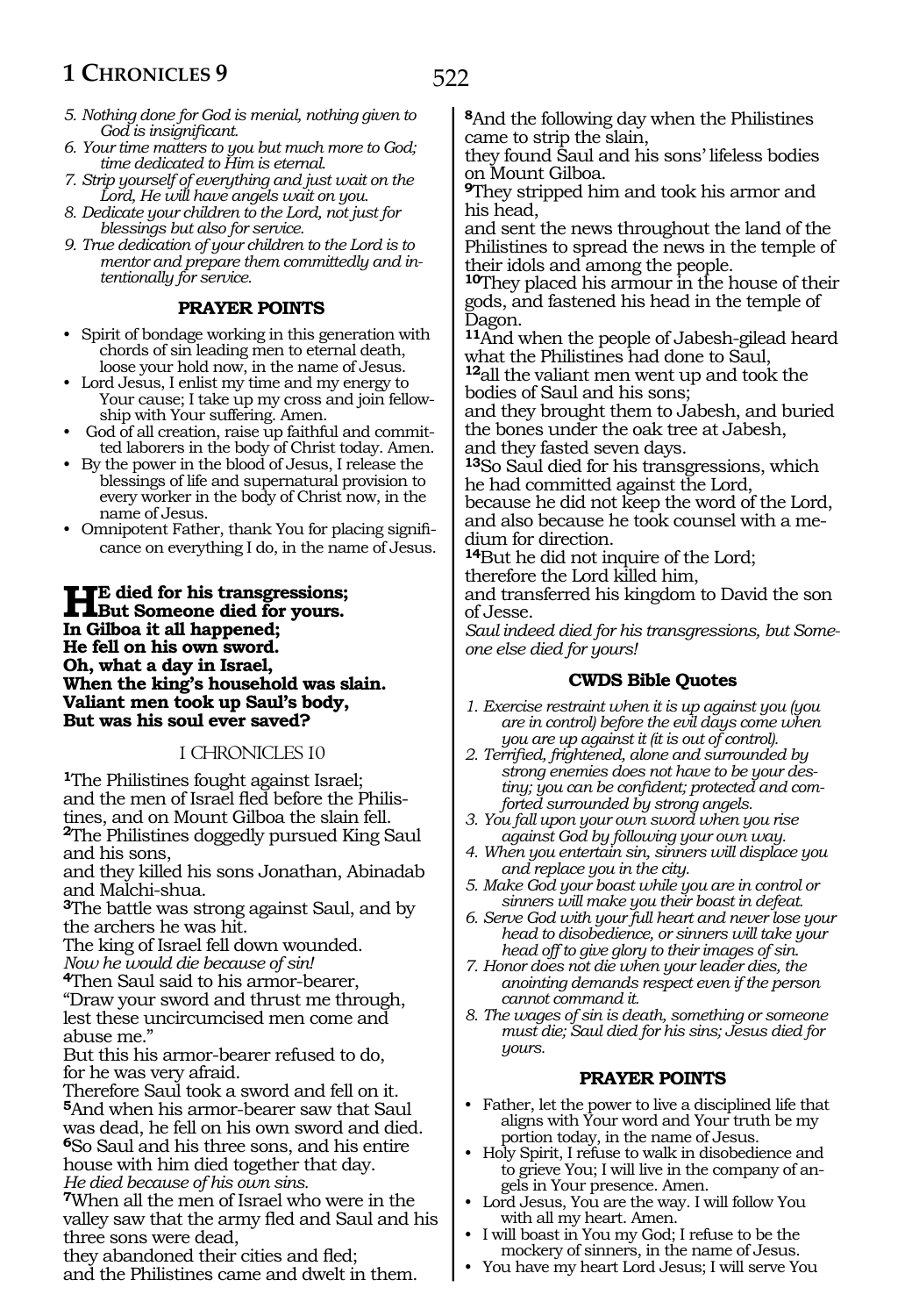- *5. Nothing done for God is menial, nothing given to God is insignificant.*
- *6. Your time matters to you but much more to God; time dedicated to Him is eternal.*
- *7. Strip yourself of everything and just wait on the Lord, He will have angels wait on you.*
- *8. Dedicate your children to the Lord, not just for blessings but also for service.*
- *9. True dedication of your children to the Lord is to mentor and prepare them committedly and intentionally for service.*

#### **PRAYER POINTS**

- Spirit of bondage working in this generation with chords of sin leading men to eternal death, loose your hold now, in the name of Jesus.
- Lord Jesus, I enlist my time and my energy to Your cause; I take up my cross and join fellowship with Your suffering. Amen.
- God of all creation, raise up faithful and committed laborers in the body of Christ today. Amen.
- By the power in the blood of Jesus, I release the blessings of life and supernatural provision to every worker in the body of Christ now, in the name of Jesus.
- Omnipotent Father, thank You for placing significance on everything I do, in the name of Jesus.

**He died for his transgressions; But Someone died for yours. In Gilboa it all happened; He fell on his own sword. Oh, what a day in Israel, When the king's household was slain. Valiant men took up Saul's body, But was his soul ever saved?**

#### 1 CHRONICLES 10

**<sup>1</sup>**The Philistines fought against Israel; and the men of Israel fled before the Philistines, and on Mount Gilboa the slain fell.

**<sup>2</sup>**The Philistines doggedly pursued King Saul and his sons,

and they killed his sons Jonathan, Abinadab and Malchi-shua.

**<sup>3</sup>**The battle was strong against Saul, and by the archers he was hit.

The king of Israel fell down wounded. *Now he would die because of sin!*

**<sup>4</sup>**Then Saul said to his armor-bearer,

"Draw your sword and thrust me through, lest these uncircumcised men come and abuse me."

But this his armor-bearer refused to do, for he was very afraid.

Therefore Saul took a sword and fell on it. **<sup>5</sup>**And when his armor-bearer saw that Saul was dead, he fell on his own sword and died. **<sup>6</sup>**So Saul and his three sons, and his entire house with him died together that day. *He died because of his own sins.*

**<sup>7</sup>**When all the men of Israel who were in the valley saw that the army fled and Saul and his three sons were dead,

they abandoned their cities and fled; and the Philistines came and dwelt in them. **<sup>8</sup>**And the following day when the Philistines came to strip the slain,

they found Saul and his sons' lifeless bodies on Mount Gilboa.

**<sup>9</sup>**They stripped him and took his armor and his head,

and sent the news throughout the land of the Philistines to spread the news in the temple of their idols and among the people.

**<sup>10</sup>**They placed his armour in the house of their gods, and fastened his head in the temple of Dagon.

**<sup>11</sup>**And when the people of Jabesh-gilead heard what the Philistines had done to Saul,

**<sup>12</sup>**all the valiant men went up and took the bodies of Saul and his sons;

and they brought them to Jabesh, and buried the bones under the oak tree at Jabesh, and they fasted seven days.

**<sup>13</sup>**So Saul died for his transgressions, which he had committed against the Lord,

because he did not keep the word of the Lord, and also because he took counsel with a medium for direction.

**<sup>14</sup>**But he did not inquire of the Lord; therefore the Lord killed him,

and transferred his kingdom to David the son of Jesse.

*Saul indeed died for his transgressions, but Someone else died for yours!*

#### **CWDS Bible Quotes**

- *1. Exercise restraint when it is up against you (you are in control) before the evil days come when you are up against it (it is out of control).*
- *2. Terrified, frightened, alone and surrounded by strong enemies does not have to be your destiny; you can be confident; protected and comforted surrounded by strong angels.*
- *3. You fall upon your own sword when you rise against God by following your own way.*
- *4. When you entertain sin, sinners will displace you and replace you in the city.*
- *5. Make God your boast while you are in control or sinners will make you their boast in defeat.*
- *6. Serve God with your full heart and never lose your head to disobedience, or sinners will take your head off to give glory to their images of sin.*
- *7. Honor does not die when your leader dies, the anointing demands respect even if the person cannot command it.*
- *8. The wages of sin is death, something or someone must die; Saul died for his sins; Jesus died for yours.*

#### **PRAYER POINTS**

- Father, let the power to live a disciplined life that aligns with Your word and Your truth be my portion today, in the name of Jesus.
- Holy Spirit, I refuse to walk in disobedience and to grieve You; I will live in the company of angels in Your presence. Amen.
- Lord Jesus, You are the way. I will follow You with all my heart. Amen.
- I will boast in You my God; I refuse to be the mockery of sinners, in the name of Jesus.
- You have my heart Lord Jesus; I will serve You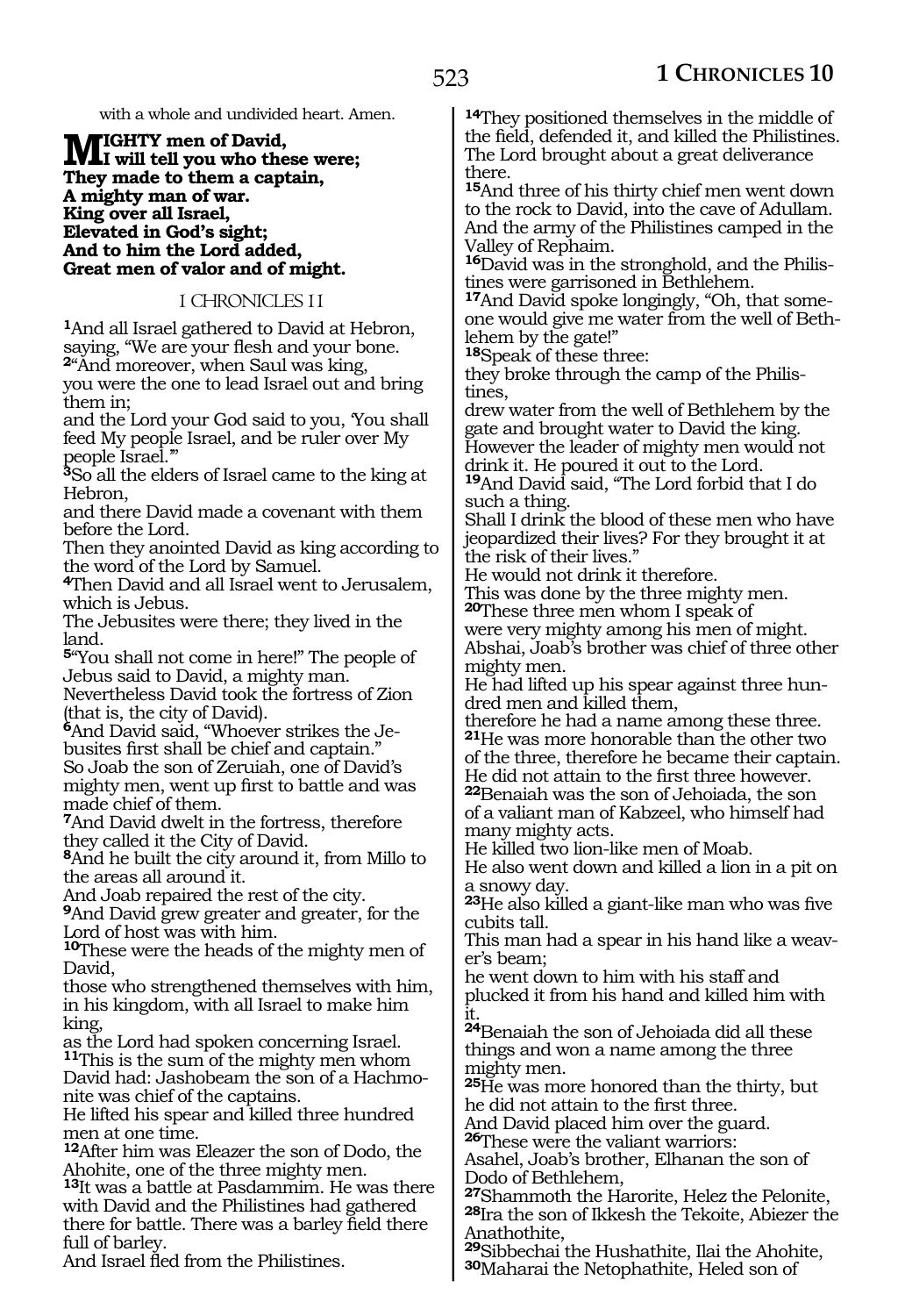with a whole and undivided heart. Amen.

### **MIGHTY** men of David,<br> **INGLI** will tell you who these were; **They made to them a captain, A mighty man of war. King over all Israel, Elevated in God's sight; And to him the Lord added, Great men of valor and of might.**

1 CHRONICLES 11

**<sup>1</sup>**And all Israel gathered to David at Hebron, saying, "We are your flesh and your bone. **<sup>2</sup>**"And moreover, when Saul was king,

you were the one to lead Israel out and bring them in;

and the Lord your God said to you, 'You shall feed My people Israel, and be ruler over My people Israel.'"

**<sup>3</sup>**So all the elders of Israel came to the king at Hebron,

and there David made a covenant with them before the Lord.

Then they anointed David as king according to the word of the Lord by Samuel.

**<sup>4</sup>**Then David and all Israel went to Jerusalem, which is Jebus.

The Jebusites were there; they lived in the land.

**<sup>5</sup>**"You shall not come in here!" The people of Jebus said to David, a mighty man.

Nevertheless David took the fortress of Zion (that is, the city of David).

**6**And David said, "Whoever strikes the Jebusites first shall be chief and captain." So Joab the son of Zeruiah, one of David's mighty men, went up first to battle and was made chief of them.

**<sup>7</sup>**And David dwelt in the fortress, therefore they called it the City of David.

**<sup>8</sup>**And he built the city around it, from Millo to the areas all around it.

And Joab repaired the rest of the city.

**<sup>9</sup>**And David grew greater and greater, for the Lord of host was with him.

**<sup>10</sup>**These were the heads of the mighty men of David,

those who strengthened themselves with him, in his kingdom, with all Israel to make him king,

as the Lord had spoken concerning Israel. **<sup>11</sup>**This is the sum of the mighty men whom David had: Jashobeam the son of a Hachmonite was chief of the captains.

He lifted his spear and killed three hundred men at one time.

**<sup>12</sup>**After him was Eleazer the son of Dodo, the Ahohite, one of the three mighty men.

**<sup>13</sup>**It was a battle at Pasdammim. He was there with David and the Philistines had gathered there for battle. There was a barley field there full of barley.

And Israel fled from the Philistines.

**<sup>14</sup>**They positioned themselves in the middle of the field, defended it, and killed the Philistines. The Lord brought about a great deliverance there.

**<sup>15</sup>**And three of his thirty chief men went down to the rock to David, into the cave of Adullam. And the army of the Philistines camped in the Valley of Rephaim.

**16**David was in the stronghold, and the Philistines were garrisoned in Bethlehem.

**17**And David spoke longingly, "Oh, that someone would give me water from the well of Bethlehem by the gate!"

**<sup>18</sup>**Speak of these three:

they broke through the camp of the Philistines,

drew water from the well of Bethlehem by the gate and brought water to David the king. However the leader of mighty men would not drink it. He poured it out to the Lord. **<sup>19</sup>**And David said, "The Lord forbid that I do

such a thing.

Shall I drink the blood of these men who have jeopardized their lives? For they brought it at the risk of their lives."

He would not drink it therefore.

This was done by the three mighty men.

**<sup>20</sup>**These three men whom I speak of were very mighty among his men of might. Abshai, Joab's brother was chief of three other mighty men.

He had lifted up his spear against three hundred men and killed them,

therefore he had a name among these three. **<sup>21</sup>**He was more honorable than the other two of the three, therefore he became their captain.

He did not attain to the first three however. **<sup>22</sup>**Benaiah was the son of Jehoiada, the son

of a valiant man of Kabzeel, who himself had many mighty acts.

He killed two lion-like men of Moab.

He also went down and killed a lion in a pit on a snowy day.

**<sup>23</sup>**He also killed a giant-like man who was five cubits tall.

This man had a spear in his hand like a weaver's beam;

he went down to him with his staff and plucked it from his hand and killed him with it.

**<sup>24</sup>**Benaiah the son of Jehoiada did all these things and won a name among the three mighty men.

**<sup>25</sup>**He was more honored than the thirty, but he did not attain to the first three.

And David placed him over the guard.

**<sup>26</sup>**These were the valiant warriors: Asahel, Joab's brother, Elhanan the son of Dodo of Bethlehem,

**<sup>27</sup>**Shammoth the Harorite, Helez the Pelonite, **<sup>28</sup>**Ira the son of Ikkesh the Tekoite, Abiezer the Anathothite,

**<sup>29</sup>**Sibbechai the Hushathite, Ilai the Ahohite, **<sup>30</sup>**Maharai the Netophathite, Heled son of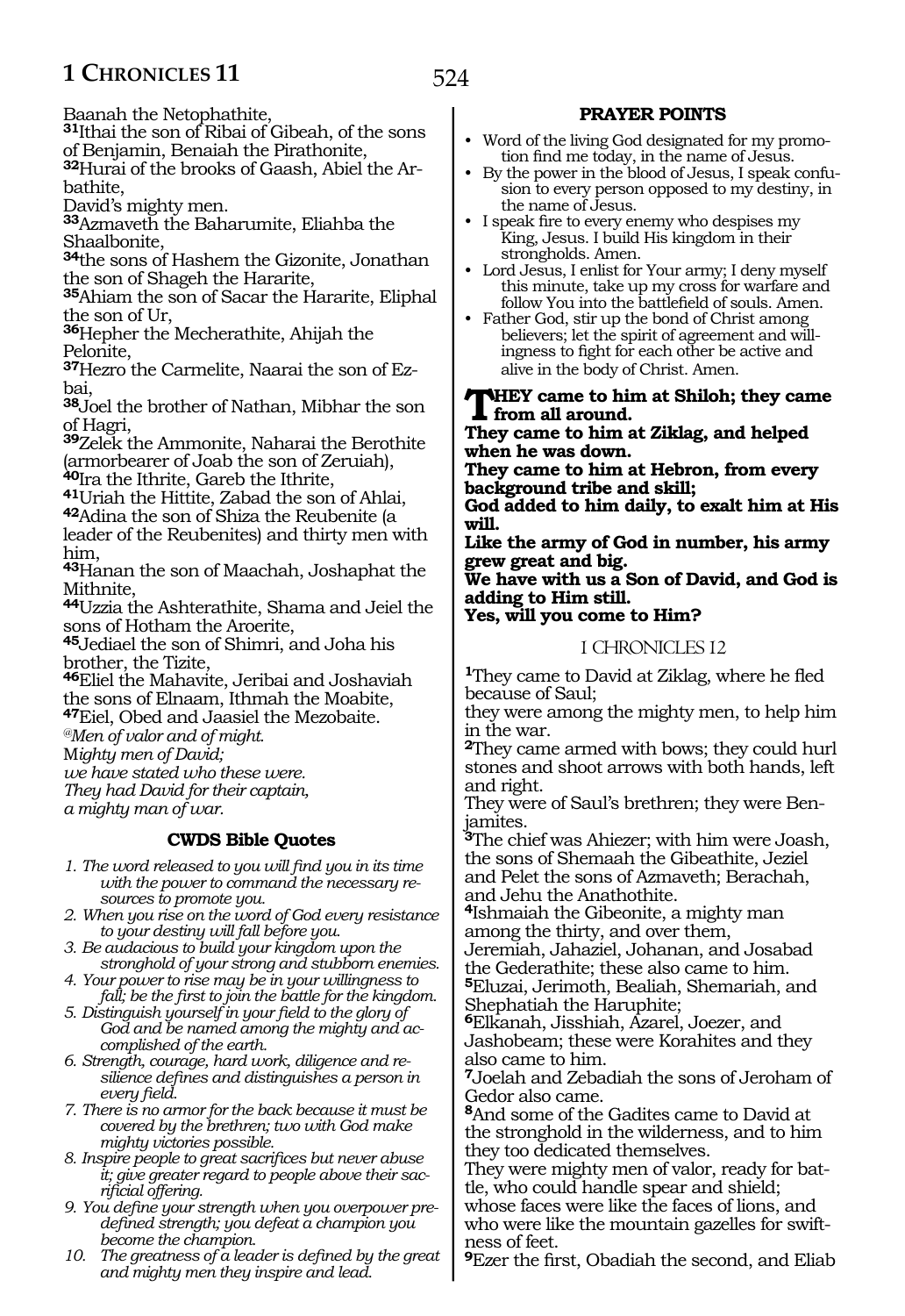Baanah the Netophathite,

**<sup>31</sup>**Ithai the son of Ribai of Gibeah, of the sons of Benjamin, Benaiah the Pirathonite,

**32**Hurai of the brooks of Gaash, Abiel the Arbathite,

David's mighty men.

**<sup>33</sup>**Azmaveth the Baharumite, Eliahba the Shaalbonite,

**<sup>34</sup>**the sons of Hashem the Gizonite, Jonathan the son of Shageh the Hararite,

**<sup>35</sup>**Ahiam the son of Sacar the Hararite, Eliphal the son of Ur,

**<sup>36</sup>**Hepher the Mecherathite, Ahijah the Pelonite,

**37**Hezro the Carmelite, Naarai the son of Ezbai,

**<sup>38</sup>**Joel the brother of Nathan, Mibhar the son of Hagri,

**<sup>39</sup>**Zelek the Ammonite, Naharai the Berothite (armorbearer of Joab the son of Zeruiah),

<sup>41</sup>Uriah the Hittite, Zabad the son of Ahlai, **<sup>42</sup>**Adina the son of Shiza the Reubenite (a

leader of the Reubenites) and thirty men with him,

**<sup>43</sup>**Hanan the son of Maachah, Joshaphat the Mithnite,

**<sup>44</sup>**Uzzia the Ashterathite, Shama and Jeiel the sons of Hotham the Aroerite,

**<sup>45</sup>**Jediael the son of Shimri, and Joha his brother, the Tizite,

**<sup>46</sup>**Eliel the Mahavite, Jeribai and Joshaviah the sons of Elnaam, Ithmah the Moabite,

**<sup>47</sup>**Eiel, Obed and Jaasiel the Mezobaite.

*@Men of valor and of might.*

M*ighty men of David;*

*we have stated who these were. They had David for their captain,*

*a mighty man of war.*

# **CWDS Bible Quotes**

*1. The word released to you will find you in its time with the power to command the necessary resources to promote you.*

*2. When you rise on the word of God every resistance to your destiny will fall before you.*

*3. Be audacious to build your kingdom upon the stronghold of your strong and stubborn enemies.*

- *4. Your power to rise may be in your willingness to fall; be the first to join the battle for the kingdom.*
- *5. Distinguish yourself in your field to the glory of God and be named among the mighty and accomplished of the earth.*

*6. Strength, courage, hard work, diligence and resilience defines and distinguishes a person in every field.*

*7. There is no armor for the back because it must be covered by the brethren; two with God make mighty victories possible.*

*8. Inspire people to great sacrifices but never abuse it; give greater regard to people above their sacrificial offering.*

*9. You define your strength when you overpower predefined strength; you defeat a champion you become the champion.*

*10. The greatness of a leader is defined by the great and mighty men they inspire and lead.*

# **PRAYER POINTS**

- Word of the living God designated for my promotion find me today, in the name of Jesus.
- By the power in the blood of Jesus, I speak confusion to every person opposed to my destiny, in the name of Jesus.
- I speak fire to every enemy who despises my King, Jesus. I build His kingdom in their strongholds. Amen.
- Lord Jesus, I enlist for Your army; I deny myself this minute, take up my cross for warfare and follow You into the battlefield of souls. Amen.
- Father God, stir up the bond of Christ among believers; let the spirit of agreement and willingness to fight for each other be active and alive in the body of Christ. Amen.

**They came to him at Shiloh; they came from all around.**

**They came to him at Ziklag, and helped when he was down.**

**They came to him at Hebron, from every background tribe and skill;**

**God added to him daily, to exalt him at His will.**

**Like the army of God in number, his army grew great and big.**

**We have with us a Son of David, and God is adding to Him still. Yes, will you come to Him?**

# 1 CHRONICLES 12

**<sup>1</sup>**They came to David at Ziklag, where he fled because of Saul;

they were among the mighty men, to help him in the war.

**<sup>2</sup>**They came armed with bows; they could hurl stones and shoot arrows with both hands, left and right.

They were of Saul's brethren; they were Benjamites.

**<sup>3</sup>**The chief was Ahiezer; with him were Joash, the sons of Shemaah the Gibeathite, Jeziel and Pelet the sons of Azmaveth; Berachah, and Jehu the Anathothite.

**<sup>4</sup>**Ishmaiah the Gibeonite, a mighty man among the thirty, and over them,

Jeremiah, Jahaziel, Johanan, and Josabad the Gederathite; these also came to him. **<sup>5</sup>**Eluzai, Jerimoth, Bealiah, Shemariah, and Shephatiah the Haruphite;

**<sup>6</sup>**Elkanah, Jisshiah, Azarel, Joezer, and Jashobeam; these were Korahites and they also came to him.

**<sup>7</sup>**Joelah and Zebadiah the sons of Jeroham of Gedor also came.

**<sup>8</sup>**And some of the Gadites came to David at the stronghold in the wilderness, and to him they too dedicated themselves.

They were mighty men of valor, ready for bat- tle, who could handle spear and shield;

whose faces were like the faces of lions, and who were like the mountain gazelles for swift- ness of feet.

**<sup>9</sup>**Ezer the first, Obadiah the second, and Eliab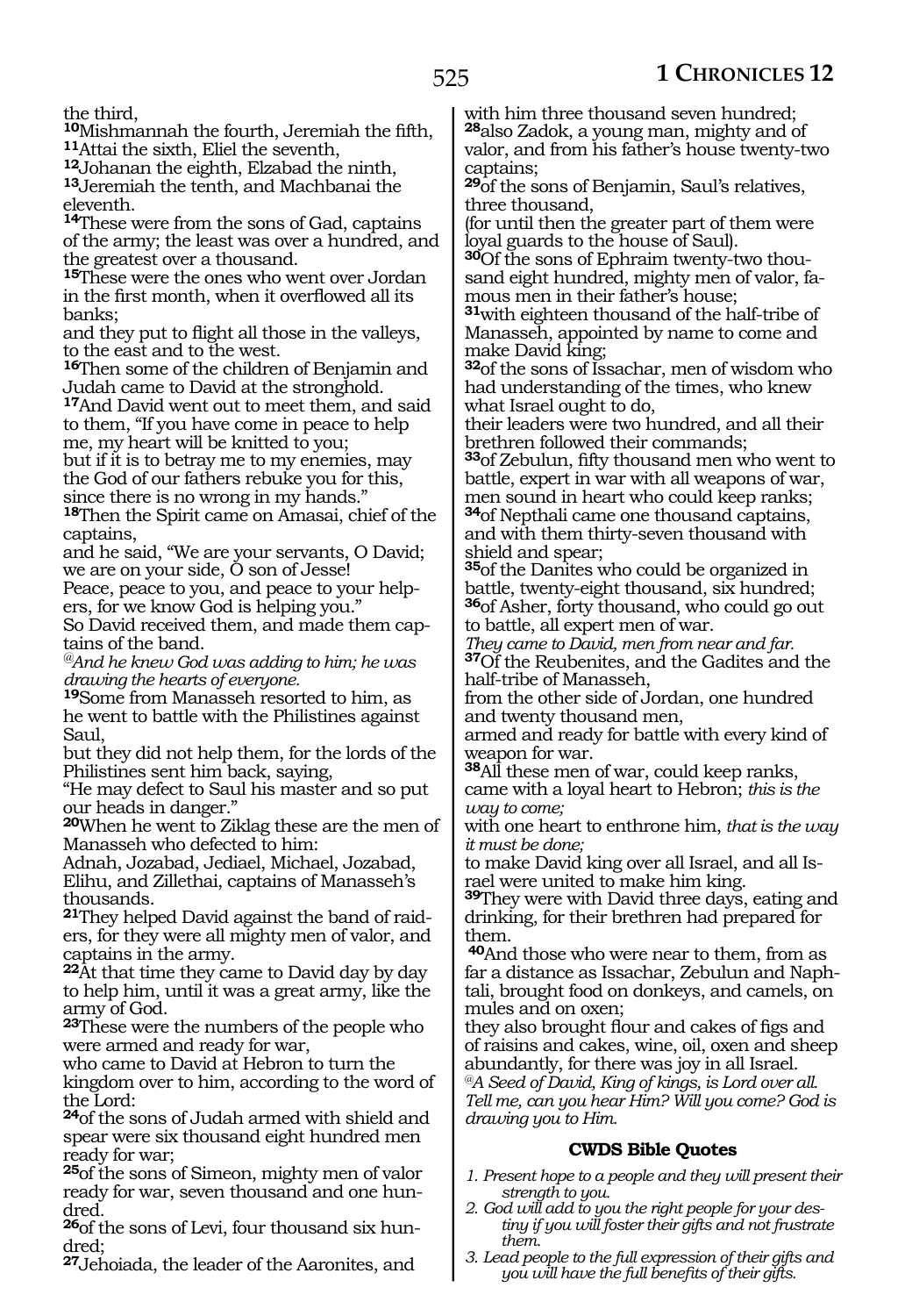the third,

**<sup>10</sup>**Mishmannah the fourth, Jeremiah the fifth, **11**Attai the sixth, Eliel the seventh,

**13** Jeremiah the tenth, and Machbanai the eleventh.

**<sup>14</sup>**These were from the sons of Gad, captains of the army; the least was over a hundred, and the greatest over a thousand.

**<sup>15</sup>**These were the ones who went over Jordan in the first month, when it overflowed all its banks;

and they put to flight all those in the valleys, to the east and to the west.

**<sup>16</sup>**Then some of the children of Benjamin and Judah came to David at the stronghold.

**<sup>17</sup>**And David went out to meet them, and said to them, "If you have come in peace to help me, my heart will be knitted to you;

but if it is to betray me to my enemies, may the God of our fathers rebuke you for this, since there is no wrong in my hands."

**<sup>18</sup>**Then the Spirit came on Amasai, chief of the captains,

and he said, "We are your servants, O David; we are on your side, O son of Jesse!

Peace, peace to you, and peace to your help-<br>ers, for we know God is helping you."

So David received them, and made them cap- tains of the band.

*@And he knew God was adding to him; he was drawing the hearts of everyone.*

**<sup>19</sup>**Some from Manasseh resorted to him, as he went to battle with the Philistines against Saul,

but they did not help them, for the lords of the Philistines sent him back, saying,

"He may defect to Saul his master and so put our heads in danger."

**<sup>20</sup>**When he went to Ziklag these are the men of Manasseh who defected to him:

Adnah, Jozabad, Jediael, Michael, Jozabad, Elihu, and Zillethai, captains of Manasseh's thousands.

**21**They helped David against the band of raiders, for they were all mighty men of valor, and captains in the army.

**<sup>22</sup>**At that time they came to David day by day to help him, until it was a great army, like the army of God.

**<sup>23</sup>**These were the numbers of the people who were armed and ready for war,

who came to David at Hebron to turn the kingdom over to him, according to the word of the Lord:

**<sup>24</sup>**of the sons of Judah armed with shield and spear were six thousand eight hundred men ready for war;

**<sup>25</sup>**of the sons of Simeon, mighty men of valor ready for war, seven thousand and one hundred.

**26**of the sons of Levi, four thousand six hun-<br>dred:

**<sup>27</sup>**Jehoiada, the leader of the Aaronites, and

with him three thousand seven hundred; **<sup>28</sup>**also Zadok, a young man, mighty and of valor, and from his father's house twenty-two captains;

**<sup>29</sup>**of the sons of Benjamin, Saul's relatives, three thousand,

(for until then the greater part of them were loyal guards to the house of Saul).

**30**Of the sons of Ephraim twenty-two thousand eight hundred, mighty men of valor, famous men in their father's house;

**<sup>31</sup>**with eighteen thousand of the half-tribe of Manasseh, appointed by name to come and make David king;

**<sup>32</sup>**of the sons of Issachar, men of wisdom who had understanding of the times, who knew what Israel ought to do,

their leaders were two hundred, and all their brethren followed their commands;

**<sup>33</sup>**of Zebulun, fifty thousand men who went to battle, expert in war with all weapons of war, men sound in heart who could keep ranks; **<sup>34</sup>**of Nepthali came one thousand captains,

and with them thirty-seven thousand with shield and spear;

**<sup>35</sup>**of the Danites who could be organized in battle, twenty-eight thousand, six hundred; **<sup>36</sup>**of Asher, forty thousand, who could go out to battle, all expert men of war.

*They came to David, men from near and far.* **<sup>37</sup>**Of the Reubenites, and the Gadites and the half-tribe of Manasseh,

from the other side of Jordan, one hundred and twenty thousand men,

armed and ready for battle with every kind of weapon for war.

**<sup>38</sup>**All these men of war, could keep ranks, came with a loyal heart to Hebron; *this is the way to come;*

with one heart to enthrone him, *that is the way it must be done;*

to make David king over all Israel, and all Israel were united to make him king.

**<sup>39</sup>**They were with David three days, eating and drinking, for their brethren had prepared for them.

**<sup>40</sup>**And those who were near to them, from as far a distance as Issachar, Zebulun and Naphtali, brought food on donkeys, and camels, on mules and on oxen;

they also brought flour and cakes of figs and of raisins and cakes, wine, oil, oxen and sheep abundantly, for there was joy in all Israel. *@A Seed of David, King of kings, is Lord over all.*

*Tell me, can you hear Him? Will you come? God is drawing you to Him.*

# **CWDS Bible Quotes**

- *1. Present hope to a people and they will present their strength to you.*
- *2. God will add to you the right people for your destiny if you will foster their gifts and not frustrate them.*
- *3. Lead people to the full expression of their gifts and you will have the full benefits of their gifts.*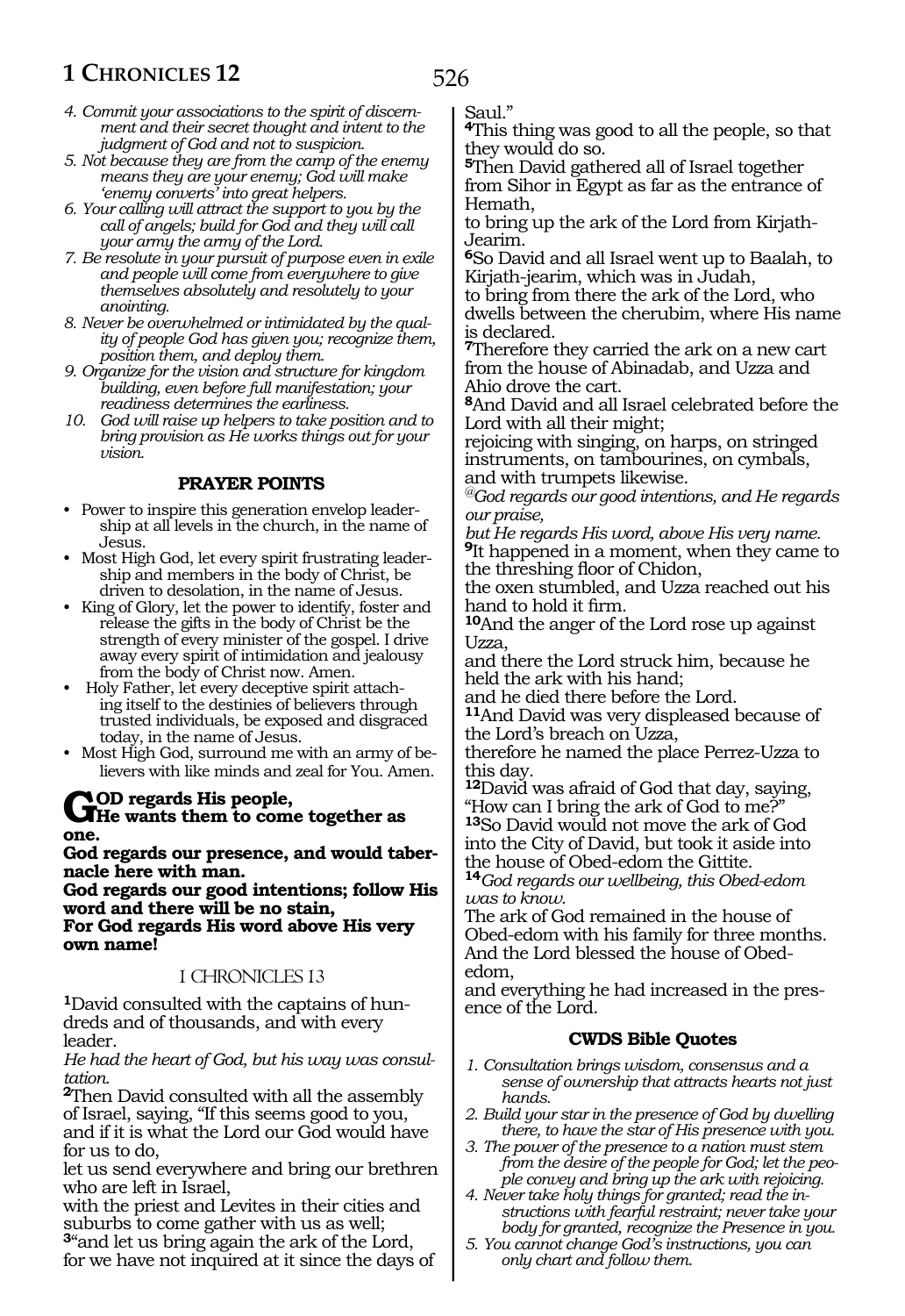- *4. Commit your associations to the spirit of discernment and their secret thought and intent to the judgment of God and not to suspicion.*
- *5. Not because they are from the camp of the enemy means they are your enemy; God will make 'enemy converts' into great helpers.*
- *6. Your calling will attract the support to you by the call of angels; build for God and they will call your army the army of the Lord.*
- *7. Be resolute in your pursuit of purpose even in exile and people will come from everywhere to give themselves absolutely and resolutely to your anointing.*
- *8. Never be overwhelmed or intimidated by the quality of people God has given you; recognize them, position them, and deploy them.*
- *9. Organize for the vision and structure for kingdom building, even before full manifestation; your readiness determines the earliness.*
- *10. God will raise up helpers to take position and to bring provision as He works things out for your vision.*

# **PRAYER POINTS**

- Power to inspire this generation envelop leadership at all levels in the church, in the name of Jesus.
- Most High God, let every spirit frustrating leadership and members in the body of Christ, be driven to desolation, in the name of Jesus.
- King of Glory, let the power to identify, foster and release the gifts in the body of Christ be the strength of every minister of the gospel. I drive away every spirit of intimidation and jealousy from the body of Christ now. Amen.
- Holy Father, let every deceptive spirit attaching itself to the destinies of believers through trusted individuals, be exposed and disgraced today, in the name of Jesus.
- Most High God, surround me with an army of believers with like minds and zeal for You. Amen.

# **GOD** regards His people,<br>
He wants them to come together as **one.**

**God regards our presence, and would tabernacle here with man.**

**God regards our good intentions; follow His word and there will be no stain, For God regards His word above His very own name!**

# 1 CHRONICLES 13

**<sup>1</sup>**David consulted with the captains of hun- dreds and of thousands, and with every leader.

*He had the heart of God, but his way was consultation.*

**<sup>2</sup>**Then David consulted with all the assembly of Israel, saying, "If this seems good to you, and if it is what the Lord our God would have for us to do,

let us send everywhere and bring our brethren who are left in Israel,

with the priest and Levites in their cities and suburbs to come gather with us as well; **<sup>3</sup>**"and let us bring again the ark of the Lord, for we have not inquired at it since the days of Saul."

526

**<sup>4</sup>**This thing was good to all the people, so that they would do so.

**<sup>5</sup>**Then David gathered all of Israel together from Sihor in Egypt as far as the entrance of Hemath,

to bring up the ark of the Lord from Kirjath-Jearim.

**<sup>6</sup>**So David and all Israel went up to Baalah, to Kirjath-jearim, which was in Judah,

to bring from there the ark of the Lord, who dwells between the cherubim, where His name is declared.

**<sup>7</sup>**Therefore they carried the ark on a new cart from the house of Abinadab, and Uzza and Ahio drove the cart.

**<sup>8</sup>**And David and all Israel celebrated before the Lord with all their might;

rejoicing with singing, on harps, on stringed instruments, on tambourines, on cymbals, and with trumpets likewise.

*@God regards our good intentions, and He regards our praise,*

*but He regards His word, above His very name.* **<sup>9</sup>**It happened in a moment, when they came to the threshing floor of Chidon,

the oxen stumbled, and Uzza reached out his hand to hold it firm.

**<sup>10</sup>**And the anger of the Lord rose up against Uzza,

and there the Lord struck him, because he held the ark with his hand;

and he died there before the Lord.

**<sup>11</sup>**And David was very displeased because of the Lord's breach on Uzza,

therefore he named the place Perrez-Uzza to this day.

**<sup>12</sup>**David was afraid of God that day, saying, "How can I bring the ark of God to me?" **<sup>13</sup>**So David would not move the ark of God into the City of David, but took it aside into the house of Obed-edom the Gittite.

**<sup>14</sup>***God regards our wellbeing, this Obed-edom was to know.*

The ark of God remained in the house of Obed-edom with his family for three months. And the Lord blessed the house of Obededom,

and everything he had increased in the presence of the Lord.

# **CWDS Bible Quotes**

- *1. Consultation brings wisdom, consensus and a sense of ownership that attracts hearts not just hands.*
- *2. Build your star in the presence of God by dwelling there, to have the star of His presence with you.*
- *3. The power of the presence to a nation must stem from the desire of the people for God; let the people convey and bring up the ark with rejoicing.*
- *4. Never take holy things for granted; read the instructions with fearful restraint; never take your body for granted, recognize the Presence in you.*
- *5. You cannot change God's instructions, you can only chart and follow them.*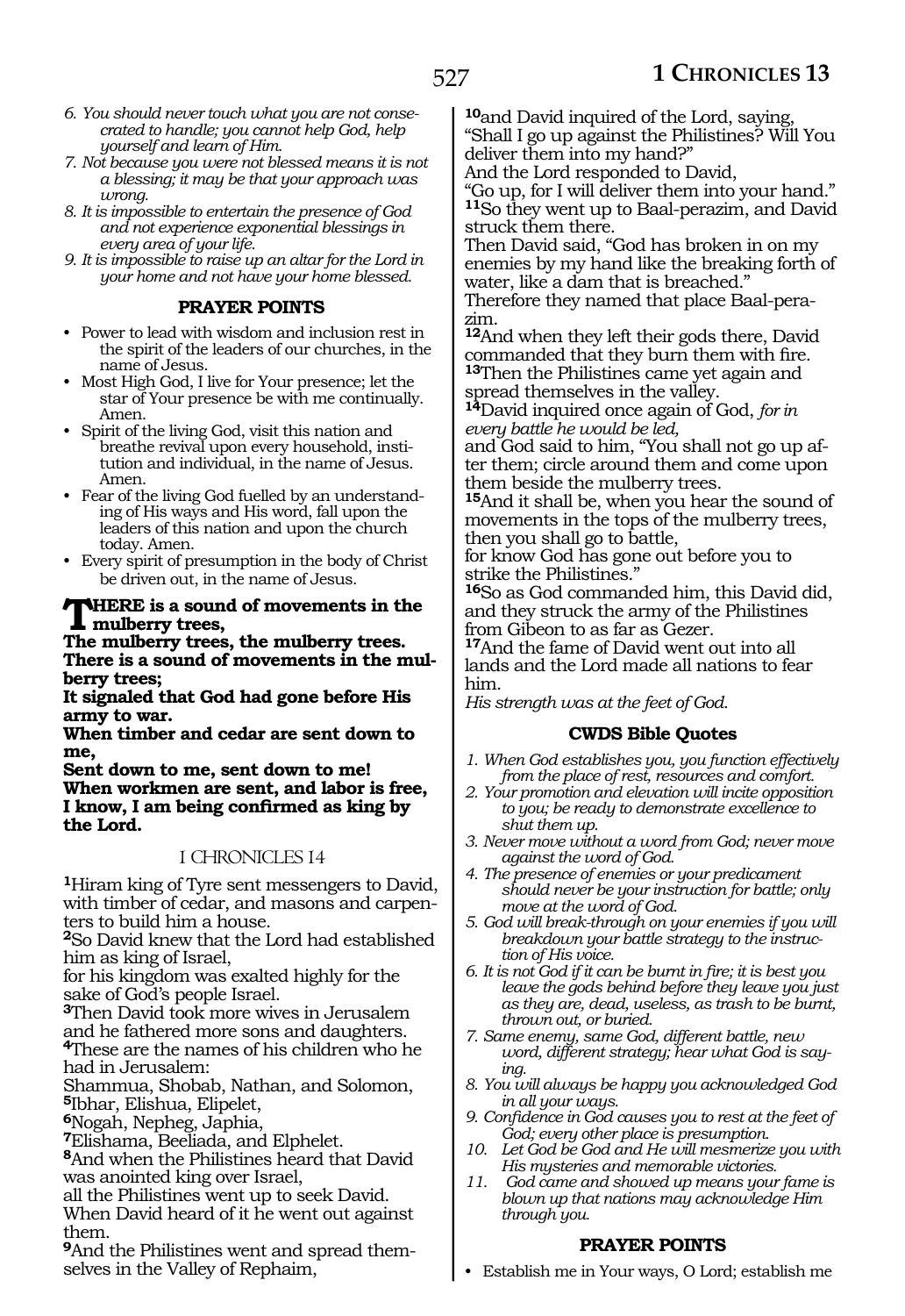- *6. You should never touch what you are not consecrated to handle; you cannot help God, help yourself and learn of Him.*
- *7. Not because you were not blessed means it is not a blessing; it may be that your approach was wrong.*
- *8. It is impossible to entertain the presence of God and not experience exponential blessings in every area of your life.*
- *9. It is impossible to raise up an altar for the Lord in your home and not have your home blessed.*

#### **PRAYER POINTS**

- Power to lead with wisdom and inclusion rest in the spirit of the leaders of our churches, in the name of Jesus.
- Most High God, I live for Your presence; let the star of Your presence be with me continually. Amen.
- Spirit of the living God, visit this nation and breathe revival upon every household, institution and individual, in the name of Jesus. Amen.
- Fear of the living God fuelled by an understanding of His ways and His word, fall upon the leaders of this nation and upon the church today. Amen.
- Every spirit of presumption in the body of Christ be driven out, in the name of Jesus.

#### **WHERE** is a sound of movements in the **mulberry trees,**

**The mulberry trees, the mulberry trees. There is a sound of movements in the mulberry trees;**

**It signaled that God had gone before His army to war.**

**When timber and cedar are sent down to me,**

**Sent down to me, sent down to me! When workmen are sent, and labor is free, I know, I am being confirmed as king by the Lord.** 

#### 1 CHRONICLES 14

**<sup>1</sup>**Hiram king of Tyre sent messengers to David, with timber of cedar, and masons and carpenters to build him a house.

**<sup>2</sup>**So David knew that the Lord had established him as king of Israel,

for his kingdom was exalted highly for the sake of God's people Israel.

**<sup>3</sup>**Then David took more wives in Jerusalem and he fathered more sons and daughters. **<sup>4</sup>**These are the names of his children who he had in Jerusalem:

Shammua, Shobab, Nathan, and Solomon, **<sup>5</sup>**Ibhar, Elishua, Elipelet,

**<sup>6</sup>**Nogah, Nepheg, Japhia,

**<sup>7</sup>**Elishama, Beeliada, and Elphelet.

**<sup>8</sup>**And when the Philistines heard that David was anointed king over Israel,

all the Philistines went up to seek David. When David heard of it he went out against them.

**9**And the Philistines went and spread themselves in the Valley of Rephaim,

**<sup>10</sup>**and David inquired of the Lord, saying, "Shall I go up against the Philistines? Will You deliver them into my hand?"

And the Lord responded to David,

"Go up, for I will deliver them into your hand." **<sup>11</sup>**So they went up to Baal-perazim, and David struck them there.

Then David said, "God has broken in on my enemies by my hand like the breaking forth of water, like a dam that is breached."

Therefore they named that place Baal-perazim.

**<sup>12</sup>**And when they left their gods there, David commanded that they burn them with fire. **<sup>13</sup>**Then the Philistines came yet again and spread themselves in the valley.

**<sup>14</sup>**David inquired once again of God, *for in every battle he would be led,*

and God said to him, "You shall not go up after them; circle around them and come upon them beside the mulberry trees.

**<sup>15</sup>**And it shall be, when you hear the sound of movements in the tops of the mulberry trees, then you shall go to battle,

for know God has gone out before you to strike the Philistines."

**<sup>16</sup>**So as God commanded him, this David did, and they struck the army of the Philistines from Gibeon to as far as Gezer.

**<sup>17</sup>**And the fame of David went out into all lands and the Lord made all nations to fear him.

*His strength was at the feet of God.*

#### **CWDS Bible Quotes**

- *1. When God establishes you, you function effectively from the place of rest, resources and comfort.*
- *2. Your promotion and elevation will incite opposition to you; be ready to demonstrate excellence to shut them up.*
- *3. Never move without a word from God; never move against the word of God.*
- *4. The presence of enemies or your predicament should never be your instruction for battle; only move at the word of God.*
- *5. God will break-through on your enemies if you will breakdown your battle strategy to the instruction of His voice.*
- *6. It is not God if it can be burnt in fire; it is best you leave the gods behind before they leave you just as they are, dead, useless, as trash to be burnt, thrown out, or buried.*
- *7. Same enemy, same God, different battle, new word, different strategy; hear what God is saying.*
- *8. You will always be happy you acknowledged God in all your ways.*
- *9. Confidence in God causes you to rest at the feet of God; every other place is presumption.*
- *10. Let God be God and He will mesmerize you with His mysteries and memorable victories.*
- *11. God came and showed up means your fame is blown up that nations may acknowledge Him through you.*

#### **PRAYER POINTS**

• Establish me in Your ways, O Lord; establish me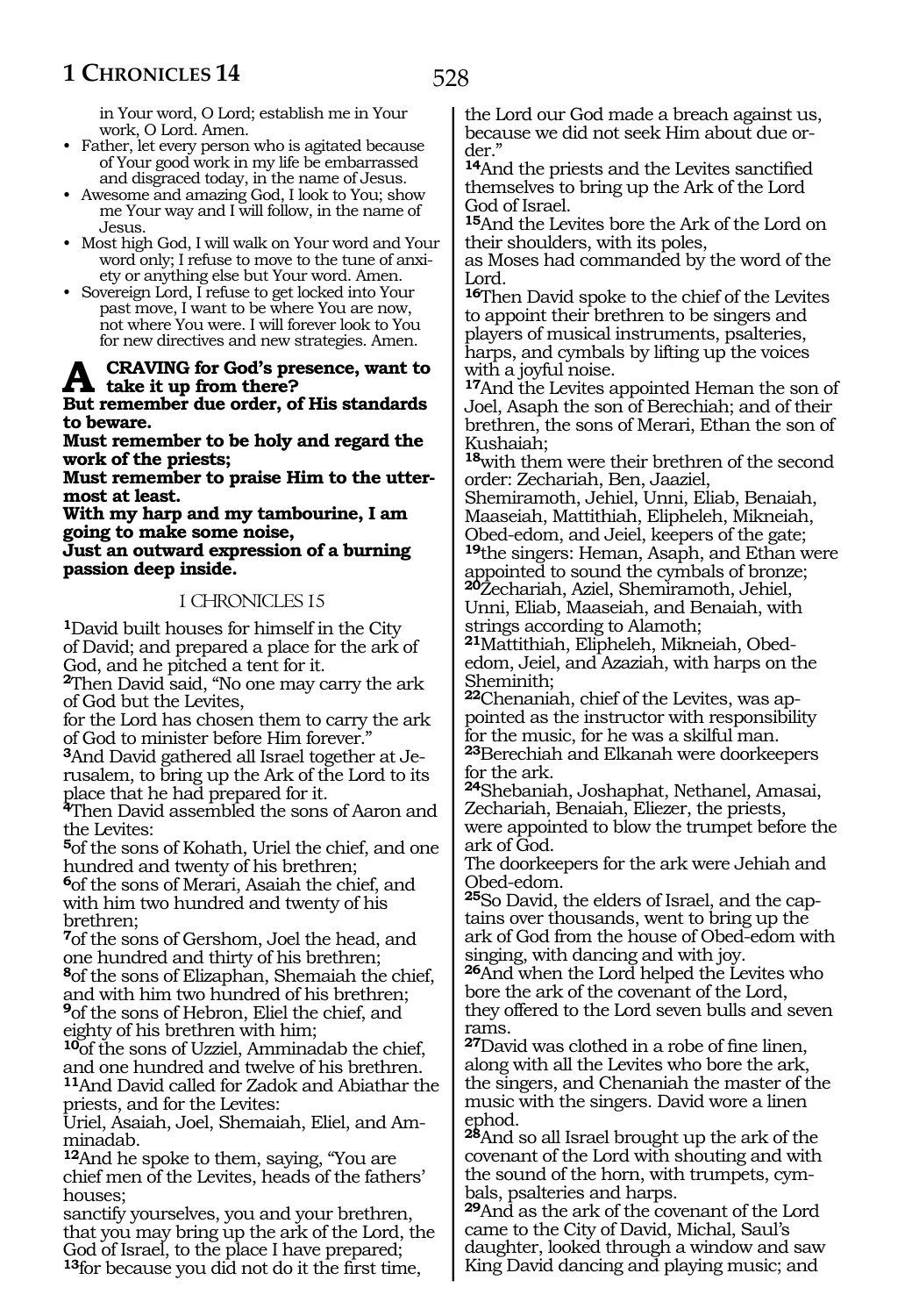in Your word, O Lord; establish me in Your work, O Lord. Amen.

- Father, let every person who is agitated because of Your good work in my life be embarrassed and disgraced today, in the name of Jesus.
- Awesome and amazing God, I look to You; show me Your way and I will follow, in the name of Jesus.
- Most high God, I will walk on Your word and Your word only; I refuse to move to the tune of anxiety or anything else but Your word. Amen.
- Sovereign Lord, I refuse to get locked into Your past move, I want to be where You are now, not where You were. I will forever look to You for new directives and new strategies. Amen.

# **A craving for God's presence, want to take it up from there?**

**But remember due order, of His standards to beware.**

**Must remember to be holy and regard the work of the priests;**

**Must remember to praise Him to the uttermost at least.**

**With my harp and my tambourine, I am going to make some noise, Just an outward expression of a burning passion deep inside.**

# 1 CHRONICLES 15

**<sup>1</sup>**David built houses for himself in the City of David; and prepared a place for the ark of God, and he pitched a tent for it.

**<sup>2</sup>**Then David said, "No one may carry the ark of God but the Levites,

for the Lord has chosen them to carry the ark of God to minister before Him forever."

**3**And David gathered all Israel together at Jerusalem, to bring up the Ark of the Lord to its place that he had prepared for it.

**<sup>4</sup>**Then David assembled the sons of Aaron and the Levites:

**<sup>5</sup>**of the sons of Kohath, Uriel the chief, and one hundred and twenty of his brethren;

**<sup>6</sup>**of the sons of Merari, Asaiah the chief, and with him two hundred and twenty of his brethren;

**<sup>7</sup>**of the sons of Gershom, Joel the head, and one hundred and thirty of his brethren; **<sup>8</sup>**of the sons of Elizaphan, Shemaiah the chief, and with him two hundred of his brethren; **<sup>9</sup>**of the sons of Hebron, Eliel the chief, and eighty of his brethren with him;

**<sup>10</sup>**of the sons of Uzziel, Amminadab the chief, and one hundred and twelve of his brethren. **<sup>11</sup>**And David called for Zadok and Abiathar the priests, and for the Levites:

Uriel, Asaiah, Joel, Shemaiah, Eliel, and Amminadab.

**<sup>12</sup>**And he spoke to them, saying, "You are chief men of the Levites, heads of the fathers' houses;

sanctify yourselves, you and your brethren, that you may bring up the ark of the Lord, the God of Israel, to the place I have prepared; **<sup>13</sup>**for because you did not do it the first time,

the Lord our God made a breach against us, because we did not seek Him about due order."

**<sup>14</sup>**And the priests and the Levites sanctified themselves to bring up the Ark of the Lord God of Israel.

**<sup>15</sup>**And the Levites bore the Ark of the Lord on their shoulders, with its poles,

as Moses had commanded by the word of the Lord.

**<sup>16</sup>**Then David spoke to the chief of the Levites to appoint their brethren to be singers and players of musical instruments, psalteries, harps, and cymbals by lifting up the voices with a joyful noise.

**<sup>17</sup>**And the Levites appointed Heman the son of Joel, Asaph the son of Berechiah; and of their brethren, the sons of Merari, Ethan the son of Kushaiah;

**<sup>18</sup>**with them were their brethren of the second order: Zechariah, Ben, Jaaziel,

Shemiramoth, Jehiel, Unni, Eliab, Benaiah, Maaseiah, Mattithiah, Elipheleh, Mikneiah, Obed-edom, and Jeiel, keepers of the gate; **<sup>19</sup>**the singers: Heman, Asaph, and Ethan were appointed to sound the cymbals of bronze; **<sup>20</sup>**Zechariah, Aziel, Shemiramoth, Jehiel, Unni, Eliab, Maaseiah, and Benaiah, with strings according to Alamoth;

**21**Mattithiah, Elipheleh, Mikneiah, Obededom, Jeiel, and Azaziah, with harps on the Sheminith;

**22**Chenaniah, chief of the Levites, was appointed as the instructor with responsibility for the music, for he was a skilful man. **<sup>23</sup>**Berechiah and Elkanah were doorkeepers for the ark.

**<sup>24</sup>**Shebaniah, Joshaphat, Nethanel, Amasai, Zechariah, Benaiah, Eliezer, the priests, were appointed to blow the trumpet before the ark of God.

The doorkeepers for the ark were Jehiah and Obed-edom.

**25**So David, the elders of Israel, and the captains over thousands, went to bring up the ark of God from the house of Obed-edom with singing, with dancing and with joy.

**<sup>26</sup>**And when the Lord helped the Levites who bore the ark of the covenant of the Lord, they offered to the Lord seven bulls and seven rams.

**<sup>27</sup>**David was clothed in a robe of fine linen, along with all the Levites who bore the ark, the singers, and Chenaniah the master of the music with the singers. David wore a linen ephod.

**<sup>28</sup>**And so all Israel brought up the ark of the covenant of the Lord with shouting and with the sound of the horn, with trumpets, cymbals, psalteries and harps.

**<sup>29</sup>**And as the ark of the covenant of the Lord came to the City of David, Michal, Saul's daughter, looked through a window and saw King David dancing and playing music; and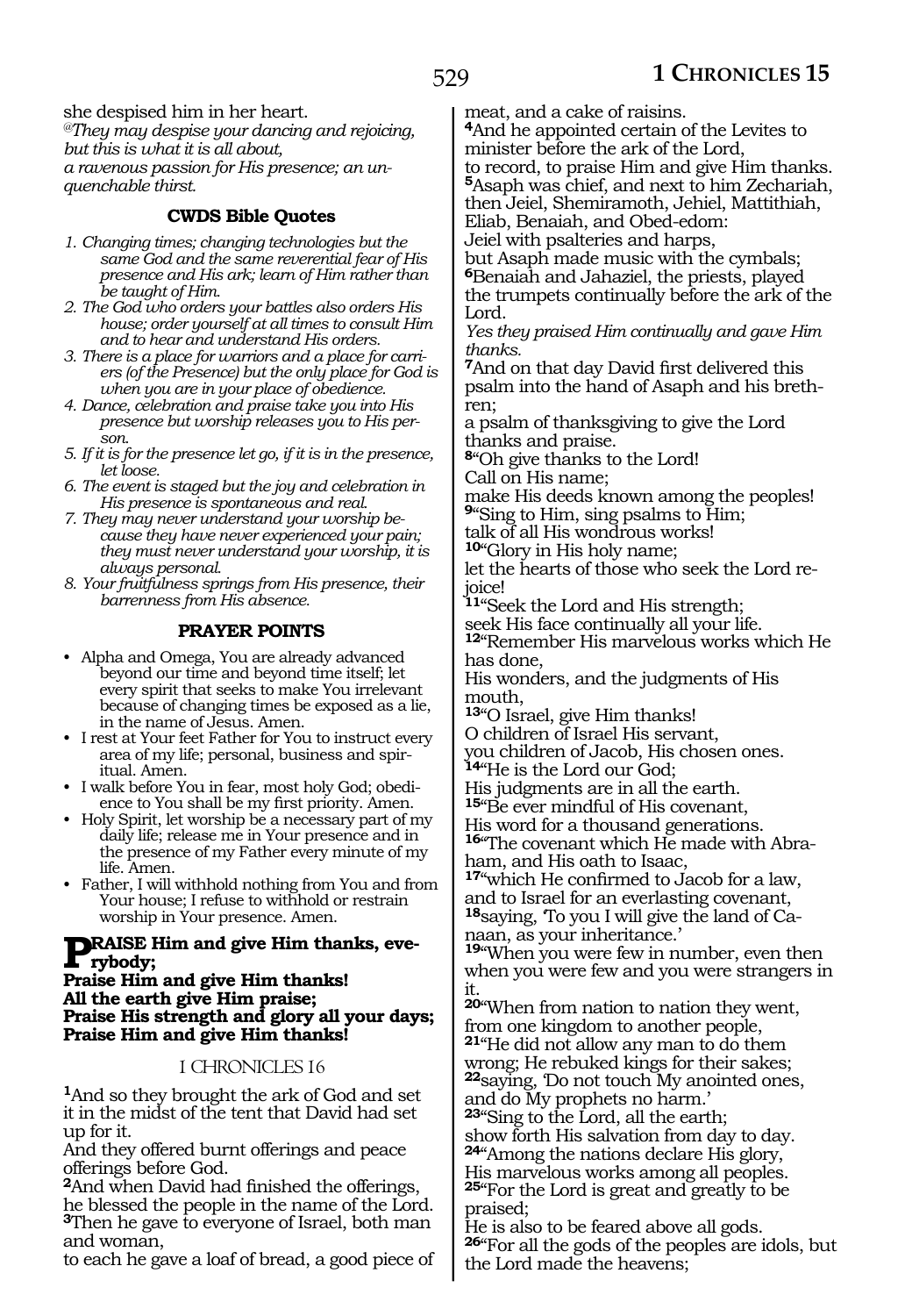she despised him in her heart. *@They may despise your dancing and rejoicing, but this is what it is all about, a ravenous passion for His presence; an unquenchable thirst.* 

# **CWDS Bible Quotes**

- *1. Changing times; changing technologies but the same God and the same reverential fear of His presence and His ark; learn of Him rather than be taught of Him.*
- *2. The God who orders your battles also orders His house; order yourself at all times to consult Him and to hear and understand His orders.*
- *3. There is a place for warriors and a place for carriers (of the Presence) but the only place for God is when you are in your place of obedience.*
- *4. Dance, celebration and praise take you into His presence but worship releases you to His person.*
- *5. If it is for the presence let go, if it is in the presence, let loose.*
- *6. The event is staged but the joy and celebration in His presence is spontaneous and real.*
- *7. They may never understand your worship because they have never experienced your pain; they must never understand your worship, it is always personal.*

*8. Your fruitfulness springs from His presence, their barrenness from His absence.*

# **PRAYER POINTS**

- Alpha and Omega, You are already advanced beyond our time and beyond time itself; let every spirit that seeks to make You irrelevant because of changing times be exposed as a lie, in the name of Jesus. Amen.
- I rest at Your feet Father for You to instruct every area of my life; personal, business and spiritual. Amen.
- I walk before You in fear, most holy God; obedience to You shall be my first priority. Amen.
- Holy Spirit, let worship be a necessary part of my daily life; release me in Your presence and in the presence of my Father every minute of my life. Amen.
- Father, I will withhold nothing from You and from Your house; I refuse to withhold or restrain worship in Your presence. Amen.

# **Praise Him and give Him thanks, eve- rybody;**

#### **Praise Him and give Him thanks! All the earth give Him praise; Praise His strength and glory all your days; Praise Him and give Him thanks!**

#### 1 CHRONICLES 16

**<sup>1</sup>**And so they brought the ark of God and set it in the midst of the tent that David had set up for it.

And they offered burnt offerings and peace offerings before God.

**<sup>2</sup>**And when David had finished the offerings, he blessed the people in the name of the Lord. **<sup>3</sup>**Then he gave to everyone of Israel, both man and woman,

to each he gave a loaf of bread, a good piece of

meat, and a cake of raisins.

**<sup>4</sup>**And he appointed certain of the Levites to minister before the ark of the Lord, to record, to praise Him and give Him thanks.

**<sup>5</sup>**Asaph was chief, and next to him Zechariah, then Jeiel, Shemiramoth, Jehiel, Mattithiah,

Eliab, Benaiah, and Obed-edom:

Jeiel with psalteries and harps,

but Asaph made music with the cymbals; **<sup>6</sup>**Benaiah and Jahaziel, the priests, played the trumpets continually before the ark of the Lord.

*Yes they praised Him continually and gave Him thanks.*

**<sup>7</sup>**And on that day David first delivered this psalm into the hand of Asaph and his brethren;

a psalm of thanksgiving to give the Lord thanks and praise.

**<sup>8</sup>**"Oh give thanks to the Lord!

Call on His name;

make His deeds known among the peoples! **<sup>9</sup>**"Sing to Him, sing psalms to Him;

talk of all His wondrous works! **<sup>10</sup>**"Glory in His holy name;

let the hearts of those who seek the Lord rejoice!

**<sup>11</sup>**"Seek the Lord and His strength; seek His face continually all your life.

**<sup>12</sup>**"Remember His marvelous works which He has done,

His wonders, and the judgments of His mouth,

**<sup>13</sup>**"O Israel, give Him thanks!

O children of Israel His servant,

you children of Jacob, His chosen ones.

**<sup>14</sup>**"He is the Lord our God;

His judgments are in all the earth.

**<sup>15</sup>**"Be ever mindful of His covenant,

His word for a thousand generations. **<sup>16</sup>**"The covenant which He made with Abra- ham, and His oath to Isaac,

**<sup>17</sup>**"which He confirmed to Jacob for a law,

and to Israel for an everlasting covenant,

**<sup>18</sup>**saying, 'To you I will give the land of Ca- naan, as your inheritance.'

**<sup>19</sup>**"When you were few in number, even then when you were few and you were strangers in it.

**<sup>20</sup>**"When from nation to nation they went, from one kingdom to another people, **<sup>21</sup>**"He did not allow any man to do them wrong; He rebuked kings for their sakes; **<sup>22</sup>**saying, 'Do not touch My anointed ones,

and do My prophets no harm.'

**<sup>23</sup>**"Sing to the Lord, all the earth;

show forth His salvation from day to day. **<sup>24</sup>**"Among the nations declare His glory, His marvelous works among all peoples.

**<sup>25</sup>**"For the Lord is great and greatly to be praised;

He is also to be feared above all gods. **<sup>26</sup>**"For all the gods of the peoples are idols, but the Lord made the heavens;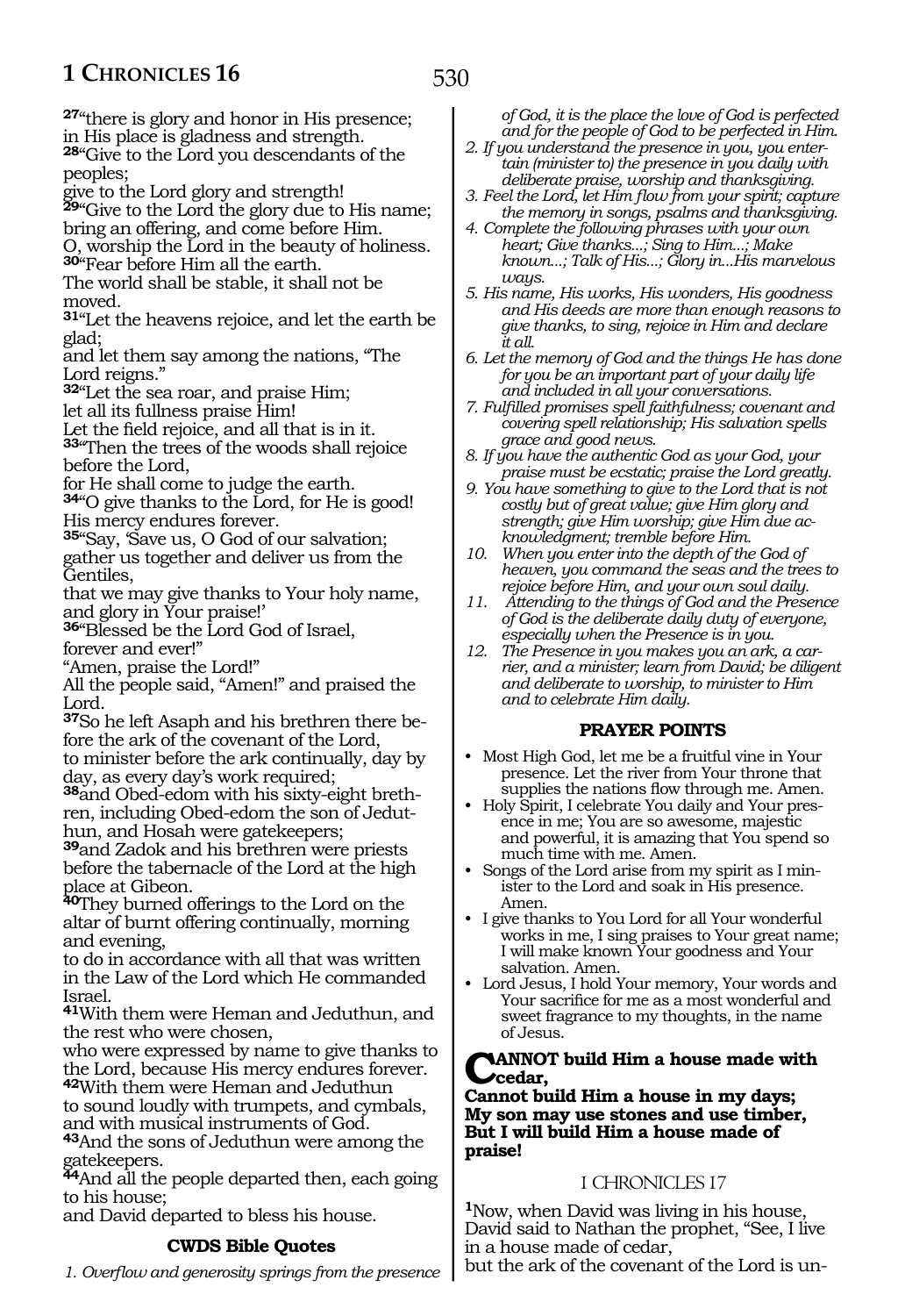530

**<sup>27</sup>**"there is glory and honor in His presence; in His place is gladness and strength.

**<sup>28</sup>**"Give to the Lord you descendants of the peoples;

give to the Lord glory and strength! **<sup>29</sup>**"Give to the Lord the glory due to His name;

bring an offering, and come before Him. O, worship the Lord in the beauty of holiness. **<sup>30</sup>**"Fear before Him all the earth.

The world shall be stable, it shall not be moved.

**<sup>31</sup>**"Let the heavens rejoice, and let the earth be glad;

and let them say among the nations, "The Lord reigns."

**<sup>32</sup>**"Let the sea roar, and praise Him; let all its fullness praise Him!

Let the field rejoice, and all that is in it.

**<sup>33</sup>**"Then the trees of the woods shall rejoice before the Lord,

for He shall come to judge the earth.

**<sup>34</sup>**"O give thanks to the Lord, for He is good! His mercy endures forever.

**<sup>35</sup>**"Say, 'Save us, O God of our salvation; gather us together and deliver us from the Gentiles,

that we may give thanks to Your holy name, and glory in Your praise!'

**<sup>36</sup>**"Blessed be the Lord God of Israel, forever and ever!"

"Amen, praise the Lord!"

All the people said, "Amen!" and praised the Lord.

**37**So he left Asaph and his brethren there before the ark of the covenant of the Lord, to minister before the ark continually, day by day, as every day's work required;

**38**and Obed-edom with his sixty-eight brethren, including Obed-edom the son of Jeduthun, and Hosah were gatekeepers;

**<sup>39</sup>**and Zadok and his brethren were priests before the tabernacle of the Lord at the high place at Gibeon.

**<sup>40</sup>**They burned offerings to the Lord on the altar of burnt offering continually, morning and evening,

to do in accordance with all that was written in the Law of the Lord which He commanded Israel.

**<sup>41</sup>**With them were Heman and Jeduthun, and the rest who were chosen,

who were expressed by name to give thanks to the Lord, because His mercy endures forever.

**<sup>42</sup>**With them were Heman and Jeduthun to sound loudly with trumpets, and cymbals, and with musical instruments of God.

**<sup>43</sup>**And the sons of Jeduthun were among the gatekeepers.

**<sup>44</sup>**And all the people departed then, each going to his house;

and David departed to bless his house.

# **CWDS Bible Quotes**

*1. Overflow and generosity springs from the presence* 

*of God, it is the place the love of God is perfected and for the people of God to be perfected in Him.*

*2. If you understand the presence in you, you entertain (minister to) the presence in you daily with deliberate praise, worship and thanksgiving.*

*3. Feel the Lord, let Him flow from your spirit; capture the memory in songs, psalms and thanksgiving.*

*4. Complete the following phrases with your own heart; Give thanks...; Sing to Him...; Make known...; Talk of His...; Glory in...His marvelous ways.*

*5. His name, His works, His wonders, His goodness and His deeds are more than enough reasons to give thanks, to sing, rejoice in Him and declare it all.*

*6. Let the memory of God and the things He has done for you be an important part of your daily life and included in all your conversations.*

*7. Fulfilled promises spell faithfulness; covenant and covering spell relationship; His salvation spells grace and good news.*

*8. If you have the authentic God as your God, your praise must be ecstatic; praise the Lord greatly.*

*9. You have something to give to the Lord that is not costly but of great value; give Him glory and strength; give Him worship; give Him due acknowledgment; tremble before Him.*

*10. When you enter into the depth of the God of heaven, you command the seas and the trees to rejoice before Him, and your own soul daily.*

*11. Attending to the things of God and the Presence of God is the deliberate daily duty of everyone, especially when the Presence is in you.*

*12. The Presence in you makes you an ark, a carrier, and a minister; learn from David; be diligent and deliberate to worship, to minister to Him and to celebrate Him daily.*

#### **PRAYER POINTS**

• Most High God, let me be a fruitful vine in Your presence. Let the river from Your throne that supplies the nations flow through me. Amen.

• Holy Spirit, I celebrate You daily and Your presence in me; You are so awesome, majestic and powerful, it is amazing that You spend so much time with me. Amen.

• Songs of the Lord arise from my spirit as I minister to the Lord and soak in His presence. Amen.

• I give thanks to You Lord for all Your wonderful works in me, I sing praises to Your great name; I will make known Your goodness and Your salvation. Amen.

• Lord Jesus, I hold Your memory, Your words and Your sacrifice for me as a most wonderful and sweet fragrance to my thoughts, in the name of Jesus.

#### **CANNOT build Him a house made with cedar,**

#### **Cannot build Him a house in my days; My son may use stones and use timber, But I will build Him a house made of praise!**

#### 1 CHRONICLES 17

**<sup>1</sup>**Now, when David was living in his house, David said to Nathan the prophet, "See, I live in a house made of cedar,

but the ark of the covenant of the Lord is un-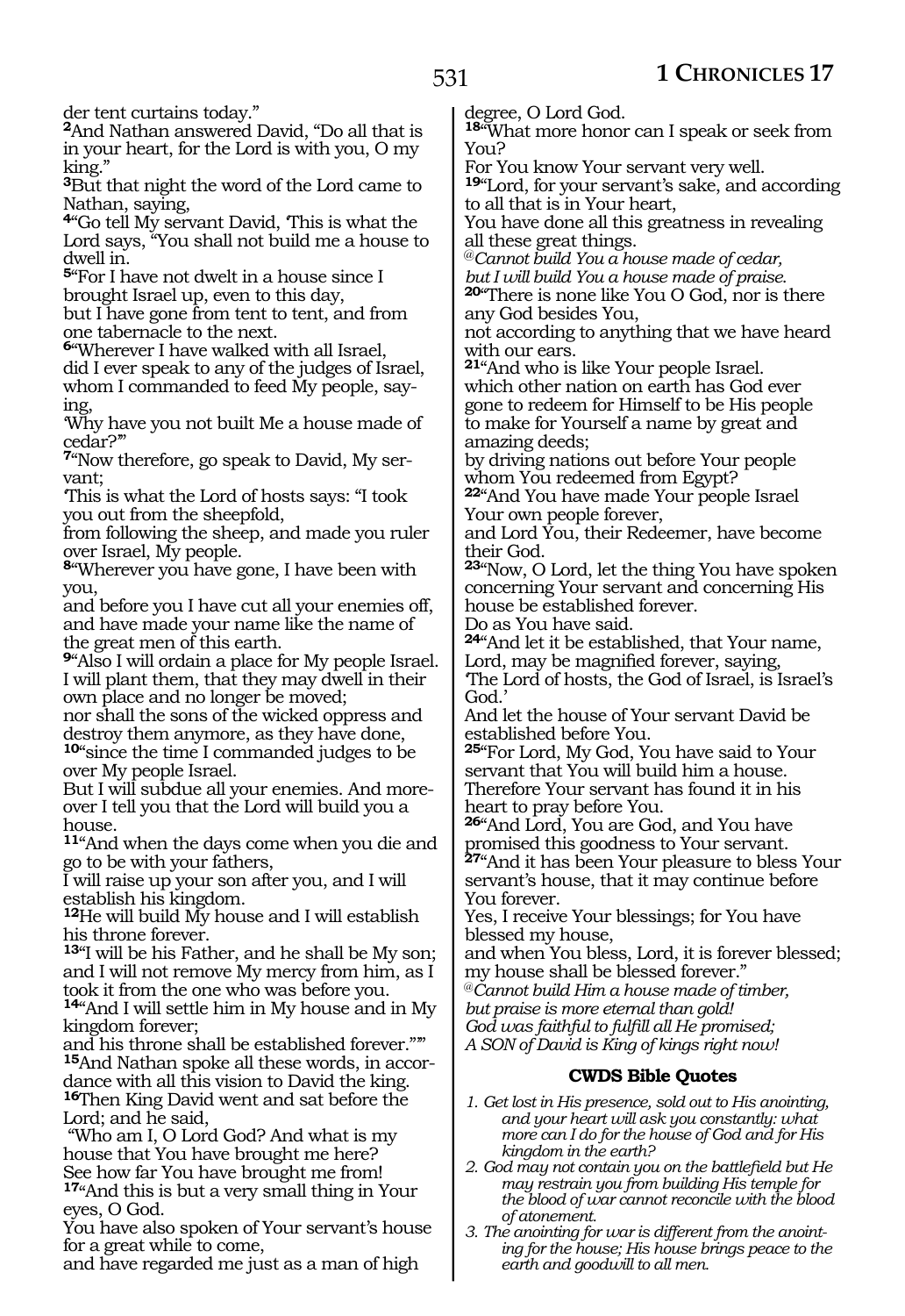der tent curtains today."

**<sup>2</sup>**And Nathan answered David, "Do all that is in your heart, for the Lord is with you, O my king."

**<sup>3</sup>**But that night the word of the Lord came to Nathan, saying,

**<sup>4</sup>**"Go tell My servant David, 'This is what the Lord says, "You shall not build me a house to dwell in.

**<sup>5</sup>**"For I have not dwelt in a house since I brought Israel up, even to this day, but I have gone from tent to tent, and from one tabernacle to the next.

**<sup>6</sup>**"Wherever I have walked with all Israel,

did I ever speak to any of the judges of Israel, whom I commanded to feed My people, say- ing,

'Why have you not built Me a house made of cedar?'"

**<sup>7</sup>**"Now therefore, go speak to David, My ser- vant;

'This is what the Lord of hosts says: "I took you out from the sheepfold,

from following the sheep, and made you ruler over Israel, My people.

**<sup>8</sup>**"Wherever you have gone, I have been with you,

and before you I have cut all your enemies off, and have made your name like the name of the great men of this earth.

**<sup>9</sup>**"Also I will ordain a place for My people Israel. I will plant them, that they may dwell in their own place and no longer be moved;

nor shall the sons of the wicked oppress and destroy them anymore, as they have done, **<sup>10</sup>**"since the time I commanded judges to be

over My people Israel.

But I will subdue all your enemies. And moreover I tell you that the Lord will build you a house.

**<sup>11</sup>**"And when the days come when you die and go to be with your fathers,

I will raise up your son after you, and I will establish his kingdom.

**<sup>12</sup>**He will build My house and I will establish his throne forever.

**<sup>13</sup>**"I will be his Father, and he shall be My son; and I will not remove My mercy from him, as I took it from the one who was before you.

**<sup>14</sup>**"And I will settle him in My house and in My kingdom forever;

and his throne shall be established forever."'" **15**And Nathan spoke all these words, in accordance with all this vision to David the king. **<sup>16</sup>**Then King David went and sat before the Lord; and he said,

 "Who am I, O Lord God? And what is my house that You have brought me here? See how far You have brought me from!

**<sup>17</sup>**"And this is but a very small thing in Your eyes, O God.

You have also spoken of Your servant's house for a great while to come,

and have regarded me just as a man of high

degree, O Lord God.

**<sup>18</sup>**"What more honor can I speak or seek from You?

For You know Your servant very well. **<sup>19</sup>**"Lord, for your servant's sake, and according

to all that is in Your heart, You have done all this greatness in revealing all these great things.

@*Cannot build You a house made of cedar,* 

**20**"There is none like You O God, nor is there any God besides You,

not according to anything that we have heard with our ears.

**<sup>21</sup>**"And who is like Your people Israel. which other nation on earth has God ever gone to redeem for Himself to be His people to make for Yourself a name by great and amazing deeds;

by driving nations out before Your people whom You redeemed from Egypt?

**<sup>22</sup>**"And You have made Your people Israel Your own people forever,

and Lord You, their Redeemer, have become their God.

**<sup>23</sup>**"Now, O Lord, let the thing You have spoken concerning Your servant and concerning His house be established forever.

Do as You have said.

**<sup>24</sup>**"And let it be established, that Your name, Lord, may be magnified forever, saying,

'The Lord of hosts, the God of Israel, is Israel's God.'

And let the house of Your servant David be established before You.

**<sup>25</sup>**"For Lord, My God, You have said to Your servant that You will build him a house. Therefore Your servant has found it in his heart to pray before You.

**<sup>26</sup>**"And Lord, You are God, and You have promised this goodness to Your servant.

**<sup>27</sup>**"And it has been Your pleasure to bless Your servant's house, that it may continue before You forever.

Yes, I receive Your blessings; for You have blessed my house,

and when You bless, Lord, it is forever blessed; my house shall be blessed forever."

@*Cannot build Him a house made of timber,* 

*but praise is more eternal than gold!* 

*God was faithful to fulfill all He promised;* 

*A SON of David is King of kings right now!* 

# **CWDS Bible Quotes**

- *1. Get lost in His presence, sold out to His anointing, and your heart will ask you constantly: what more can I do for the house of God and for His kingdom in the earth?*
- *2. God may not contain you on the battlefield but He may restrain you from building His temple for the blood of war cannot reconcile with the blood of atonement.*
- *3. The anointing for war is different from the anointing for the house; His house brings peace to the earth and goodwill to all men.*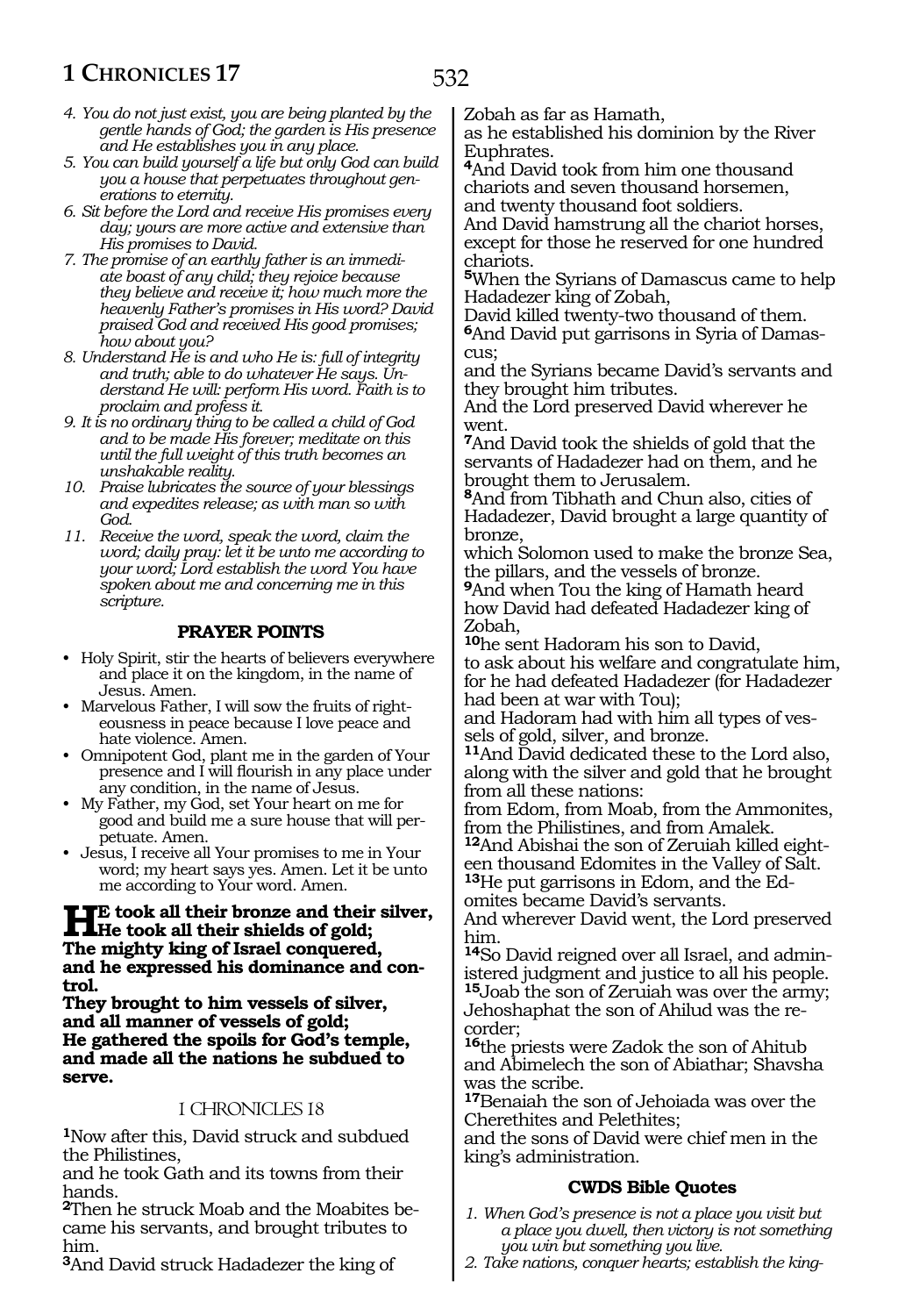- *4. You do not just exist, you are being planted by the gentle hands of God; the garden is His presence and He establishes you in any place.*
- *5. You can build yourself a life but only God can build you a house that perpetuates throughout generations to eternity.*
- *6. Sit before the Lord and receive His promises every day; yours are more active and extensive than His promises to David.*
- *7. The promise of an earthly father is an immediate boast of any child; they rejoice because they believe and receive it; how much more the heavenly Father's promises in His word? David praised God and received His good promises; how about you?*
- *8. Understand He is and who He is: full of integrity and truth; able to do whatever He says. Understand He will: perform His word. Faith is to proclaim and profess it.*
- *9. It is no ordinary thing to be called a child of God and to be made His forever; meditate on this until the full weight of this truth becomes an unshakable reality.*
- *10. Praise lubricates the source of your blessings and expedites release; as with man so with God.*
- *11. Receive the word, speak the word, claim the word; daily pray: let it be unto me according to your word; Lord establish the word You have spoken about me and concerning me in this scripture.*

### **PRAYER POINTS**

- Holy Spirit, stir the hearts of believers everywhere and place it on the kingdom, in the name of Jesus. Amen.
- Marvelous Father, I will sow the fruits of righteousness in peace because I love peace and hate violence. Amen.
- Omnipotent God, plant me in the garden of Your presence and I will flourish in any place under any condition, in the name of Jesus.
- My Father, my God, set Your heart on me for good and build me a sure house that will perpetuate. Amen.
- Jesus, I receive all Your promises to me in Your word; my heart says yes. Amen. Let it be unto me according to Your word. Amen.

# **HE** took all their bronze and their silver,<br>
The mighty bing of Ismal congressed **The mighty king of Israel conquered, and he expressed his dominance and control.**

**They brought to him vessels of silver, and all manner of vessels of gold; He gathered the spoils for God's temple, and made all the nations he subdued to serve.**

#### 1 CHRONICLES 18

**<sup>1</sup>**Now after this, David struck and subdued the Philistines,

and he took Gath and its towns from their hands.

**2**Then he struck Moab and the Moabites became his servants, and brought tributes to him.

**<sup>3</sup>**And David struck Hadadezer the king of

Zobah as far as Hamath,

as he established his dominion by the River Euphrates.

**<sup>4</sup>**And David took from him one thousand chariots and seven thousand horsemen, and twenty thousand foot soldiers.

And David hamstrung all the chariot horses, except for those he reserved for one hundred chariots.

**<sup>5</sup>**When the Syrians of Damascus came to help Hadadezer king of Zobah,

David killed twenty-two thousand of them. **6**And David put garrisons in Syria of Damascus;

and the Syrians became David's servants and they brought him tributes.

And the Lord preserved David wherever he went.

**<sup>7</sup>**And David took the shields of gold that the servants of Hadadezer had on them, and he brought them to Jerusalem.

**<sup>8</sup>**And from Tibhath and Chun also, cities of Hadadezer, David brought a large quantity of bronze,

which Solomon used to make the bronze Sea, the pillars, and the vessels of bronze.

**<sup>9</sup>**And when Tou the king of Hamath heard how David had defeated Hadadezer king of Zobah,

**<sup>10</sup>**he sent Hadoram his son to David, to ask about his welfare and congratulate him, for he had defeated Hadadezer (for Hadadezer had been at war with Tou);

and Hadoram had with him all types of ves- sels of gold, silver, and bronze.

**<sup>11</sup>**And David dedicated these to the Lord also, along with the silver and gold that he brought from all these nations:

from Edom, from Moab, from the Ammonites, from the Philistines, and from Amalek.

**12**And Abishai the son of Zeruiah killed eighteen thousand Edomites in the Valley of Salt. **13**He put garrisons in Edom, and the Ed-

omites became David's servants.

And wherever David went, the Lord preserved him.

**14**So David reigned over all Israel, and administered judgment and justice to all his people. **<sup>15</sup>**Joab the son of Zeruiah was over the army; Jehoshaphat the son of Ahilud was the re- corder;

**<sup>16</sup>**the priests were Zadok the son of Ahitub and Abimelech the son of Abiathar; Shavsha was the scribe.

**<sup>17</sup>**Benaiah the son of Jehoiada was over the Cherethites and Pelethites;

and the sons of David were chief men in the king's administration.

# **CWDS Bible Quotes**

- *1. When God's presence is not a place you visit but a place you dwell, then victory is not something you win but something you live.*
- *2. Take nations, conquer hearts; establish the king-*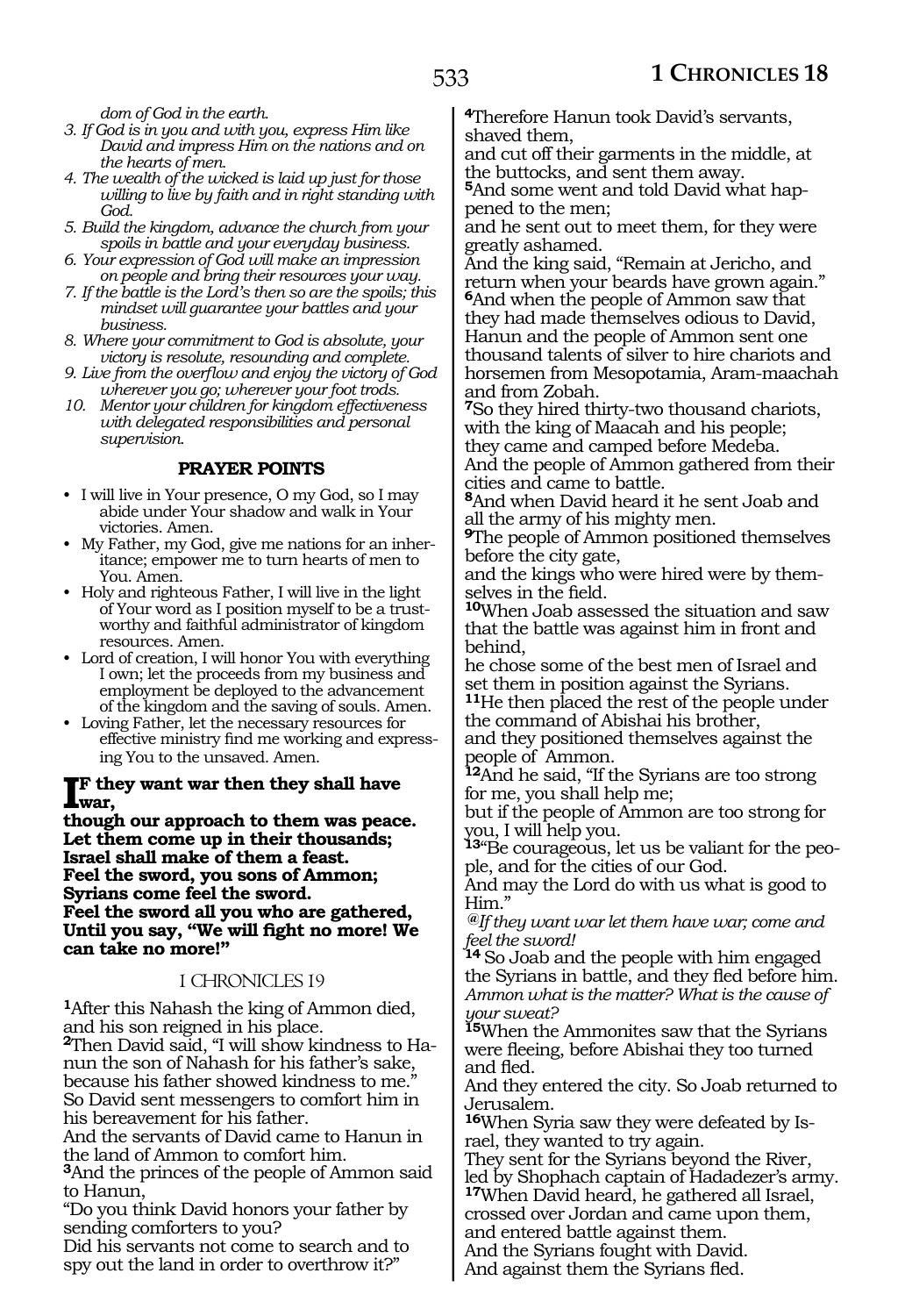*dom of God in the earth.*

- *3. If God is in you and with you, express Him like David and impress Him on the nations and on the hearts of men.*
- *4. The wealth of the wicked is laid up just for those willing to live by faith and in right standing with God.*
- *5. Build the kingdom, advance the church from your spoils in battle and your everyday business.*
- *6. Your expression of God will make an impression on people and bring their resources your way.*
- *7. If the battle is the Lord's then so are the spoils; this mindset will guarantee your battles and your business.*
- *8. Where your commitment to God is absolute, your victory is resolute, resounding and complete.*
- *9. Live from the overflow and enjoy the victory of God wherever you go; wherever your foot trods.*
- *10. Mentor your children for kingdom effectiveness with delegated responsibilities and personal supervision.*

#### **PRAYER POINTS**

- I will live in Your presence, O my God, so I may abide under Your shadow and walk in Your victories. Amen.
- My Father, my God, give me nations for an inheritance; empower me to turn hearts of men to You. Amen.
- Holy and righteous Father, I will live in the light of Your word as I position myself to be a trustworthy and faithful administrator of kingdom resources. Amen.
- Lord of creation, I will honor You with everything I own; let the proceeds from my business and employment be deployed to the advancement of the kingdom and the saving of souls. Amen.
- Loving Father, let the necessary resources for effective ministry find me working and expressing You to the unsaved. Amen.

# **IF** they want war then they shall have<br>
then the surgerneed to them were necessary **war,**

**though our approach to them was peace. Let them come up in their thousands; Israel shall make of them a feast. Feel the sword, you sons of Ammon; Syrians come feel the sword. Feel the sword all you who are gathered, Until you say, "We will fight no more! We can take no more!"** 

# 1 CHRONICLES 19

**<sup>1</sup>**After this Nahash the king of Ammon died, and his son reigned in his place. **2**Then David said, "I will show kindness to Hanun the son of Nahash for his father's sake, because his father showed kindness to me." So David sent messengers to comfort him in

his bereavement for his father.

And the servants of David came to Hanun in the land of Ammon to comfort him.

**<sup>3</sup>**And the princes of the people of Ammon said to Hanun,

"Do you think David honors your father by sending comforters to you?

Did his servants not come to search and to spy out the land in order to overthrow it?"

**<sup>4</sup>**Therefore Hanun took David's servants, shaved them,

and cut off their garments in the middle, at the buttocks, and sent them away.

**5**And some went and told David what happened to the men;

and he sent out to meet them, for they were greatly ashamed.

And the king said, "Remain at Jericho, and return when your beards have grown again." **<sup>6</sup>**And when the people of Ammon saw that they had made themselves odious to David, Hanun and the people of Ammon sent one thousand talents of silver to hire chariots and horsemen from Mesopotamia, Aram-maachah and from Zobah.

**<sup>7</sup>**So they hired thirty-two thousand chariots, with the king of Maacah and his people; they came and camped before Medeba.

And the people of Ammon gathered from their cities and came to battle.

**<sup>8</sup>**And when David heard it he sent Joab and all the army of his mighty men.

**<sup>9</sup>**The people of Ammon positioned themselves before the city gate,

and the kings who were hired were by themselves in the field.

**<sup>10</sup>**When Joab assessed the situation and saw that the battle was against him in front and behind,

he chose some of the best men of Israel and set them in position against the Syrians.

**<sup>11</sup>**He then placed the rest of the people under the command of Abishai his brother,

and they positioned themselves against the people of Ammon.

**<sup>12</sup>**And he said, "If the Syrians are too strong for me, you shall help me;

but if the people of Ammon are too strong for you, I will help you.

**13**"Be courageous, let us be valiant for the people, and for the cities of our God.

And may the Lord do with us what is good to Him."

 **@***If they want war let them have war; come and feel the sword!*

**<sup>14</sup>**So Joab and the people with him engaged the Syrians in battle, and they fled before him. *Ammon what is the matter? What is the cause of your sweat?*

**<sup>15</sup>**When the Ammonites saw that the Syrians were fleeing, before Abishai they too turned and fled.

And they entered the city. So Joab returned to Jerusalem.

**<sup>16</sup>**When Syria saw they were defeated by Is- rael, they wanted to try again.

They sent for the Syrians beyond the River, led by Shophach captain of Hadadezer's army. **<sup>17</sup>**When David heard, he gathered all Israel,

crossed over Jordan and came upon them,

and entered battle against them.

And the Syrians fought with David.

And against them the Syrians fled.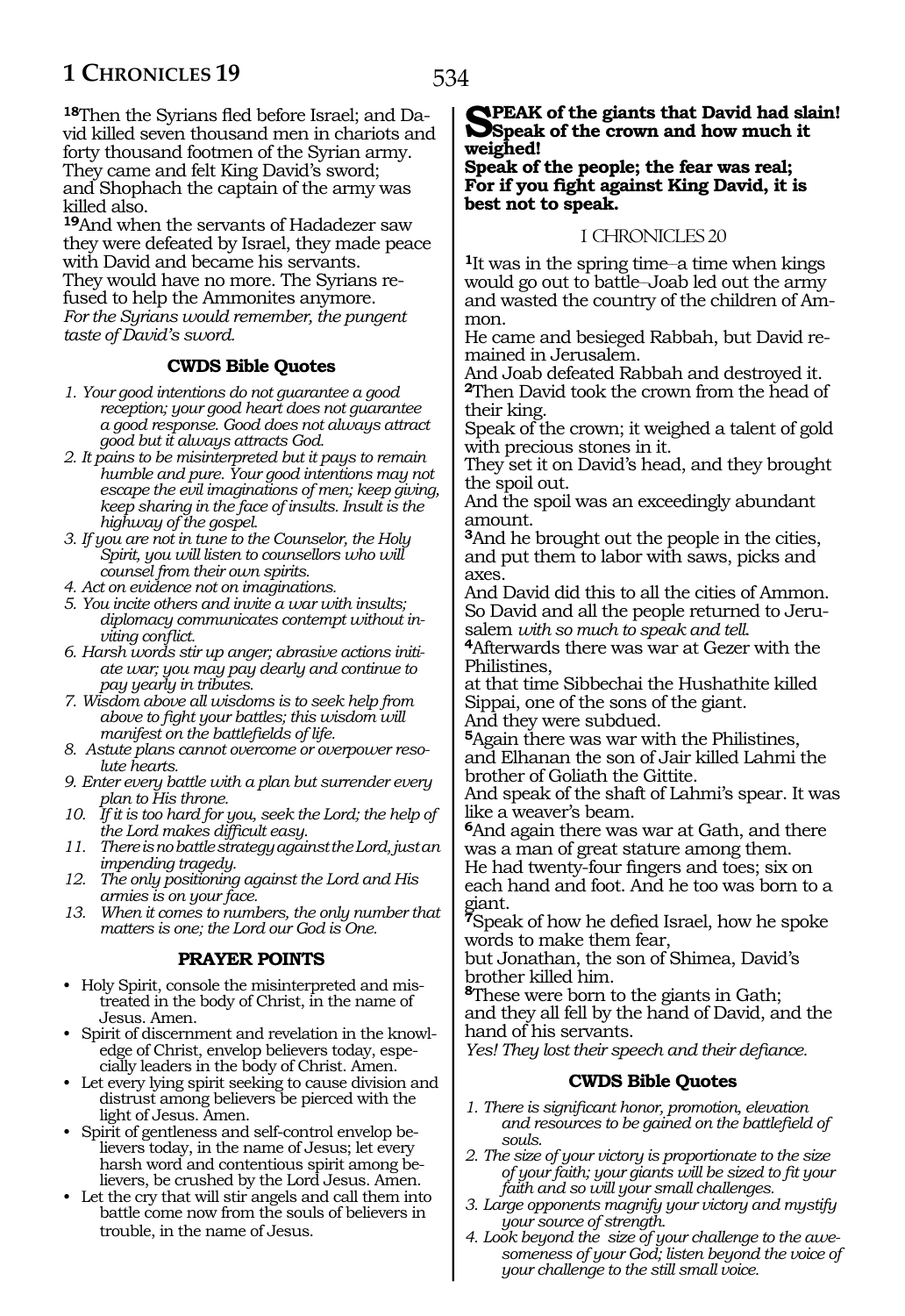534

**18**Then the Syrians fled before Israel; and David killed seven thousand men in chariots and forty thousand footmen of the Syrian army. They came and felt King David's sword; and Shophach the captain of the army was killed also.

**<sup>19</sup>**And when the servants of Hadadezer saw they were defeated by Israel, they made peace with David and became his servants. They would have no more. The Syrians refused to help the Ammonites anymore. *For the Syrians would remember, the pungent taste of David's sword.*

### **CWDS Bible Quotes**

- *1. Your good intentions do not guarantee a good reception; your good heart does not guarantee a good response. Good does not always attract good but it always attracts God.*
- *2. It pains to be misinterpreted but it pays to remain humble and pure. Your good intentions may not escape the evil imaginations of men; keep giving, keep sharing in the face of insults. Insult is the highway of the gospel.*
- *3. If you are not in tune to the Counselor, the Holy Spirit, you will listen to counsellors who will counsel from their own spirits.*
- *4. Act on evidence not on imaginations.*
- *5. You incite others and invite a war with insults; diplomacy communicates contempt without inviting conflict.*
- *6. Harsh words stir up anger; abrasive actions initiate war; you may pay dearly and continue to pay yearly in tributes.*
- *7. Wisdom above all wisdoms is to seek help from above to fight your battles; this wisdom will manifest on the battlefields of life.*
- *8. Astute plans cannot overcome or overpower resolute hearts.*
- *9. Enter every battle with a plan but surrender every plan to His throne.*
- *10. If it is too hard for you, seek the Lord; the help of the Lord makes difficult easy.*
- *11. There is no battle strategy against the Lord, just an impending tragedy.*
- *12. The only positioning against the Lord and His armies is on your face.*
- *13. When it comes to numbers, the only number that matters is one; the Lord our God is One.*

# **PRAYER POINTS**

- Holy Spirit, console the misinterpreted and mistreated in the body of Christ, in the name of Jesus. Amen.
- Spirit of discernment and revelation in the knowledge of Christ, envelop believers today, especially leaders in the body of Christ. Amen.
- Let every lying spirit seeking to cause division and distrust among believers be pierced with the light of Jesus. Amen.
- Spirit of gentleness and self-control envelop believers today, in the name of Jesus; let every harsh word and contentious spirit among believers, be crushed by the Lord Jesus. Amen.
- Let the cry that will stir angels and call them into battle come now from the souls of believers in trouble, in the name of Jesus.

# **Speak of the giants that David had slain! Speak of the crown and how much it weighed!**

**Speak of the people; the fear was real; For if you fight against King David, it is best not to speak.**

#### 1 CHRONICLES 20

<sup>1</sup>It was in the spring time—a time when kings would go out to battle-Joab led out the army and wasted the country of the children of Am- mon.

He came and besieged Rabbah, but David re- mained in Jerusalem.

And Joab defeated Rabbah and destroyed it. **<sup>2</sup>**Then David took the crown from the head of their king.

Speak of the crown; it weighed a talent of gold with precious stones in it.

They set it on David's head, and they brought the spoil out.

And the spoil was an exceedingly abundant amount.

**<sup>3</sup>**And he brought out the people in the cities, and put them to labor with saws, picks and axes.

And David did this to all the cities of Ammon. So David and all the people returned to Jeru-<br>salem with so much to speak and tell.

**4**Afterwards there was war at Gezer with the Philistines,

at that time Sibbechai the Hushathite killed Sippai, one of the sons of the giant.

And they were subdued.

**<sup>5</sup>**Again there was war with the Philistines, and Elhanan the son of Jair killed Lahmi the brother of Goliath the Gittite.

And speak of the shaft of Lahmi's spear. It was like a weaver's beam.

**<sup>6</sup>**And again there was war at Gath, and there was a man of great stature among them.

He had twenty-four fingers and toes; six on each hand and foot. And he too was born to a giant.

**<sup>7</sup>**Speak of how he defied Israel, how he spoke words to make them fear,

but Jonathan, the son of Shimea, David's brother killed him.

**<sup>8</sup>**These were born to the giants in Gath; and they all fell by the hand of David, and the hand of his servants.

*Yes! They lost their speech and their defiance.*

#### **CWDS Bible Quotes**

- *1. There is significant honor, promotion, elevation and resources to be gained on the battlefield of souls.*
- *2. The size of your victory is proportionate to the size of your faith; your giants will be sized to fit your faith and so will your small challenges.*
- *3. Large opponents magnify your victory and mystify your source of strength.*
- *4. Look beyond the size of your challenge to the awesomeness of your God; listen beyond the voice of your challenge to the still small voice.*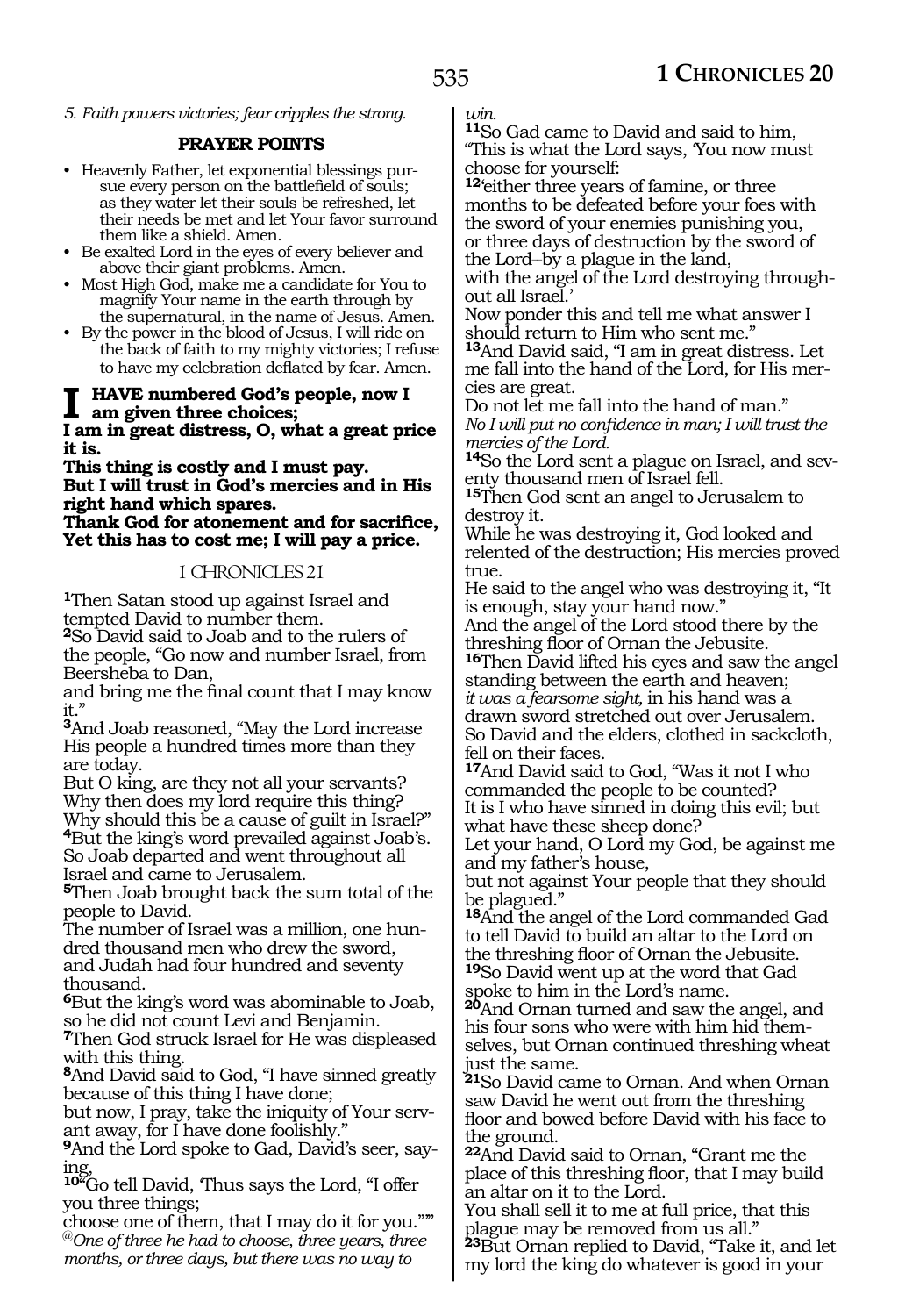*5. Faith powers victories; fear cripples the strong.* 

#### **PRAYER POINTS**

- Heavenly Father, let exponential blessings pursue every person on the battlefield of souls; as they water let their souls be refreshed, let their needs be met and let Your favor surround them like a shield. Amen.
- Be exalted Lord in the eyes of every believer and above their giant problems. Amen.
- Most High God, make me a candidate for You to magnify Your name in the earth through by the supernatural, in the name of Jesus. Amen.
- By the power in the blood of Jesus, I will ride on the back of faith to my mighty victories; I refuse to have my celebration deflated by fear. Amen.

# **I have numbered God's people, now I am given three choices;**

**I am in great distress, O, what a great price it is.**

#### **This thing is costly and I must pay. But I will trust in God's mercies and in His right hand which spares. Thank God for atonement and for sacrifice, Yet this has to cost me; I will pay a price.**

#### 1 CHRONICLES 21

**<sup>1</sup>**Then Satan stood up against Israel and tempted David to number them.

**<sup>2</sup>**So David said to Joab and to the rulers of the people, "Go now and number Israel, from Beersheba to Dan,

and bring me the final count that I may know it."

**<sup>3</sup>**And Joab reasoned, "May the Lord increase His people a hundred times more than they are today.

But O king, are they not all your servants? Why then does my lord require this thing? Why should this be a cause of guilt in Israel?" **<sup>4</sup>**But the king's word prevailed against Joab's. So Joab departed and went throughout all Israel and came to Jerusalem.

**<sup>5</sup>**Then Joab brought back the sum total of the people to David.

The number of Israel was a million, one hundred thousand men who drew the sword, and Judah had four hundred and seventy thousand.

**<sup>6</sup>**But the king's word was abominable to Joab, so he did not count Levi and Benjamin.

**<sup>7</sup>**Then God struck Israel for He was displeased with this thing.

**<sup>8</sup>**And David said to God, "I have sinned greatly because of this thing I have done;

but now, I pray, take the iniquity of Your servant away, for I have done foolishly."

**9**And the Lord spoke to Gad, David's seer, saying,

**<sup>10</sup>**"Go tell David, 'Thus says the Lord, "I offer you three things;

choose one of them, that I may do it for you."'" @*One of three he had to choose, three years, three months, or three days, but there was no way to* 

*win.*

**<sup>11</sup>**So Gad came to David and said to him, "This is what the Lord says, 'You now must choose for yourself:

**<sup>12</sup>**'either three years of famine, or three months to be defeated before your foes with the sword of your enemies punishing you, or three days of destruction by the sword of the Lord\_\_by a plague in the land,

with the angel of the Lord destroying throughout all Israel.'

Now ponder this and tell me what answer I should return to Him who sent me."

**<sup>13</sup>**And David said, "I am in great distress. Let me fall into the hand of the Lord, for His mer- cies are great.

Do not let me fall into the hand of man." *No I will put no confidence in man; I will trust the mercies of the Lord.*

**14**So the Lord sent a plague on Israel, and seventy thousand men of Israel fell.

**<sup>15</sup>**Then God sent an angel to Jerusalem to destroy it.

While he was destroying it, God looked and relented of the destruction; His mercies proved true.

He said to the angel who was destroying it, "It is enough, stay your hand now."

And the angel of the Lord stood there by the threshing floor of Ornan the Jebusite.

**<sup>16</sup>**Then David lifted his eyes and saw the angel standing between the earth and heaven; *it was a fearsome sight,* in his hand was a drawn sword stretched out over Jerusalem. So David and the elders, clothed in sackcloth,

fell on their faces. **<sup>17</sup>**And David said to God, "Was it not I who commanded the people to be counted? It is I who have sinned in doing this evil; but what have these sheep done?

Let your hand, O Lord my God, be against me and my father's house,

but not against Your people that they should be plagued."

**<sup>18</sup>**And the angel of the Lord commanded Gad to tell David to build an altar to the Lord on the threshing floor of Ornan the Jebusite. **<sup>19</sup>**So David went up at the word that Gad

spoke to him in the Lord's name.

**<sup>20</sup>**And Ornan turned and saw the angel, and his four sons who were with him hid themselves, but Ornan continued threshing wheat just the same.

**<sup>21</sup>**So David came to Ornan. And when Ornan saw David he went out from the threshing floor and bowed before David with his face to the ground.

**<sup>22</sup>**And David said to Ornan, "Grant me the place of this threshing floor, that I may build an altar on it to the Lord.

You shall sell it to me at full price, that this plague may be removed from us all."

**<sup>23</sup>**But Ornan replied to David, "Take it, and let my lord the king do whatever is good in your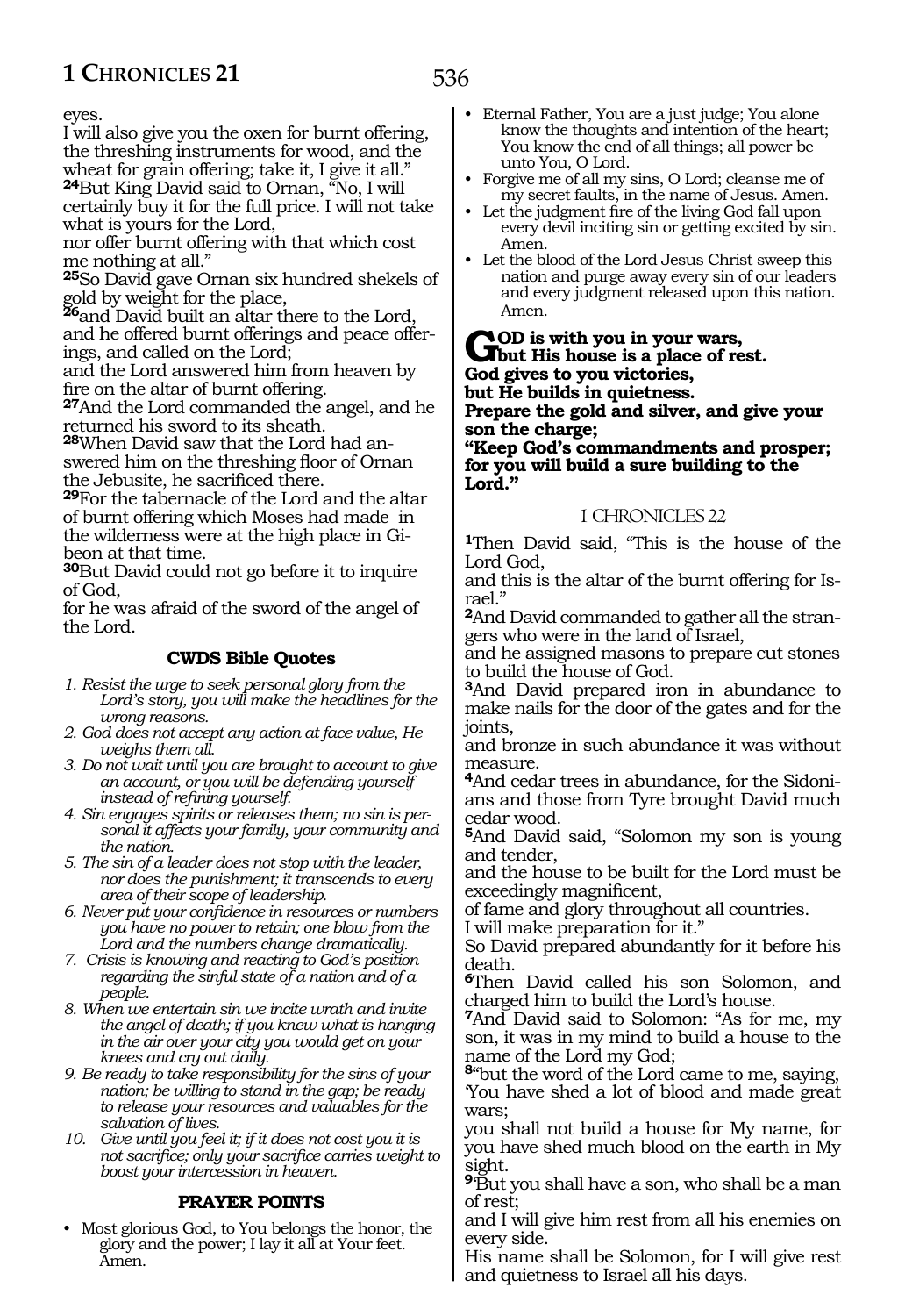eyes.

I will also give you the oxen for burnt offering, the threshing instruments for wood, and the wheat for grain offering; take it, I give it all." **<sup>24</sup>**But King David said to Ornan, "No, I will certainly buy it for the full price. I will not take

what is yours for the Lord,

nor offer burnt offering with that which cost me nothing at all."

**<sup>25</sup>**So David gave Ornan six hundred shekels of gold by weight for the place,

**<sup>26</sup>**and David built an altar there to the Lord, and he offered burnt offerings and peace offerings, and called on the Lord;

and the Lord answered him from heaven by fire on the altar of burnt offering.

**<sup>27</sup>**And the Lord commanded the angel, and he returned his sword to its sheath.

**28**When David saw that the Lord had answered him on the threshing floor of Ornan the Jebusite, he sacrificed there.

**<sup>29</sup>**For the tabernacle of the Lord and the altar of burnt offering which Moses had made in the wilderness were at the high place in Gibeon at that time.

**<sup>30</sup>**But David could not go before it to inquire of God,

for he was afraid of the sword of the angel of the Lord.

# **CWDS Bible Quotes**

- *1. Resist the urge to seek personal glory from the Lord's story, you will make the headlines for the wrong reasons.*
- *2. God does not accept any action at face value, He weighs them all.*
- *3. Do not wait until you are brought to account to give an account, or you will be defending yourself instead of refining yourself.*
- *4. Sin engages spirits or releases them; no sin is personal it affects your family, your community and the nation.*
- *5. The sin of a leader does not stop with the leader, nor does the punishment; it transcends to every area of their scope of leadership.*
- *6. Never put your confidence in resources or numbers you have no power to retain; one blow from the Lord and the numbers change dramatically.*
- *7. Crisis is knowing and reacting to God's position regarding the sinful state of a nation and of a people.*
- *8. When we entertain sin we incite wrath and invite the angel of death; if you knew what is hanging in the air over your city you would get on your knees and cry out daily.*
- *9. Be ready to take responsibility for the sins of your nation; be willing to stand in the gap; be ready to release your resources and valuables for the salvation of lives.*
- *10. Give until you feel it; if it does not cost you it is not sacrifice; only your sacrifice carries weight to boost your intercession in heaven.*

# **PRAYER POINTS**

• Most glorious God, to You belongs the honor, the glory and the power; I lay it all at Your feet. Amen.

- Eternal Father, You are a just judge; You alone know the thoughts and intention of the heart; You know the end of all things; all power be unto You, O Lord.
- Forgive me of all my sins, O Lord; cleanse me of my secret faults, in the name of Jesus. Amen.
- Let the judgment fire of the living God fall upon every devil inciting sin or getting excited by sin. Amen.
- Let the blood of the Lord Jesus Christ sweep this nation and purge away every sin of our leaders and every judgment released upon this nation. Amen.

**GOD** is with you in your wars,<br> **Cod** gives to you victoriate of rest. **God gives to you victories, but He builds in quietness.**

**Prepare the gold and silver, and give your son the charge;**

**"Keep God's commandments and prosper; for you will build a sure building to the Lord."**

### 1 CHRONICLES 22

**<sup>1</sup>**Then David said, "This is the house of the Lord God,

and this is the altar of the burnt offering for Is- rael."

**<sup>2</sup>**And David commanded to gather all the stran- gers who were in the land of Israel,

and he assigned masons to prepare cut stones to build the house of God.

**<sup>3</sup>**And David prepared iron in abundance to make nails for the door of the gates and for the joints,

and bronze in such abundance it was without measure.

**4**And cedar trees in abundance, for the Sidonians and those from Tyre brought David much cedar wood.

**<sup>5</sup>**And David said, "Solomon my son is young and tender,

and the house to be built for the Lord must be exceedingly magnificent,

of fame and glory throughout all countries.

I will make preparation for it."

So David prepared abundantly for it before his death.

**<sup>6</sup>**Then David called his son Solomon, and charged him to build the Lord's house.

**<sup>7</sup>**And David said to Solomon: "As for me, my son, it was in my mind to build a house to the name of the Lord my God;

**<sup>8</sup>**"but the word of the Lord came to me, saying, 'You have shed a lot of blood and made great wars;

you shall not build a house for My name, for you have shed much blood on the earth in My sight.

**<sup>9</sup>**'But you shall have a son, who shall be a man of rest;

and I will give him rest from all his enemies on every side.

His name shall be Solomon, for I will give rest and quietness to Israel all his days.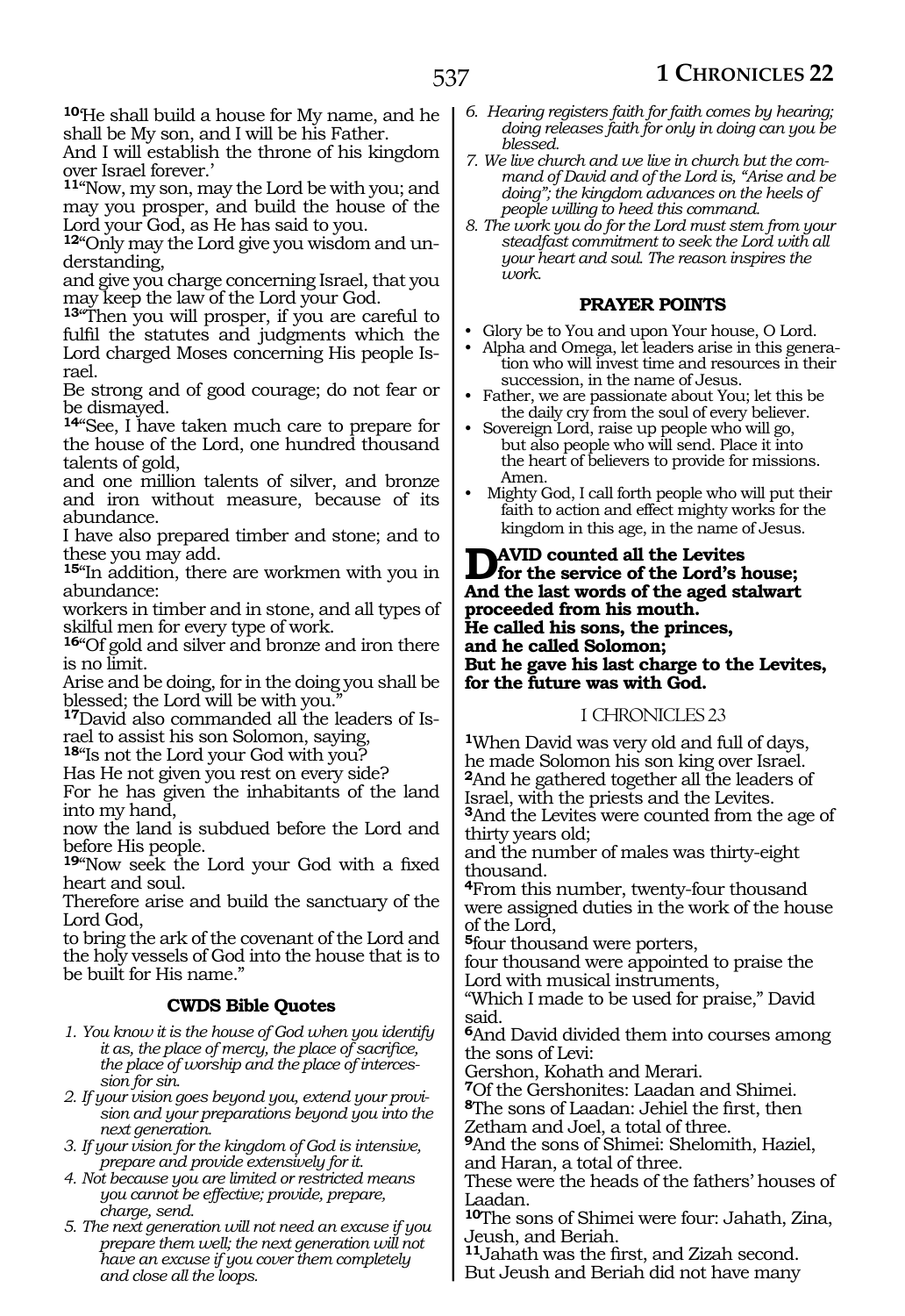**<sup>10</sup>**'He shall build a house for My name, and he shall be My son, and I will be his Father.

And I will establish the throne of his kingdom over Israel forever.'

**<sup>11</sup>**"Now, my son, may the Lord be with you; and may you prosper, and build the house of the Lord your God, as He has said to you.

**12**"Only may the Lord give you wisdom and understanding,

and give you charge concerning Israel, that you may keep the law of the Lord your God.

**<sup>13</sup>**"Then you will prosper, if you are careful to fulfil the statutes and judgments which the Lord charged Moses concerning His people Israel.

Be strong and of good courage; do not fear or be dismayed.

**<sup>14</sup>**"See, I have taken much care to prepare for the house of the Lord, one hundred thousand talents of gold,

and one million talents of silver, and bronze and iron without measure, because of its abundance.

I have also prepared timber and stone; and to these you may add.

**<sup>15</sup>**"In addition, there are workmen with you in abundance:

workers in timber and in stone, and all types of skilful men for every type of work.

**<sup>16</sup>**"Of gold and silver and bronze and iron there is no limit.

Arise and be doing, for in the doing you shall be blessed; the Lord will be with you.

**17**David also commanded all the leaders of Israel to assist his son Solomon, saying,

**<sup>18</sup>**"Is not the Lord your God with you?

Has He not given you rest on every side?

For he has given the inhabitants of the land into my hand,

now the land is subdued before the Lord and before His people.

**<sup>19</sup>**"Now seek the Lord your God with a fixed heart and soul.

Therefore arise and build the sanctuary of the Lord God,

to bring the ark of the covenant of the Lord and the holy vessels of God into the house that is to be built for His name."

# **CWDS Bible Quotes**

*1. You know it is the house of God when you identify it as, the place of mercy, the place of sacrifice, the place of worship and the place of intercession for sin.*

*2. If your vision goes beyond you, extend your provision and your preparations beyond you into the next generation.*

- *3. If your vision for the kingdom of God is intensive, prepare and provide extensively for it.*
- *4. Not because you are limited or restricted means you cannot be effective; provide, prepare, charge, send.*
- *5. The next generation will not need an excuse if you prepare them well; the next generation will not have an excuse if you cover them completely and close all the loops.*
- *6. Hearing registers faith for faith comes by hearing; doing releases faith for only in doing can you be blessed.*
- *7. We live church and we live in church but the command of David and of the Lord is, "Arise and be doing"; the kingdom advances on the heels of people willing to heed this command.*
- *8. The work you do for the Lord must stem from your steadfast commitment to seek the Lord with all your heart and soul. The reason inspires the work.*

#### **PRAYER POINTS**

- Glory be to You and upon Your house, O Lord.
- Alpha and Omega, let leaders arise in this generation who will invest time and resources in their succession, in the name of Jesus.
- Father, we are passionate about You; let this be the daily cry from the soul of every believer.
- Sovereign Lord, raise up people who will go, but also people who will send. Place it into the heart of believers to provide for missions. Amen.
- Mighty God, I call forth people who will put their faith to action and effect mighty works for the kingdom in this age, in the name of Jesus.

## **D**aviD counted all the Levites<br> **Solution**<br>
And the last monde of the and at luminos **And the last words of the aged stalwart proceeded from his mouth. He called his sons, the princes, and he called Solomon; But he gave his last charge to the Levites, for the future was with God.**

#### 1 CHRONICLES 23

**<sup>1</sup>**When David was very old and full of days, he made Solomon his son king over Israel. **<sup>2</sup>**And he gathered together all the leaders of Israel, with the priests and the Levites. **<sup>3</sup>**And the Levites were counted from the age of thirty years old;

and the number of males was thirty-eight thousand.

**<sup>4</sup>**From this number, twenty-four thousand were assigned duties in the work of the house of the Lord,

**<sup>5</sup>**four thousand were porters,

four thousand were appointed to praise the Lord with musical instruments,

"Which I made to be used for praise," David said.

**<sup>6</sup>**And David divided them into courses among the sons of Levi:

Gershon, Kohath and Merari.

**<sup>7</sup>**Of the Gershonites: Laadan and Shimei.

**<sup>8</sup>**The sons of Laadan: Jehiel the first, then Zetham and Joel, a total of three.

**<sup>9</sup>**And the sons of Shimei: Shelomith, Haziel, and Haran, a total of three.

These were the heads of the fathers' houses of Laadan.

**<sup>10</sup>**The sons of Shimei were four: Jahath, Zina, Jeush, and Beriah.

**<sup>11</sup>**Jahath was the first, and Zizah second. But Jeush and Beriah did not have many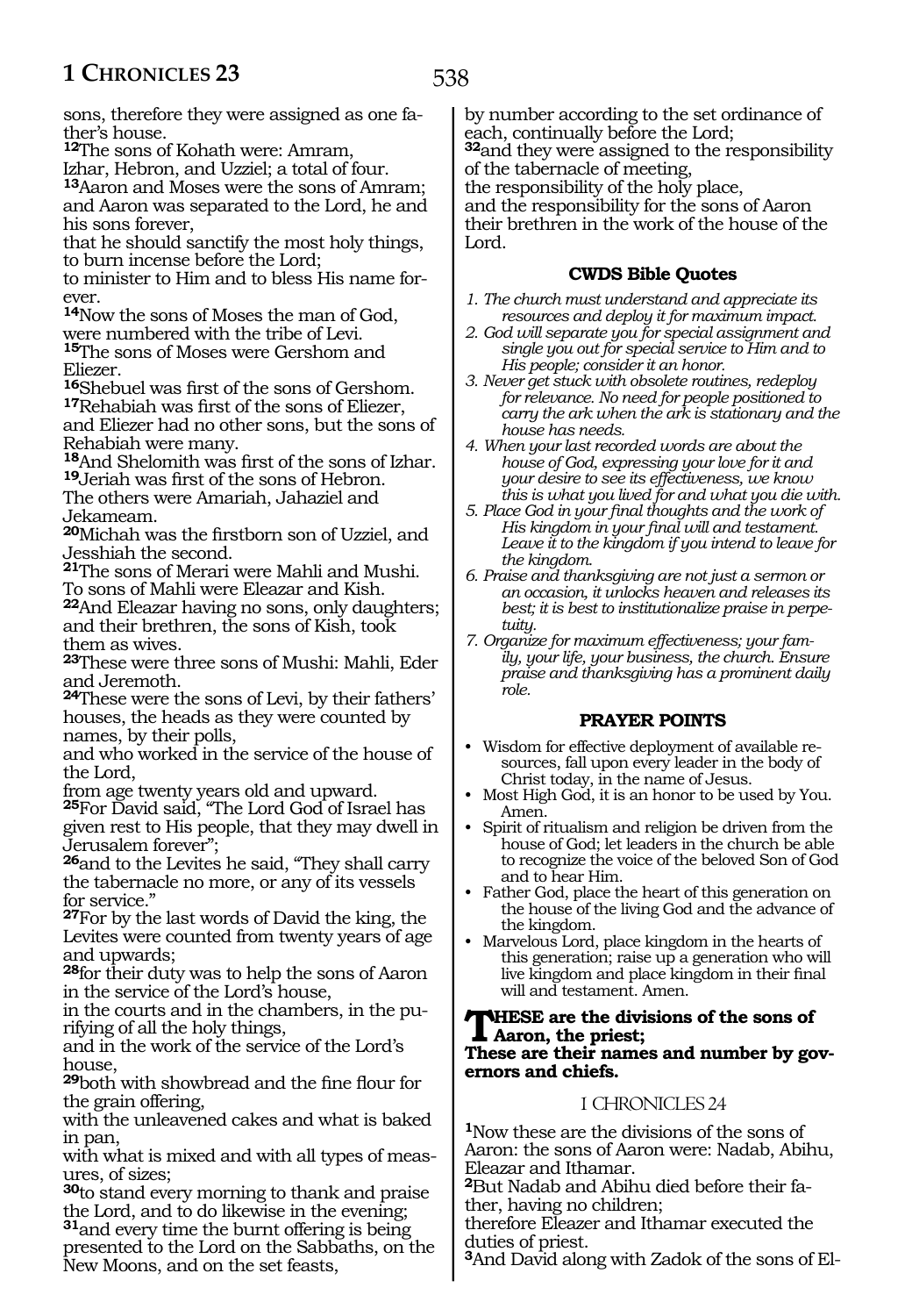sons, therefore they were assigned as one father's house.

**<sup>12</sup>**The sons of Kohath were: Amram,

Izhar, Hebron, and Uzziel; a total of four.

**<sup>13</sup>**Aaron and Moses were the sons of Amram; and Aaron was separated to the Lord, he and his sons forever,

that he should sanctify the most holy things, to burn incense before the Lord;

to minister to Him and to bless His name forever.

**<sup>14</sup>**Now the sons of Moses the man of God, were numbered with the tribe of Levi. **<sup>15</sup>**The sons of Moses were Gershom and Eliezer.

**<sup>16</sup>**Shebuel was first of the sons of Gershom. **<sup>17</sup>**Rehabiah was first of the sons of Eliezer, and Eliezer had no other sons, but the sons of Rehabiah were many.

**<sup>18</sup>**And Shelomith was first of the sons of Izhar. **<sup>19</sup>**Jeriah was first of the sons of Hebron.

The others were Amariah, Jahaziel and Jekameam.

**<sup>20</sup>**Michah was the firstborn son of Uzziel, and Jesshiah the second.

**<sup>21</sup>**The sons of Merari were Mahli and Mushi. To sons of Mahli were Eleazar and Kish.

**<sup>22</sup>**And Eleazar having no sons, only daughters; and their brethren, the sons of Kish, took them as wives.

**<sup>23</sup>**These were three sons of Mushi: Mahli, Eder and Jeremoth.

**<sup>24</sup>**These were the sons of Levi, by their fathers' houses, the heads as they were counted by names, by their polls,

and who worked in the service of the house of the Lord,

from age twenty years old and upward.

**<sup>25</sup>**For David said, "The Lord God of Israel has given rest to His people, that they may dwell in Jerusalem forever";

**<sup>26</sup>**and to the Levites he said, "They shall carry the tabernacle no more, or any of its vessels for service."

**<sup>27</sup>**For by the last words of David the king, the Levites were counted from twenty years of age and upwards;

**<sup>28</sup>**for their duty was to help the sons of Aaron in the service of the Lord's house,

in the courts and in the chambers, in the purifying of all the holy things,

and in the work of the service of the Lord's house,

**<sup>29</sup>**both with showbread and the fine flour for the grain offering,

with the unleavened cakes and what is baked in pan,

with what is mixed and with all types of measures, of sizes;

**<sup>30</sup>**to stand every morning to thank and praise the Lord, and to do likewise in the evening; **<sup>31</sup>**and every time the burnt offering is being presented to the Lord on the Sabbaths, on the New Moons, and on the set feasts,

by number according to the set ordinance of each, continually before the Lord; **<sup>32</sup>**and they were assigned to the responsibility of the tabernacle of meeting, the responsibility of the holy place, and the responsibility for the sons of Aaron their brethren in the work of the house of the Lord.

# **CWDS Bible Quotes**

- *1. The church must understand and appreciate its resources and deploy it for maximum impact.*
- *2. God will separate you for special assignment and single you out for special service to Him and to His people; consider it an honor.*
- *3. Never get stuck with obsolete routines, redeploy for relevance. No need for people positioned to carry the ark when the ark is stationary and the house has needs.*
- *4. When your last recorded words are about the house of God, expressing your love for it and your desire to see its effectiveness, we know this is what you lived for and what you die with.*
- *5. Place God in your final thoughts and the work of His kingdom in your final will and testament. Leave it to the kingdom if you intend to leave for the kingdom.*
- *6. Praise and thanksgiving are not just a sermon or an occasion, it unlocks heaven and releases its best; it is best to institutionalize praise in perpetuity.*
- *7. Organize for maximum effectiveness; your family, your life, your business, the church. Ensure praise and thanksgiving has a prominent daily role.*

# **PRAYER POINTS**

- Wisdom for effective deployment of available resources, fall upon every leader in the body of Christ today, in the name of Jesus.
- Most High God, it is an honor to be used by You. Amen.
- Spirit of ritualism and religion be driven from the house of God; let leaders in the church be able to recognize the voice of the beloved Son of God and to hear Him.
- Father God, place the heart of this generation on the house of the living God and the advance of the kingdom.
- Marvelous Lord, place kingdom in the hearts of this generation; raise up a generation who will live kingdom and place kingdom in their final will and testament. Amen.

#### **These are the divisions of the sons of Aaron, the priest; These are their names and number by governors and chiefs.**

# 1 CHRONICLES 24

**<sup>1</sup>**Now these are the divisions of the sons of Aaron: the sons of Aaron were: Nadab, Abihu, Eleazar and Ithamar.

**<sup>2</sup>**But Nadab and Abihu died before their fa- ther, having no children;

therefore Eleazer and Ithamar executed the duties of priest.

**3**And David along with Zadok of the sons of El-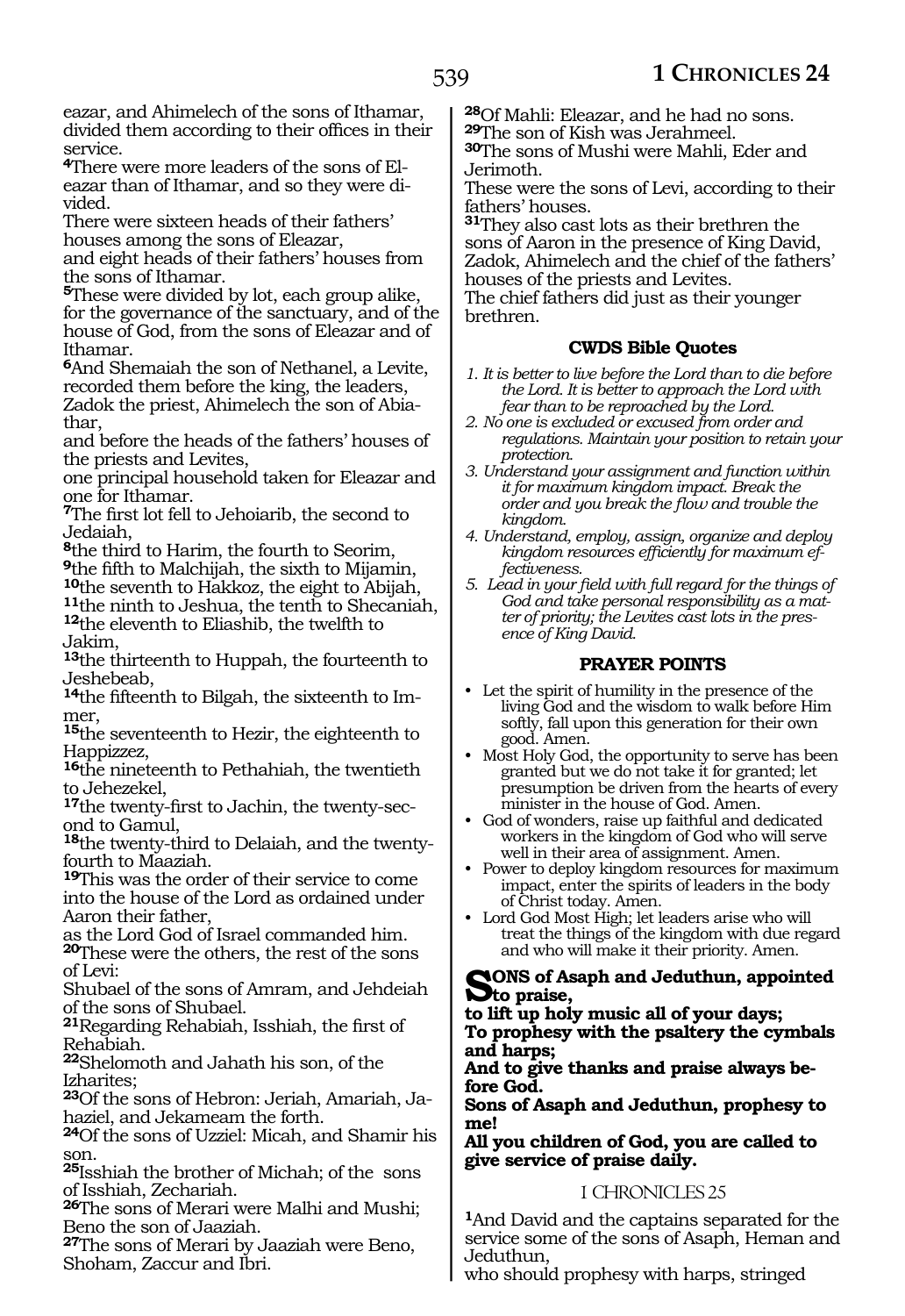eazar, and Ahimelech of the sons of Ithamar, divided them according to their offices in their service.

**4**There were more leaders of the sons of Eleazar than of Ithamar, and so they were divided.

There were sixteen heads of their fathers' houses among the sons of Eleazar,

and eight heads of their fathers' houses from the sons of Ithamar.

**<sup>5</sup>**These were divided by lot, each group alike, for the governance of the sanctuary, and of the house of God, from the sons of Eleazar and of Ithamar.

**<sup>6</sup>**And Shemaiah the son of Nethanel, a Levite, recorded them before the king, the leaders, Zadok the priest, Ahimelech the son of Abiathar,

and before the heads of the fathers' houses of the priests and Levites,

one principal household taken for Eleazar and one for Ithamar.

**<sup>7</sup>**The first lot fell to Jehoiarib, the second to Jedaiah,

**<sup>8</sup>**the third to Harim, the fourth to Seorim,

**<sup>9</sup>**the fifth to Malchijah, the sixth to Mijamin,

**<sup>10</sup>**the seventh to Hakkoz, the eight to Abijah, **11**the ninth to Jeshua, the tenth to Shecaniah,

**<sup>12</sup>**the eleventh to Eliashib, the twelfth to Jakim,

**<sup>13</sup>**the thirteenth to Huppah, the fourteenth to Jeshebeab,

**14**the fifteenth to Bilgah, the sixteenth to Immer,

**<sup>15</sup>**the seventeenth to Hezir, the eighteenth to Happizzez,

**<sup>16</sup>**the nineteenth to Pethahiah, the twentieth to Jehezekel,

**<sup>17</sup>**the twenty-first to Jachin, the twenty-sec- ond to Gamul,

**18**the twenty-third to Delaiah, and the twentyfourth to Maaziah.

**<sup>19</sup>**This was the order of their service to come into the house of the Lord as ordained under Aaron their father,

as the Lord God of Israel commanded him. **<sup>20</sup>**These were the others, the rest of the sons of Levi:

Shubael of the sons of Amram, and Jehdeiah of the sons of Shubael.

**<sup>21</sup>**Regarding Rehabiah, Isshiah, the first of Rehabiah.

**<sup>22</sup>**Shelomoth and Jahath his son, of the Izharites;

**23**Of the sons of Hebron: Jeriah, Amariah, Jahaziel, and Jekameam the forth.

**<sup>24</sup>**Of the sons of Uzziel: Micah, and Shamir his son.

**<sup>25</sup>**Isshiah the brother of Michah; of the sons of Isshiah, Zechariah.

**<sup>26</sup>**The sons of Merari were Malhi and Mushi; Beno the son of Jaaziah.

**<sup>27</sup>**The sons of Merari by Jaaziah were Beno, Shoham, Zaccur and Ibri.

**<sup>28</sup>**Of Mahli: Eleazar, and he had no sons. **<sup>29</sup>**The son of Kish was Jerahmeel.

**<sup>30</sup>**The sons of Mushi were Mahli, Eder and Jerimoth.

These were the sons of Levi, according to their fathers' houses.

**<sup>31</sup>**They also cast lots as their brethren the sons of Aaron in the presence of King David, Zadok, Ahimelech and the chief of the fathers' houses of the priests and Levites.

The chief fathers did just as their younger brethren.

# **CWDS Bible Quotes**

- *1. It is better to live before the Lord than to die before the Lord. It is better to approach the Lord with fear than to be reproached by the Lord.*
- *2. No one is excluded or excused from order and regulations. Maintain your position to retain your protection.*
- *3. Understand your assignment and function within it for maximum kingdom impact. Break the order and you break the flow and trouble the kingdom.*
- *4. Understand, employ, assign, organize and deploy kingdom resources efficiently for maximum effectiveness.*
- *5. Lead in your field with full regard for the things of God and take personal responsibility as a matter of priority; the Levites cast lots in the presence of King David.*

# **PRAYER POINTS**

- Let the spirit of humility in the presence of the living God and the wisdom to walk before Him softly, fall upon this generation for their own good. Amen.
- Most Holy God, the opportunity to serve has been granted but we do not take it for granted; let presumption be driven from the hearts of every minister in the house of God. Amen.
- God of wonders, raise up faithful and dedicated workers in the kingdom of God who will serve well in their area of assignment. Amen.
- Power to deploy kingdom resources for maximum impact, enter the spirits of leaders in the body of Christ today. Amen.
- Lord God Most High; let leaders arise who will treat the things of the kingdom with due regard and who will make it their priority. Amen.

#### **Sons of Asaph and Jeduthun, appointed to praise,**

**to lift up holy music all of your days; To prophesy with the psaltery the cymbals and harps;**

**And to give thanks and praise always before God.**

**Sons of Asaph and Jeduthun, prophesy to me!**

**All you children of God, you are called to give service of praise daily.**

# 1 CHRONICLES 25

**<sup>1</sup>**And David and the captains separated for the service some of the sons of Asaph, Heman and Jeduthun,

who should prophesy with harps, stringed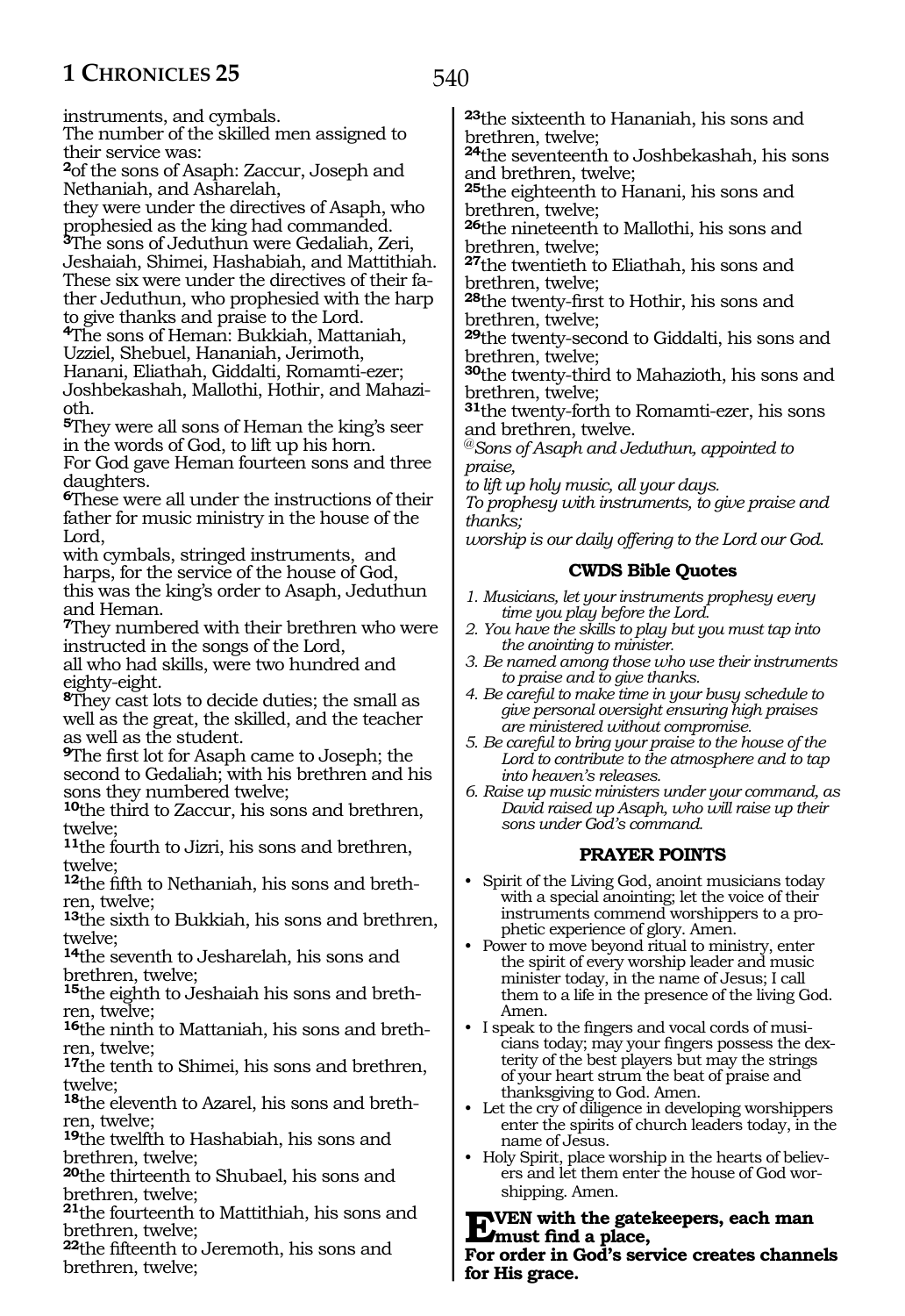instruments, and cymbals.

The number of the skilled men assigned to their service was:

**<sup>2</sup>**of the sons of Asaph: Zaccur, Joseph and Nethaniah, and Asharelah,

they were under the directives of Asaph, who prophesied as the king had commanded.

**<sup>3</sup>**The sons of Jeduthun were Gedaliah, Zeri, Jeshaiah, Shimei, Hashabiah, and Mattithiah. These six were under the directives of their fa- ther Jeduthun, who prophesied with the harp

to give thanks and praise to the Lord. **<sup>4</sup>**The sons of Heman: Bukkiah, Mattaniah, Uzziel, Shebuel, Hananiah, Jerimoth,

Hanani, Eliathah, Giddalti, Romamti-ezer; Joshbekashah, Mallothi, Hothir, and Mahazioth.

**<sup>5</sup>**They were all sons of Heman the king's seer in the words of God, to lift up his horn.

For God gave Heman fourteen sons and three daughters.

**<sup>6</sup>**These were all under the instructions of their father for music ministry in the house of the Lord,

with cymbals, stringed instruments, and harps, for the service of the house of God, this was the king's order to Asaph, Jeduthun and Heman.

**<sup>7</sup>**They numbered with their brethren who were instructed in the songs of the Lord,

all who had skills, were two hundred and eighty-eight.

**<sup>8</sup>**They cast lots to decide duties; the small as well as the great, the skilled, and the teacher as well as the student.

**<sup>9</sup>**The first lot for Asaph came to Joseph; the second to Gedaliah; with his brethren and his sons they numbered twelve;

**<sup>10</sup>**the third to Zaccur, his sons and brethren, twelve;

**<sup>11</sup>**the fourth to Jizri, his sons and brethren, twelve;

**12**the fifth to Nethaniah, his sons and brethren, twelve;

**<sup>13</sup>**the sixth to Bukkiah, his sons and brethren, twelve;

**<sup>14</sup>**the seventh to Jesharelah, his sons and brethren, twelve;

**15**the eighth to Jeshaiah his sons and brethren, twelve;

**<sup>16</sup>**the ninth to Mattaniah, his sons and breth- ren, twelve;

**<sup>17</sup>**the tenth to Shimei, his sons and brethren, twelve;

**18**the eleventh to Azarel, his sons and brethren, twelve;

**<sup>19</sup>**the twelfth to Hashabiah, his sons and brethren, twelve;

**<sup>20</sup>**the thirteenth to Shubael, his sons and brethren, twelve;

**<sup>21</sup>**the fourteenth to Mattithiah, his sons and brethren, twelve;

**<sup>22</sup>**the fifteenth to Jeremoth, his sons and brethren, twelve;

**<sup>23</sup>**the sixteenth to Hananiah, his sons and brethren, twelve;

**<sup>24</sup>**the seventeenth to Joshbekashah, his sons and brethren, twelve;

**<sup>25</sup>**the eighteenth to Hanani, his sons and brethren, twelve;

**<sup>26</sup>**the nineteenth to Mallothi, his sons and brethren, twelve;

**<sup>27</sup>**the twentieth to Eliathah, his sons and brethren, twelve;

**<sup>28</sup>**the twenty-first to Hothir, his sons and brethren, twelve;

**<sup>29</sup>**the twenty-second to Giddalti, his sons and brethren, twelve;

**<sup>30</sup>**the twenty-third to Mahazioth, his sons and brethren, twelve;

**<sup>31</sup>**the twenty-forth to Romamti-ezer, his sons and brethren, twelve.

@*Sons of Asaph and Jeduthun, appointed to praise,*

*to lift up holy music, all your days.*

*To prophesy with instruments, to give praise and thanks;*

*worship is our daily offering to the Lord our God.*

### **CWDS Bible Quotes**

- *1. Musicians, let your instruments prophesy every time you play before the Lord.*
- *2. You have the skills to play but you must tap into the anointing to minister.*
- *3. Be named among those who use their instruments to praise and to give thanks.*
- *4. Be careful to make time in your busy schedule to give personal oversight ensuring high praises are ministered without compromise.*
- *5. Be careful to bring your praise to the house of the Lord to contribute to the atmosphere and to tap into heaven's releases.*
- *6. Raise up music ministers under your command, as David raised up Asaph, who will raise up their sons under God's command.*

# **PRAYER POINTS**

- Spirit of the Living God, anoint musicians today with a special anointing; let the voice of their instruments commend worshippers to a prophetic experience of glory. Amen.
- Power to move beyond ritual to ministry, enter the spirit of every worship leader and music minister today, in the name of Jesus; I call them to a life in the presence of the living God. Amen.
- I speak to the fingers and vocal cords of musicians today; may your fingers possess the dexterity of the best players but may the strings of your heart strum the beat of praise and thanksgiving to God. Amen.
- Let the cry of diligence in developing worshippers enter the spirits of church leaders today, in the name of Jesus.
- Holy Spirit, place worship in the hearts of believers and let them enter the house of God worshipping. Amen.

**EVEN** with the gatekeepers, each man <br> **Expansion in Codio corrisp expanse abonne For order in God's service creates channels for His grace.**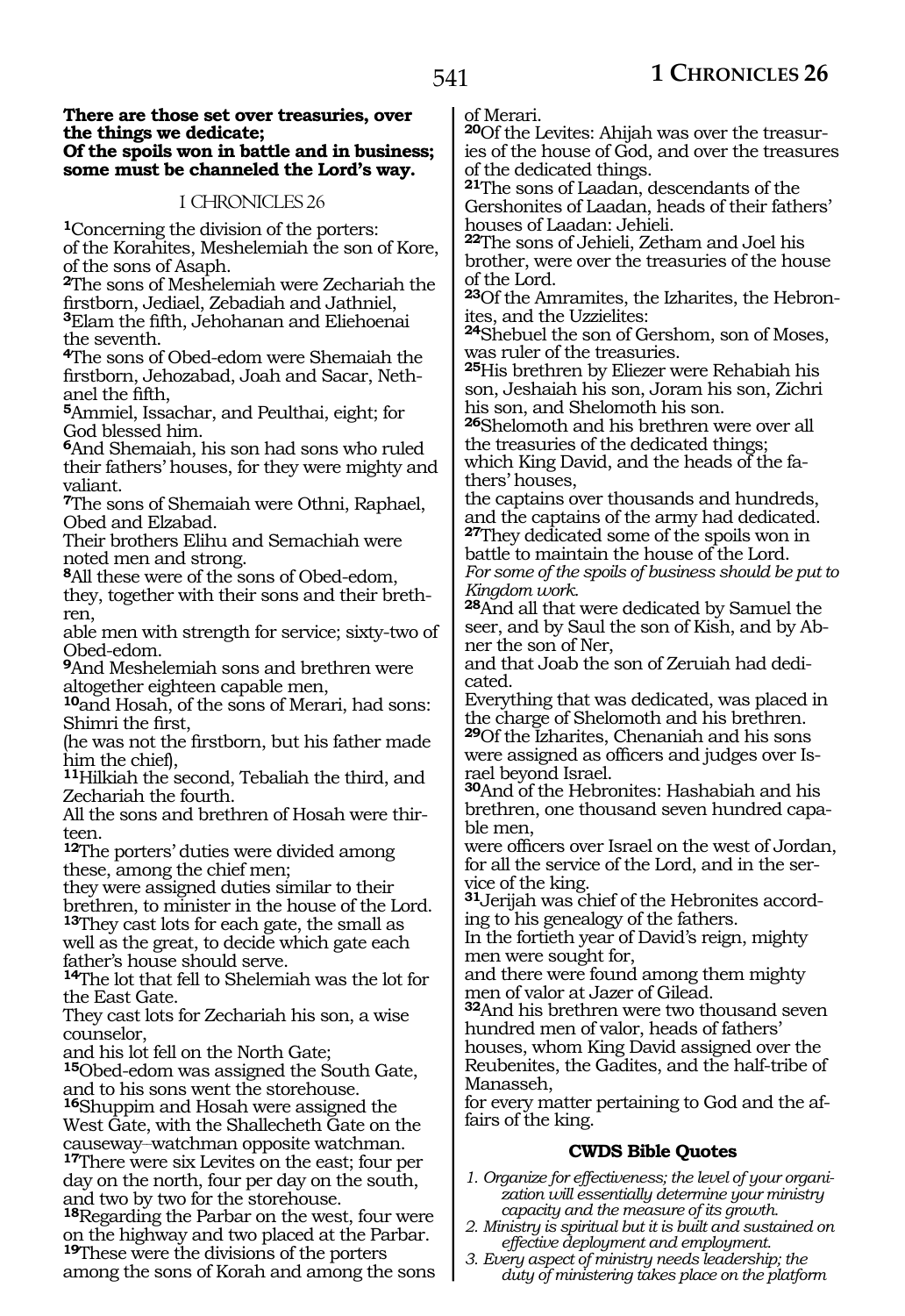#### **There are those set over treasuries, over the things we dedicate; Of the spoils won in battle and in business; some must be channeled the Lord's way.**

## 1 CHRONICLES 26

**<sup>1</sup>**Concerning the division of the porters: of the Korahites, Meshelemiah the son of Kore, of the sons of Asaph.

**<sup>2</sup>**The sons of Meshelemiah were Zechariah the firstborn, Jediael, Zebadiah and Jathniel,

**<sup>3</sup>**Elam the fifth, Jehohanan and Eliehoenai the seventh.

**<sup>4</sup>**The sons of Obed-edom were Shemaiah the firstborn, Jehozabad, Joah and Sacar, Neth- anel the fifth,

**<sup>5</sup>**Ammiel, Issachar, and Peulthai, eight; for God blessed him.

**<sup>6</sup>**And Shemaiah, his son had sons who ruled their fathers' houses, for they were mighty and valiant.

**<sup>7</sup>**The sons of Shemaiah were Othni, Raphael, Obed and Elzabad.

Their brothers Elihu and Semachiah were noted men and strong.

**<sup>8</sup>**All these were of the sons of Obed-edom, they, together with their sons and their brethren,

able men with strength for service; sixty-two of Obed-edom.

**<sup>9</sup>**And Meshelemiah sons and brethren were altogether eighteen capable men,

**<sup>10</sup>**and Hosah, of the sons of Merari, had sons: Shimri the first,

(he was not the firstborn, but his father made him the chief),

**<sup>11</sup>**Hilkiah the second, Tebaliah the third, and Zechariah the fourth.

All the sons and brethren of Hosah were thirteen.

**<sup>12</sup>**The porters' duties were divided among these, among the chief men;

they were assigned duties similar to their brethren, to minister in the house of the Lord.

**<sup>13</sup>**They cast lots for each gate, the small as well as the great, to decide which gate each father's house should serve.

**<sup>14</sup>**The lot that fell to Shelemiah was the lot for the East Gate.

They cast lots for Zechariah his son, a wise counselor,

and his lot fell on the North Gate;

**<sup>15</sup>**Obed-edom was assigned the South Gate, and to his sons went the storehouse. **<sup>16</sup>**Shuppim and Hosah were assigned the

West Gate, with the Shallecheth Gate on the

causeway\_\_watchman opposite watchman. **<sup>17</sup>**There were six Levites on the east; four per day on the north, four per day on the south, and two by two for the storehouse.

**<sup>18</sup>**Regarding the Parbar on the west, four were on the highway and two placed at the Parbar. **<sup>19</sup>**These were the divisions of the porters

among the sons of Korah and among the sons

of Merari.

**20**Of the Levites: Ahijah was over the treasuries of the house of God, and over the treasures of the dedicated things.

**<sup>21</sup>**The sons of Laadan, descendants of the Gershonites of Laadan, heads of their fathers' houses of Laadan: Jehieli.

**<sup>22</sup>**The sons of Jehieli, Zetham and Joel his brother, were over the treasuries of the house of the Lord.

**<sup>23</sup>**Of the Amramites, the Izharites, the Hebron- ites, and the Uzzielites:

**<sup>24</sup>**Shebuel the son of Gershom, son of Moses, was ruler of the treasuries.

**<sup>25</sup>**His brethren by Eliezer were Rehabiah his son, Jeshaiah his son, Joram his son, Zichri his son, and Shelomoth his son.

**<sup>26</sup>**Shelomoth and his brethren were over all the treasuries of the dedicated things; which King David, and the heads of the fathers' houses,

the captains over thousands and hundreds, and the captains of the army had dedicated.

**<sup>27</sup>**They dedicated some of the spoils won in battle to maintain the house of the Lord.

*For some of the spoils of business should be put to Kingdom work.*

**<sup>28</sup>**And all that were dedicated by Samuel the seer, and by Saul the son of Kish, and by Abner the son of Ner,

and that Joab the son of Zeruiah had dedicated.

Everything that was dedicated, was placed in the charge of Shelomoth and his brethren.

**<sup>29</sup>**Of the Izharites, Chenaniah and his sons were assigned as officers and judges over Israel beyond Israel.

**<sup>30</sup>**And of the Hebronites: Hashabiah and his brethren, one thousand seven hundred capa- ble men,

were officers over Israel on the west of Jordan, for all the service of the Lord, and in the service of the king.

**31**Jerijah was chief of the Hebronites according to his genealogy of the fathers.

In the fortieth year of David's reign, mighty men were sought for,

and there were found among them mighty men of valor at Jazer of Gilead.

**<sup>32</sup>**And his brethren were two thousand seven hundred men of valor, heads of fathers' houses, whom King David assigned over the Reubenites, the Gadites, and the half-tribe of Manasseh,

for every matter pertaining to God and the affairs of the king.

# **CWDS Bible Quotes**

*1. Organize for effectiveness; the level of your organization will essentially determine your ministry capacity and the measure of its growth.*

- *2. Ministry is spiritual but it is built and sustained on effective deployment and employment.*
- *3. Every aspect of ministry needs leadership; the duty of ministering takes place on the platform*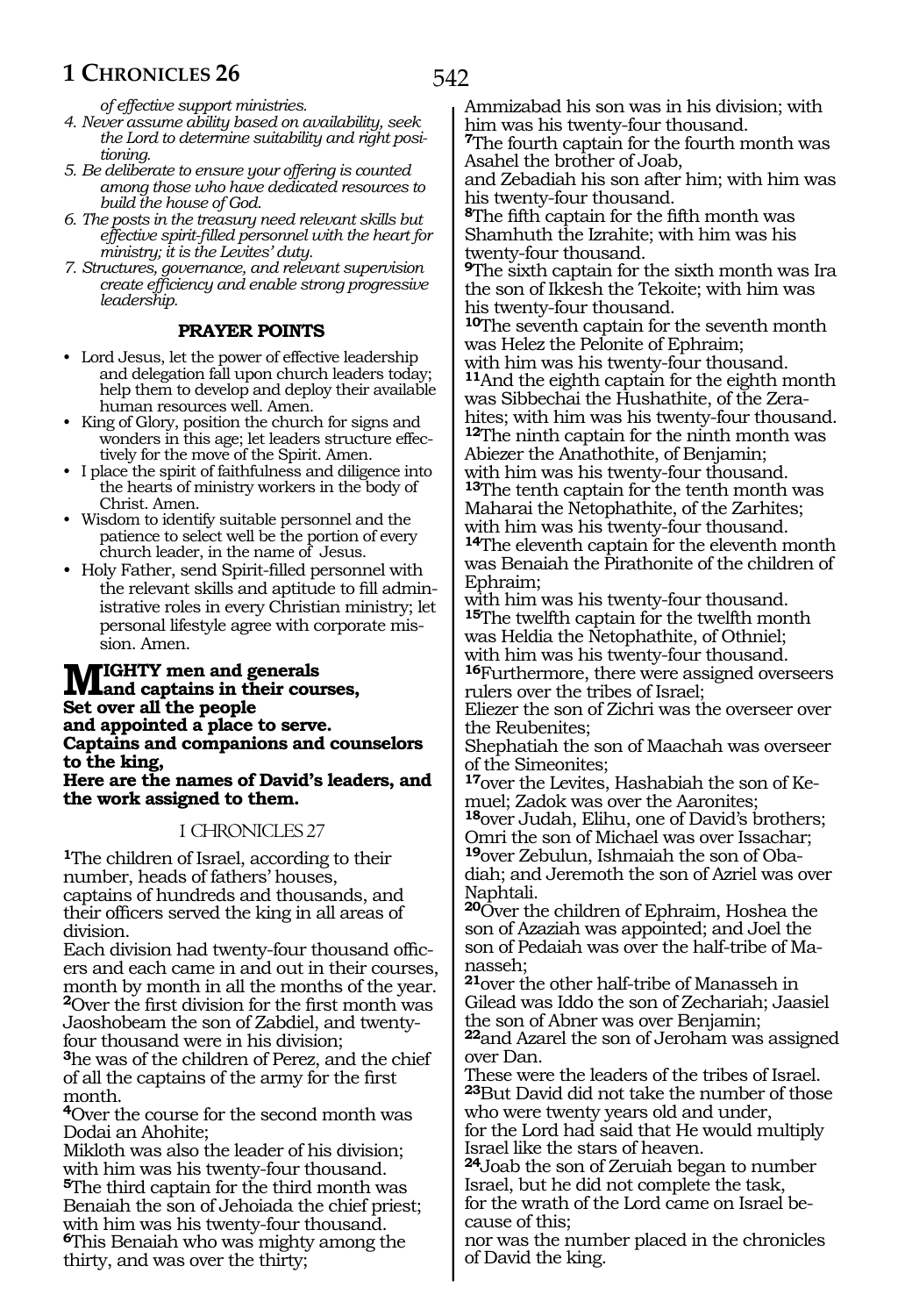*of effective support ministries.*

- *4. Never assume ability based on availability, seek the Lord to determine suitability and right positioning.*
- *5. Be deliberate to ensure your offering is counted among those who have dedicated resources to build the house of God.*
- *6. The posts in the treasury need relevant skills but effective spirit-filled personnel with the heart for ministry; it is the Levites' duty.*
- *7. Structures, governance, and relevant supervision create efficiency and enable strong progressive leadership.*

#### **PRAYER POINTS**

- Lord Jesus, let the power of effective leadership and delegation fall upon church leaders today; help them to develop and deploy their available human resources well. Amen.
- King of Glory, position the church for signs and wonders in this age; let leaders structure effectively for the move of the Spirit. Amen.
- I place the spirit of faithfulness and diligence into the hearts of ministry workers in the body of Christ. Amen.
- Wisdom to identify suitable personnel and the patience to select well be the portion of every church leader, in the name of Jesus.
- Holy Father, send Spirit-filled personnel with the relevant skills and aptitude to fill administrative roles in every Christian ministry; let personal lifestyle agree with corporate mission. Amen.

# **Mighty men and generals and captains in their courses, Set over all the people and appointed a place to serve. Captains and companions and counselors to the king,**

**Here are the names of David's leaders, and the work assigned to them.**

#### 1 CHRONICLES 27

**<sup>1</sup>**The children of Israel, according to their number, heads of fathers' houses, captains of hundreds and thousands, and their officers served the king in all areas of division.

Each division had twenty-four thousand officers and each came in and out in their courses, month by month in all the months of the year. **<sup>2</sup>**Over the first division for the first month was Jaoshobeam the son of Zabdiel, and twentyfour thousand were in his division;

**<sup>3</sup>**he was of the children of Perez, and the chief of all the captains of the army for the first month.

**<sup>4</sup>**Over the course for the second month was Dodai an Ahohite;

Mikloth was also the leader of his division; with him was his twenty-four thousand. **<sup>5</sup>**The third captain for the third month was Benaiah the son of Jehoiada the chief priest; with him was his twenty-four thousand. **<sup>6</sup>**This Benaiah who was mighty among the thirty, and was over the thirty;

Ammizabad his son was in his division; with him was his twenty-four thousand.

**<sup>7</sup>**The fourth captain for the fourth month was Asahel the brother of Joab,

and Zebadiah his son after him; with him was his twenty-four thousand.

**<sup>8</sup>**The fifth captain for the fifth month was Shamhuth the Izrahite; with him was his twenty-four thousand.

**<sup>9</sup>**The sixth captain for the sixth month was Ira the son of Ikkesh the Tekoite; with him was his twenty-four thousand.

**<sup>10</sup>**The seventh captain for the seventh month was Helez the Pelonite of Ephraim; with him was his twenty-four thousand.

**<sup>11</sup>**And the eighth captain for the eighth month was Sibbechai the Hushathite, of the Zerahites; with him was his twenty-four thousand.

**<sup>12</sup>**The ninth captain for the ninth month was Abiezer the Anathothite, of Benjamin; with him was his twenty-four thousand. **<sup>13</sup>**The tenth captain for the tenth month was Maharai the Netophathite, of the Zarhites; with him was his twenty-four thousand. **<sup>14</sup>**The eleventh captain for the eleventh month was Benaiah the Pirathonite of the children of

Ephraim; with him was his twenty-four thousand. **<sup>15</sup>**The twelfth captain for the twelfth month was Heldia the Netophathite, of Othniel; with him was his twenty-four thousand.

**<sup>16</sup>**Furthermore, there were assigned overseers rulers over the tribes of Israel;

Eliezer the son of Zichri was the overseer over the Reubenites;

Shephatiah the son of Maachah was overseer of the Simeonites;

**<sup>17</sup>**over the Levites, Hashabiah the son of Ke- muel; Zadok was over the Aaronites;

**<sup>18</sup>**over Judah, Elihu, one of David's brothers; Omri the son of Michael was over Issachar; **19**over Zebulun, Ishmaiah the son of Obadiah; and Jeremoth the son of Azriel was over Naphtali.

**<sup>20</sup>**Over the children of Ephraim, Hoshea the son of Azaziah was appointed; and Joel the son of Pedaiah was over the half-tribe of Manasseh;

**<sup>21</sup>**over the other half-tribe of Manasseh in Gilead was Iddo the son of Zechariah; Jaasiel the son of Abner was over Benjamin;

**<sup>22</sup>**and Azarel the son of Jeroham was assigned over Dan.

These were the leaders of the tribes of Israel. **<sup>23</sup>**But David did not take the number of those who were twenty years old and under,

for the Lord had said that He would multiply Israel like the stars of heaven.

**<sup>24</sup>**Joab the son of Zeruiah began to number Israel, but he did not complete the task, for the wrath of the Lord came on Israel because of this;

nor was the number placed in the chronicles of David the king.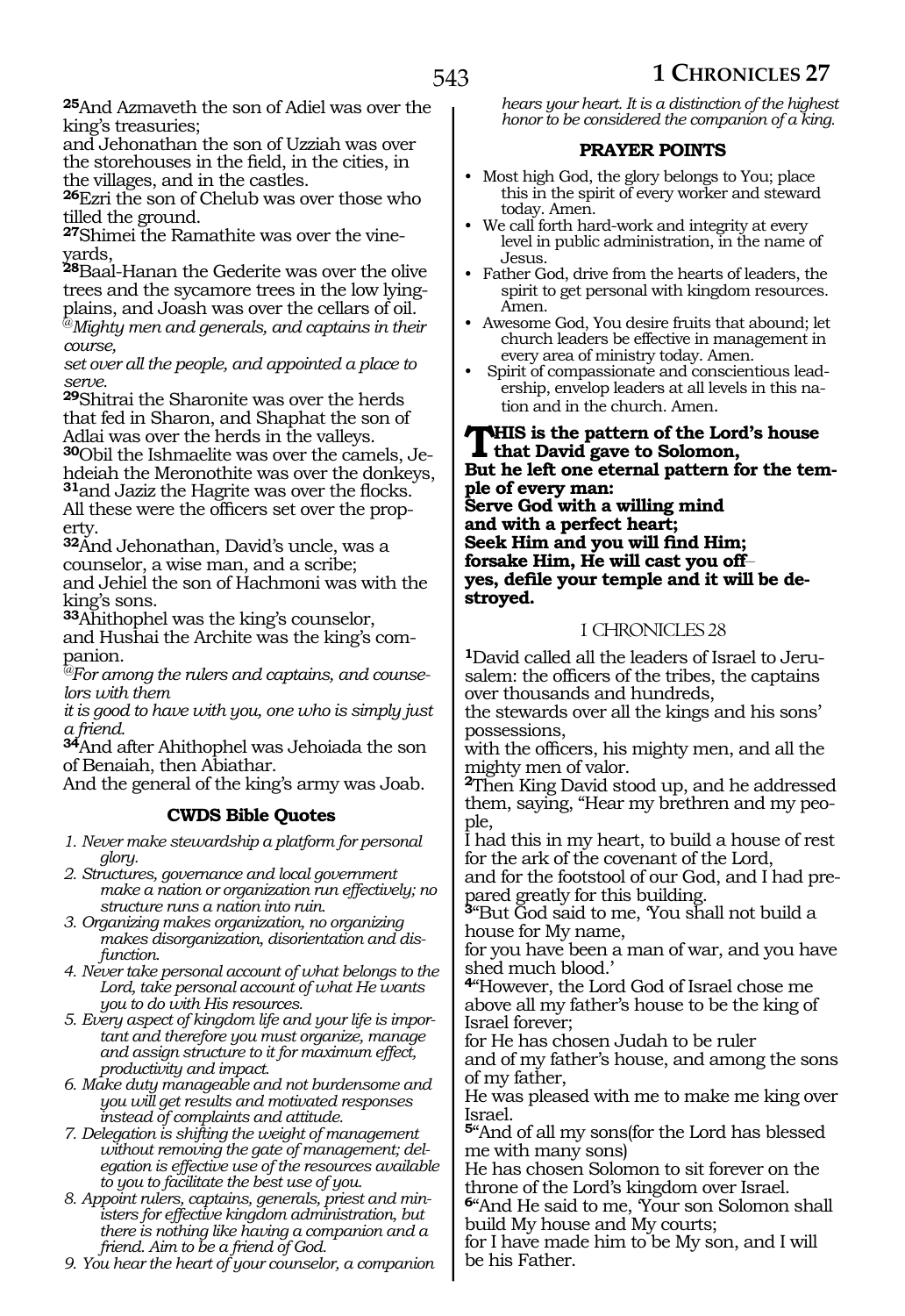**<sup>25</sup>**And Azmaveth the son of Adiel was over the king's treasuries;

and Jehonathan the son of Uzziah was over the storehouses in the field, in the cities, in the villages, and in the castles.

**<sup>26</sup>**Ezri the son of Chelub was over those who tilled the ground.

**27**Shimei the Ramathite was over the vineyards,

**<sup>28</sup>**Baal-Hanan the Gederite was over the olive trees and the sycamore trees in the low lyingplains, and Joash was over the cellars of oil.

@*Mighty men and generals, and captains in their course,*

*set over all the people, and appointed a place to serve.*

**<sup>29</sup>**Shitrai the Sharonite was over the herds that fed in Sharon, and Shaphat the son of Adlai was over the herds in the valleys.

**30**Obil the Ishmaelite was over the camels, Jehdeiah the Meronothite was over the donkeys, **<sup>31</sup>**and Jaziz the Hagrite was over the flocks. All these were the officers set over the property.

**<sup>32</sup>**And Jehonathan, David's uncle, was a counselor, a wise man, and a scribe; and Jehiel the son of Hachmoni was with the king's sons.

**<sup>33</sup>**Ahithophel was the king's counselor, and Hushai the Archite was the king's companion.

*@For among the rulers and captains, and counselors with them*

*it is good to have with you, one who is simply just a friend.*

**<sup>34</sup>**And after Ahithophel was Jehoiada the son of Benaiah, then Abiathar.

And the general of the king's army was Joab.

# **CWDS Bible Quotes**

- *1. Never make stewardship a platform for personal glory.*
- *2. Structures, governance and local government make a nation or organization run effectively; no structure runs a nation into ruin.*
- *3. Organizing makes organization, no organizing makes disorganization, disorientation and disfunction.*
- *4. Never take personal account of what belongs to the Lord, take personal account of what He wants you to do with His resources.*
- *5. Every aspect of kingdom life and your life is important and therefore you must organize, manage and assign structure to it for maximum effect, productivity and impact.*
- *6. Make duty manageable and not burdensome and you will get results and motivated responses instead of complaints and attitude.*
- *7. Delegation is shifting the weight of management without removing the gate of management; delegation is effective use of the resources available to you to facilitate the best use of you.*
- *8. Appoint rulers, captains, generals, priest and ministers for effective kingdom administration, but there is nothing like having a companion and a friend. Aim to be a friend of God.*
- *9. You hear the heart of your counselor, a companion*

*hears your heart. It is a distinction of the highest honor to be considered the companion of a king.*

### **PRAYER POINTS**

- Most high God, the glory belongs to You; place this in the spirit of every worker and steward today. Amen.
- We call forth hard-work and integrity at every level in public administration, in the name of Jesus.
- Father God, drive from the hearts of leaders, the spirit to get personal with kingdom resources. Amen.
- Awesome God, You desire fruits that abound; let church leaders be effective in management in every area of ministry today. Amen.
- Spirit of compassionate and conscientious leadership, envelop leaders at all levels in this nation and in the church. Amen.

**This is the pattern of the Lord's house that David gave to Solomon, But he left one eternal pattern for the temple of every man: Serve God with a willing mind and with a perfect heart; Seek Him and you will find Him; forsake Him, He will cast you off\_\_ yes, defile your temple and it will be destroyed.**

# 1 CHRONICLES 28

**1**David called all the leaders of Israel to Jerusalem: the officers of the tribes, the captains over thousands and hundreds,

the stewards over all the kings and his sons' possessions,

with the officers, his mighty men, and all the mighty men of valor.

**<sup>2</sup>**Then King David stood up, and he addressed them, saying, "Hear my brethren and my people,

I had this in my heart, to build a house of rest for the ark of the covenant of the Lord,

and for the footstool of our God, and I had prepared greatly for this building.

**<sup>3</sup>**"But God said to me, 'You shall not build a house for My name,

for you have been a man of war, and you have shed much blood.'

**<sup>4</sup>**"However, the Lord God of Israel chose me above all my father's house to be the king of Israel forever;

for He has chosen Judah to be ruler and of my father's house, and among the sons of my father,

He was pleased with me to make me king over Israel.

**<sup>5</sup>**"And of all my sons(for the Lord has blessed me with many sons)

He has chosen Solomon to sit forever on the throne of the Lord's kingdom over Israel.

**<sup>6</sup>**"And He said to me, 'Your son Solomon shall build My house and My courts;

for I have made him to be My son, and I will be his Father.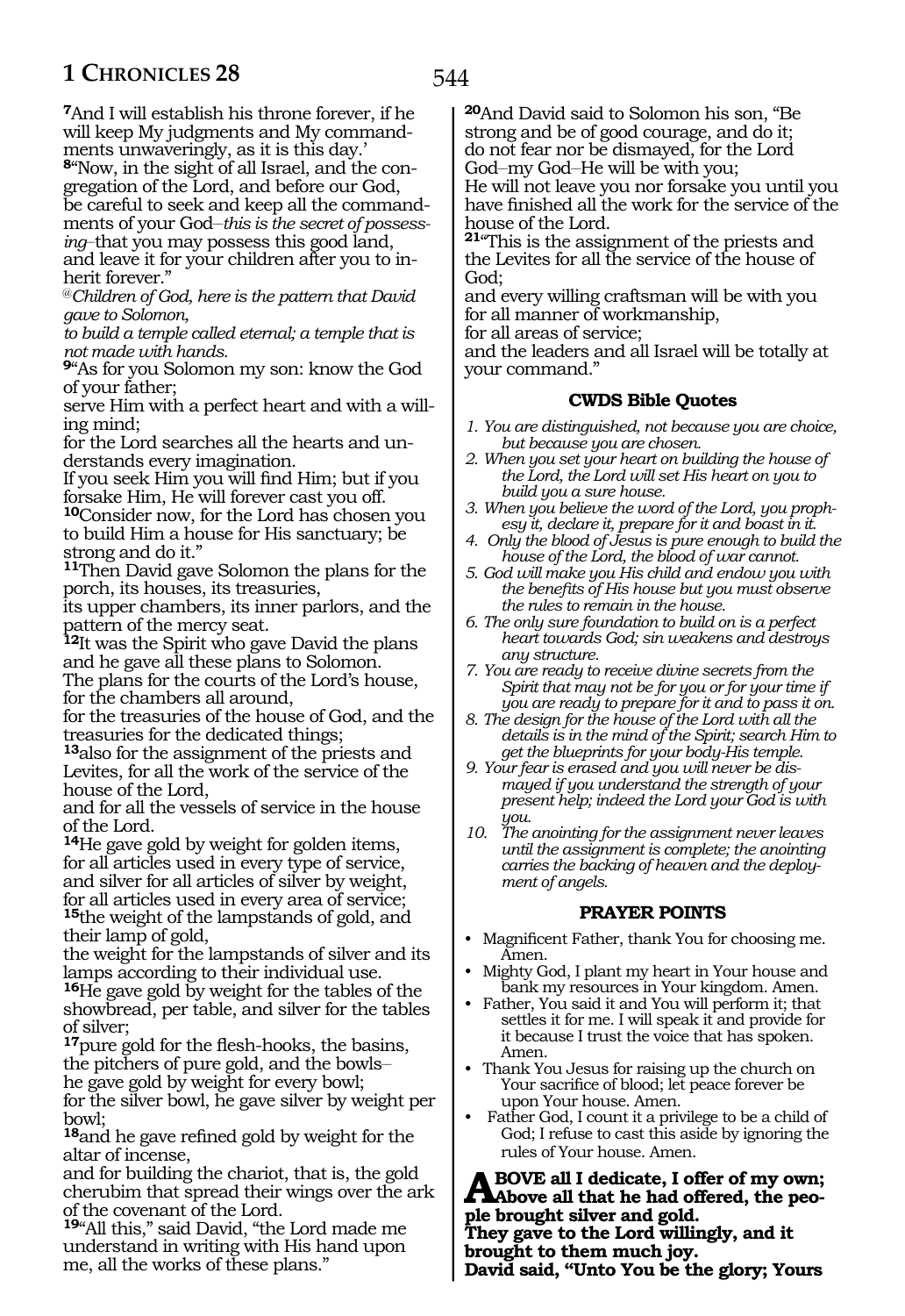**<sup>7</sup>**And I will establish his throne forever, if he will keep My judgments and My commandments unwaveringly, as it is this day.'

**8**"Now, in the sight of all Israel, and the congregation of the Lord, and before our God, be careful to seek and keep all the commandments of your God–*this is the secret of possessing\_\_*that you may possess this good land, and leave it for your children after you to inherit forever."

@*Children of God, here is the pattern that David gave to Solomon,*

*to build a temple called eternal; a temple that is not made with hands.*

**<sup>9</sup>**"As for you Solomon my son: know the God of your father;

serve Him with a perfect heart and with a willing mind;

for the Lord searches all the hearts and understands every imagination.

If you seek Him you will find Him; but if you forsake Him, He will forever cast you off.

**<sup>10</sup>**Consider now, for the Lord has chosen you to build Him a house for His sanctuary; be strong and do it."

**<sup>11</sup>**Then David gave Solomon the plans for the porch, its houses, its treasuries,

its upper chambers, its inner parlors, and the pattern of the mercy seat.

**<sup>12</sup>**It was the Spirit who gave David the plans and he gave all these plans to Solomon. The plans for the courts of the Lord's house, for the chambers all around,

for the treasuries of the house of God, and the treasuries for the dedicated things;

**<sup>13</sup>**also for the assignment of the priests and Levites, for all the work of the service of the house of the Lord,

and for all the vessels of service in the house of the Lord.

**<sup>14</sup>**He gave gold by weight for golden items, for all articles used in every type of service, and silver for all articles of silver by weight, for all articles used in every area of service; **<sup>15</sup>**the weight of the lampstands of gold, and their lamp of gold,

the weight for the lampstands of silver and its lamps according to their individual use.

**<sup>16</sup>**He gave gold by weight for the tables of the showbread, per table, and silver for the tables of silver;

**<sup>17</sup>**pure gold for the flesh-hooks, the basins, the pitchers of pure gold, and the bowls\_\_ he gave gold by weight for every bowl;

for the silver bowl, he gave silver by weight per bowl;

**<sup>18</sup>**and he gave refined gold by weight for the altar of incense,

and for building the chariot, that is, the gold cherubim that spread their wings over the ark of the covenant of the Lord.

**<sup>19</sup>**"All this," said David, "the Lord made me understand in writing with His hand upon me, all the works of these plans."

**<sup>20</sup>**And David said to Solomon his son, "Be strong and be of good courage, and do it; do not fear nor be dismayed, for the Lord God\_\_my God\_\_He will be with you;

He will not leave you nor forsake you until you have finished all the work for the service of the house of the Lord.

**<sup>21</sup>**"This is the assignment of the priests and the Levites for all the service of the house of God;

and every willing craftsman will be with you for all manner of workmanship,

for all areas of service;

and the leaders and all Israel will be totally at your command."

# **CWDS Bible Quotes**

- *1. You are distinguished, not because you are choice, but because you are chosen.*
- *2. When you set your heart on building the house of the Lord, the Lord will set His heart on you to build you a sure house.*
- *3. When you believe the word of the Lord, you prophesy it, declare it, prepare for it and boast in it.*
- *4. Only the blood of Jesus is pure enough to build the house of the Lord, the blood of war cannot.*
- *5. God will make you His child and endow you with the benefits of His house but you must observe the rules to remain in the house.*
- *6. The only sure foundation to build on is a perfect heart towards God; sin weakens and destroys any structure.*
- *7. You are ready to receive divine secrets from the Spirit that may not be for you or for your time if you are ready to prepare for it and to pass it on.*
- *8. The design for the house of the Lord with all the details is in the mind of the Spirit; search Him to get the blueprints for your body-His temple.*
- *9. Your fear is erased and you will never be dismayed if you understand the strength of your present help; indeed the Lord your God is with you.*
- *10. The anointing for the assignment never leaves until the assignment is complete; the anointing carries the backing of heaven and the deployment of angels.*

# **PRAYER POINTS**

- Magnificent Father, thank You for choosing me. Amen.
- Mighty God, I plant my heart in Your house and bank my resources in Your kingdom. Amen.
- Father, You said it and You will perform it; that settles it for me. I will speak it and provide for it because I trust the voice that has spoken. Amen.
- Thank You Jesus for raising up the church on Your sacrifice of blood; let peace forever be upon Your house. Amen.
- Father God, I count it a privilege to be a child of God; I refuse to cast this aside by ignoring the rules of Your house. Amen.

**A** BOVE all I dedicate, I offer of my own;<br>
also beguine the had offered, the peo**ple brought silver and gold. They gave to the Lord willingly, and it brought to them much joy. David said, "Unto You be the glory; Yours**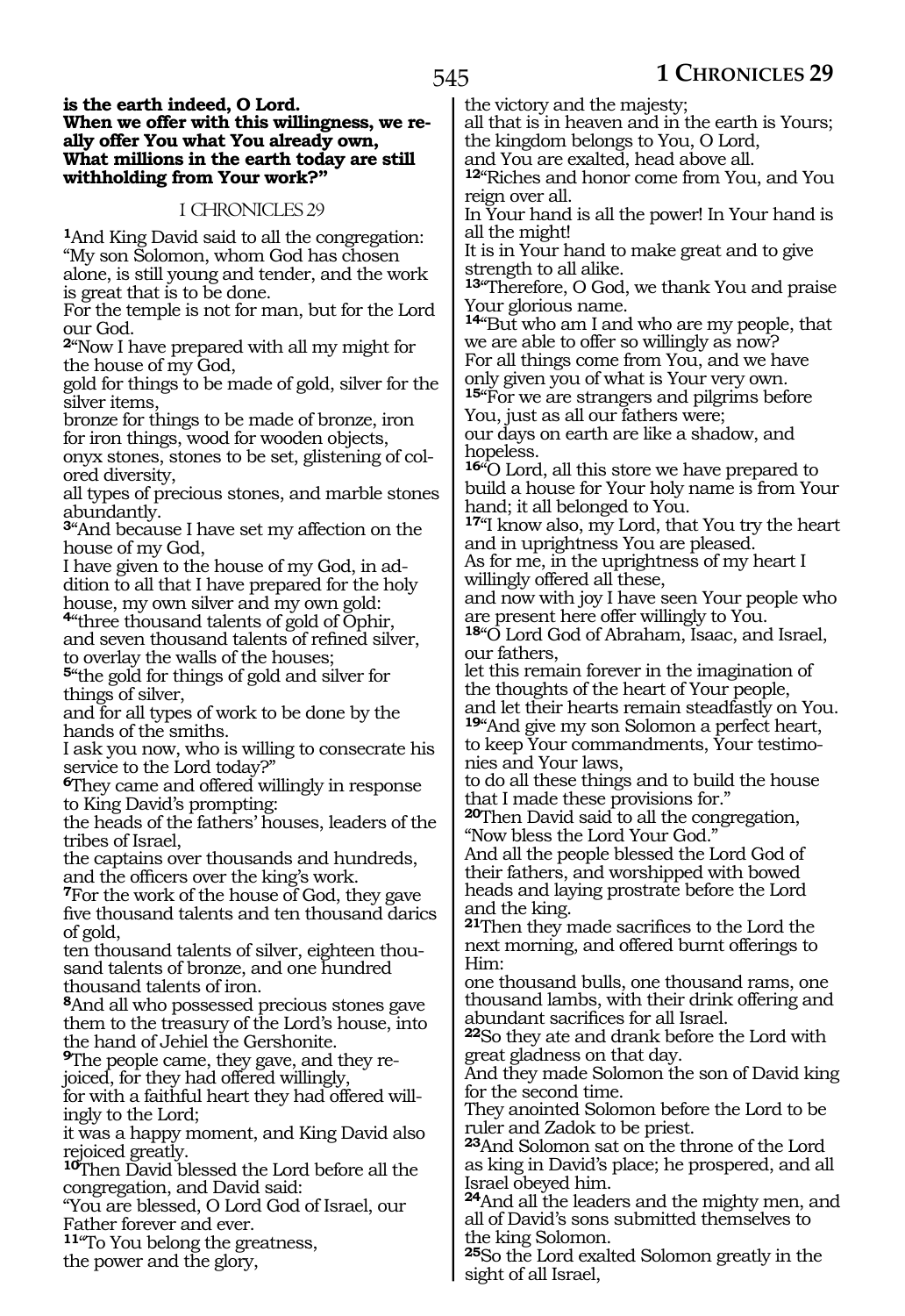#### **is the earth indeed, O Lord. When we offer with this willingness, we really offer You what You already own, What millions in the earth today are still withholding from Your work?"**

## 1 CHRONICLES 29

**<sup>1</sup>**And King David said to all the congregation: "My son Solomon, whom God has chosen alone, is still young and tender, and the work is great that is to be done.

For the temple is not for man, but for the Lord our God.

**<sup>2</sup>**"Now I have prepared with all my might for the house of my God,

gold for things to be made of gold, silver for the silver items,

bronze for things to be made of bronze, iron for iron things, wood for wooden objects, onyx stones, stones to be set, glistening of col-

ored diversity, all types of precious stones, and marble stones abundantly.

**<sup>3</sup>**"And because I have set my affection on the house of my God,

I have given to the house of my God, in addition to all that I have prepared for the holy house, my own silver and my own gold:

**<sup>4</sup>**"three thousand talents of gold of Ophir, and seven thousand talents of refined silver, to overlay the walls of the houses;

**<sup>5</sup>**"the gold for things of gold and silver for things of silver,

and for all types of work to be done by the hands of the smiths.

I ask you now, who is willing to consecrate his service to the Lord today?"

**<sup>6</sup>**They came and offered willingly in response to King David's prompting:

the heads of the fathers' houses, leaders of the tribes of Israel,

the captains over thousands and hundreds, and the officers over the king's work.

**<sup>7</sup>**For the work of the house of God, they gave five thousand talents and ten thousand darics of gold,

ten thousand talents of silver, eighteen thousand talents of bronze, and one hundred thousand talents of iron.

**<sup>8</sup>**And all who possessed precious stones gave them to the treasury of the Lord's house, into the hand of Jehiel the Gershonite.

**9**The people came, they gave, and they rejoiced, for they had offered willingly,

for with a faithful heart they had offered willingly to the Lord;

it was a happy moment, and King David also rejoiced greatly.

**<sup>10</sup>**Then David blessed the Lord before all the congregation, and David said:

"You are blessed, O Lord God of Israel, our Father forever and ever.

**<sup>11</sup>**"To You belong the greatness,

the power and the glory,

the victory and the majesty;

all that is in heaven and in the earth is Yours; the kingdom belongs to You, O Lord,

and You are exalted, head above all.

**<sup>12</sup>**"Riches and honor come from You, and You reign over all.

In Your hand is all the power! In Your hand is all the might!

It is in Your hand to make great and to give strength to all alike.

**<sup>13</sup>**"Therefore, O God, we thank You and praise Your glorious name.

**<sup>14</sup>**"But who am I and who are my people, that we are able to offer so willingly as now? For all things come from You, and we have only given you of what is Your very own*.* **15**"For we are strangers and pilgrims before

You, just as all our fathers were;

our days on earth are like a shadow, and hopeless.

**<sup>16</sup>**"O Lord, all this store we have prepared to build a house for Your holy name is from Your hand; it all belonged to You.

**<sup>17</sup>**"I know also, my Lord, that You try the heart and in uprightness You are pleased.

As for me, in the uprightness of my heart I willingly offered all these,

and now with joy I have seen Your people who are present here offer willingly to You.

**<sup>18</sup>**"O Lord God of Abraham, Isaac, and Israel, our fathers,

let this remain forever in the imagination of the thoughts of the heart of Your people, and let their hearts remain steadfastly on You.

**<sup>19</sup>**"And give my son Solomon a perfect heart, to keep Your commandments, Your testimonies and Your laws,

to do all these things and to build the house that I made these provisions for."

**<sup>20</sup>**Then David said to all the congregation, "Now bless the Lord Your God."

And all the people blessed the Lord God of their fathers, and worshipped with bowed heads and laying prostrate before the Lord and the king.

**<sup>21</sup>**Then they made sacrifices to the Lord the next morning, and offered burnt offerings to Him:

one thousand bulls, one thousand rams, one thousand lambs, with their drink offering and abundant sacrifices for all Israel.

**<sup>22</sup>**So they ate and drank before the Lord with great gladness on that day.

And they made Solomon the son of David king for the second time.

They anointed Solomon before the Lord to be ruler and Zadok to be priest.

**<sup>23</sup>**And Solomon sat on the throne of the Lord as king in David's place; he prospered, and all Israel obeyed him.

**<sup>24</sup>**And all the leaders and the mighty men, and all of David's sons submitted themselves to the king Solomon.

**<sup>25</sup>**So the Lord exalted Solomon greatly in the sight of all Israel,